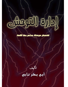# 

اخصار مرصلة ستمر بغا الامة

تأليف<br>أبي بكر ناجي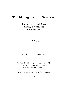# **The Management of Savagery:**

**The Most Critical Stage Through Which the Umma Will Pass** 

Abu Bakr Naji

Translated by William McCants

Funding for this translation was provided by the John M. Olin Institute for Strategic Studies at Harvard University, and any use of this material must include a reference to the Institute.

23 May 2006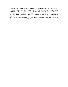[*Translator)s Note: Numbers in brackets refer to the page number in the original text. My comments in brackets are meant to clarify obscure passages or allusions in the text. Generally, Naji)s parenthetical statements are set off by em-dashes, as they are in the original text, although sometimes I have put them in parentheses. When rendering some sentences, I have added phrases in parentheses to make them more readable in English. The differences between Naji)s parenthetical statements and my own additions will be very obvious. Finally, the reader will please excuse any infelicities in my translation of the text. I have not had the time to carefully check it against the Arabic original or to polish the English prose. Any feedback from readers will be most welcome.*  $-W.M.,$  *May 2005*]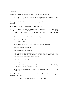Introduction (3)

Preface: The order that has governed the world since the Sykes-Picot era (5)

The Illusion of power: The centrality of the superpowers as a function of their overwhelming military power and deceptive media halo (7)

First Topic: Definition of "the management of savagery" and an overview of its historical precedents (11)

Second Topic: The path for establishing an Islamic state. (15)

Third Topic: The most important principles and policies for implementing the plan of action and achieving, in general, the goals of the stage of "the power of vexation and exhaustion"; and, in particular, the goals of the stage of "the management of savagery." (by the permission of God) (23)

Section One: Mastery of the art of management (23)

Section Two: Who leads, who manages, and who authorizes the fundamental administrative decisions? (25)

Section Three: Using the time-tested principles of military combat (28)

Section Four: Using violence (31)

Section Five: Achieving power (34)

Section Six: Properly understanding the rules of the political game of our opponents and their fellow travelers, and striking a balance between confrontation and cooperation in accordance with sharia politics (37)

Section Seven: Polarization (46)

Section Eight: The rules of affiliation (50)

Section Nine: Mastering the security dimension: Surveillance and infiltrating adversaries and opponents of every kind (52)

Section Ten: Mastering education within the movement just as it was in the first age of Islam (54)

Fourth Topic: The most important problems and obstacles that we will face, and ways of dealing with them (62)

(1) The problem of the decreasing number of true believers (62)

[1]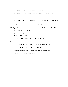(2) The problem of the lack of administrative cadres (63)

(3) The problem of loyalty to elements in the preceding administration (65)

(4) The problem of infiltration and spies (67)

(5) The problem of secession or sudden about-face of individuals, groups, or regions who completely change their loyalty (How do we make sense of it and how do we deal with it?) (68)

(6) The problem of excessive zeal and the problems that accompany it (71)

Fifth Topic: Conclusion: Are there other solutions that are easier than this solution? (73)

First Article: The battle of patience (81)

Second Article: The struggle between the human soul and the Sunna of God in missionary activities (86)

Third Article: Our men and enemy soldiers under fire (90)

[2]

Fourth Article: Universal laws adhered to by the elect and others (95)

Fifth Article: Our method is a mercy to all beings (101)

Sixth Article: Crisis of terms..."benefit" and "harm" as examples (106)

Seventh Article: Polarization and wealth (110)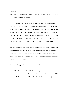### Introduction

Praise be to God and peace and blessings be upon the Messenger of God, his family, his Companions, and whomever aided him.

In a previous essay, I wrote about the substantive preparations undertaken by that group of Islamic activists whom I consider to be carrying out the command of God in this age  $-$  that group which, with God's permission, will be granted victory. The essay touched on the program that the group advocates for extricating the Umma from the degradation that afflicts it, so that the Umma may once again steer humanity toward the path of divine guidance and salvation. The essay compared this program with the programs that have been advocated by other groups of Islamic activists and that have confused the Islamic youth.

Yes, many of the youth chose this or that path on the basis of compatibility with their work, whims, and recreational activities. However, some have been confused by the multiplicity of plans for the solution of a matter which, at the very least, the authoritative Islamic texts have (already) decided in the eyes of the well-known (people). Among the things pertaining to the subject referred to (above) is, briefly :

[Naji begins a long quote from an article he had previously written]

Of all the currents of the Islamic movement, only five of them have written programs. After setting aside the current of propagation and proselytizing [al-tablĩgh wa al-da`wa], the current of the salafism of purification and education [salafiyyat al-

[3]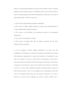tasfiya wa al-tarbiyya] (Sufi salafism), the current of the salafism of those in authority [salafiyyat wulāt al-amr] and others, we will find that there are five currents which are laid out in written programs and which lend (themselves) to discussion on account of their practical reality. These five currents are:

(1) The current of jihadi salafism [al-salafiyya al-jihādiyya].

(2) The current of Sahwa salafism [salafiyyat al-sahwa] which Shaykh Salman al- `Awda and Shaykh Safar al-Hawali represent.

 $(3)$  The current of the Brethren (the archetypal movement...the international organization).

(4) The current of the Brethren of Turabi.

(5) The current of popular jihad (like the Hamas movement and the Moro Liberation Front, and others).

As for the program of Sahwa salafism, particularly in its latest form (the establishment of institutions), it resembles the program of the Brethren movement (the international organization) to a large extent; perhaps it is comparable in some parts of its program. However, I will clarify (by the permission of God) that it cannot go beyond its first stages until after the passage of thousands of years because it transgresses universal laws to a great extent, which are also sharia laws. This makes it revolve in a vicious circle, enabling the infidels, the Taghuts [idols or tyrants (cf. Qur'an 5:60 and *passim*). This is the word jihadis use for contemporary Arab rulers who do not implement Sharia law.], and the people of hypocrisy to toy with it. However, in contrast with the Brethren, the current of Sahwa salafism tries to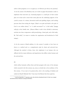achieve (their program) as it is on paper [i.e. its followers put theory into practice].<sup>[1](#page-7-0)</sup> As for the current of the Brethren, they set it forth on paper theoretically in order to implement their innovative [i.e. heretical] program or a small part of their secular plan on its basis and to insert their rotten plan into the underlying supports of the youth by means of a written, theoretical model and sparkling slogans, until nothing prevents them from raising the slogan, XJihad is our path and death in the path of God is our noblest desire..!" or "a salafi movement"!! or "a Sufi reality" [haqiqa sufiyya], as they frankly state. [Hasan al-Bana is said to have divided is missionary activities into three components: salafi proselytizing, a Sunni path, and a Sufi reality. By "Sufi reality", he meant to emulate the organization and brotherhood of Sufi tariqas.]

As for the current of jihadi salafism, it is the current I consider to have been set down as a method and as a comprehensive plan by sharia and universal laws. Although this method is divine, those who implement it are humans who are afflicted with the (same) deficiency and imperfection that afflicts (other) humans and the universal laws

### [4]

which suffuse humanity suffuse them and their program with some of the missteps which occurred in the first century; nay, more, no doubt due to the excellence of the first century. If you want to be praiseworthy, refer to the teaching of idealism and realism by Shaykh Mahmūd Abū `Umar (may God liberate him from captivity).

<span id="page-7-0"></span> $\frac{1}{1}$  $1$  Until the September 11 operation came, they had also abandoned much of what was on paper and followed their forbearers among the Brethren.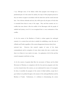I say: Although some of the failures which their program went through are a predestined part of it that cannot be undone, the steps of their program proceed as they are written on paper in accordance with the sharia laws and the sound universal laws. Out of divine solicitude and care, they will be given (by the grace of God) what is concealed from them in some of the stages. They and their enemies are in a conflict that none denies is like the conflict of the Messengers with the people of unbelief and tyranny, even if it is not recognized that is a true continuation of that conflict.

As for the current of the Brethren of Turabi (a schism against the archetypal current), it is a current that took what is suitable for establishing a state (the state of al-Bashir and Turabi, regardless of the current disagreement between them) from universal laws. However, that current's neglect of some of the sharia commandments and its corruption of some others makes this state a secular state; there is no Islam in it save trade in its name. An explanation of all of this and that current's program would take too long.

As for the current of popular jihad (like the movement of Hamas and the Jihad Movement in Palestine), in comparison with the four previous programs and what you have learned about this current, you can understand the nature of its program. In short, it resembles the program of the current of jihadi salafism, except that it goes further in its political thought, in the manner of the archetypal Brethren and the Brethren of Turabi. Furthermore, it is deficient in disseminating the correct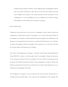scientific method among its followers when implementing the pedagogical method. One of two fates is feared for it: either the loss of the fruit (of its labors) in the end and its falling into the hands of the secular apostates and the nationalists, or the establishment of a state resembling the state of al-Bashir and al-Turabi in Sudan. The explanation of the details of all of that takes a long time...

### [End of Naji's quote]

I indicated in that article that I am on my way to completing a study in which I unravel the entanglement of all the previous parts of the program. In it, I present the broad outlines of the program of the people of tawhid and jihad scattered throughout their publications and literature over a long period of time; whoever is connected with them knows of it. Likewise, we discuss the programs which the remainder of the currents have set forth and I ask God for sincerity, fairness, and forgiveness for mistakes.

This study, "The Management of Savagery...The Most Critical Stage Through Which the Umma Will Pass", consists of a broad outline which is not detailed. Details are only given for two groups: the group of those who specialize in the arts which the study discusses and the group of the leaders located in the regions of the management of savagery. When some details are presented in the study, they are only given on account of their importance or as an example for the sharpening of the mind.

The management of savagery is the next stage that the Umma will pass through and it is considered the most critical stage. If we succeed in the management of this savagery, that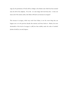stage (by the permission of God) will be a bridge to the Islamic state which has been awaited since the fall of the caliphate. If we fail – we seek refuge with God from that  $-$  it does not mean end of the matter; rather, this failure will lead to an increase in savagery!!

This increase in savagery, which may result from failure, is not the worst thing that can happen now or in the previous decade (the nineties) and those before it. Rather, the most abominable of the levels of savagery is (still) less than stability under the order of unbelief [nizām al-kufr] by (several) degrees.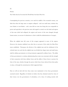### Preface

The Order that has Governed the World Since the Sykes-Picot Era

Contemplating the previous centuries, even until the middle of the twentieth century, one finds that when the large states or empires collapsed – and even small states, whether they were Islamic or non-Islamic – and a state did not come into being that was comparable in power and equivalent to the previous state with regard to control over the lands and regions of that state which had collapsed, the regions and sectors of this state changed, through human nature, on account of submission to what is called the administrations of savagery.

When the caliphal state fell, some of this savagery appeared in some of the regions. However, the situation stabilized soon after that on account of (the order) the Sikes-Picot treaty established. Thereupon, the division of the caliphal state and the withdrawal of the colonial states was such that the caliphal state was divided into (large) states and small states, ruled by military governments or civil governments supported by military forces. The ability of these governments to continue administering these states was consonant with the strength of their connection with these military forces and the ability of these forces to protect the form of the state, whether through the power which these forces derived from their police or army, or through the external power which supported them.

Here we will not deal with how these states were maintained or how these governments exercised control. Regardless of whether we believe that they obtained control by virtue of their victory over the governments of colonialsm, or by virtue of working secretly with

[5]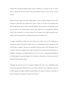colonial rule and being assigned its place when it withdrew, or a mixture of the two, these states, in short, fell into the hands of these governments because of one or both of these reasons.

Whether these countries were truly independent or each secretly succeeded the state that colonized it previously, they began after a time to circle in the orbit of the global order which resulted after the end of the Second World War. The outer form (of this global order) was the body of the United Nations and its inner reality was two superpowers [literally "poles"] that consisted of two states joined by rival camps of the allied, powerful states. (Moreover), each superpower was followed by dozens of satellite states.

A regime controlling a satellite state that circles in the orbit of one of the superpowers, acquiring economic and military benefits from it, is compensated by that superpower with various types of support. However, in accordance with the nature of the inhabitants of our countries which these regimes rule (in other words, like the countries whose inhabitants are Muslims), this support was largely limited and most of it went to supporting individuals in the ruling regimes or personal support for the military commanders of these states and the influential leaders of their armies.

Following that period, some of the regimes collapsed and others were established, either because the superpower abandoned it or was unable to protect it from collapsing, or because another superpower helped a different group infiltrate this regime, overthrow it, and take its place by seizing it in accordance with pure universal law.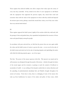Those regimes that achieved stability were able to impose their values upon the society of every state they controlled. If they circled in the orbit of a new superpower or still flirted with the superpower that supported the previous regime, they mixed their social and economic values with the values of the superpower in whose orbit they circled and imposed the mixture upon society, placing a sacred halo around these values, even if they were values that every rational mind refused.

### [6]

These regimes opposed the belief system [`aqĩda] of the societies which they ruled and, with the passage of time and gradual decay, they squandered and plundered the resources of those states and spread iniquity among the people.

In accordance with pure universal law, we find that the powers that can once again enable the values and the belief system of society to govern the state  $-$  or not even for the sake of the belief system and truth, but for the sake of rejecting iniquities and (upholding) the justice with which the believing majority agrees  $-$  are of two types:

The first: The power of the masses (quwwat al-shu'ūb). This (power) was tamed and its self-awareness was dissipated through thousands of diversions - whether through the desires of the sexual organs and the stomach, or panting to reach the summit of livelihood or accumulate of wealth – to say nothing of the deceptive media halos in various directions and the spreading of predestinationist [al-jabarĩ], Sufi, and Murjifite thought throughout the sectors (of society). From time to time, there is a defanging of some of the masses who wake up from heedlessness by means of the armies and police of these states, which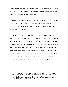consider this duty to be their fundamental task, for which they accumulate wealth (al-amwal wa al-`atā'). (This endeavor) protects these regimes or protects the circuit of the ruling regime in the orbit of one of the two superpowers.

The second: The second power that can return society to justice and to its belief system and values  $-$  even if it is partially according to the Sunna  $-$  is the power of armies. (The states) lavish plundered money upon them and buy them off so that they do not perform this function, but rather the opposite.

Despite the violence of Satan, a small group of thinkers and noble people remain who oppose tyranny and seek justice. This group wants to use the power they possess to change this reality for the better in accordance with their belief system. However, a second consideration that occurs to them is the existence of a criminal force in these armies which does not pay heed to values. Even if, in the best of circumstances, there is a clear plan for uniting [lit. encircling] the disharmonious elements of the (military) power, one or both of the superpowers will, under the cover of the United Nations, compel the new regime through trickery, force, pressure, or all of these – to continue circling in the orbit of one of the superpowers and they will force new beneficiaries upon the new regime. This honored person who came to power comes to resemble those who went before him, like al-Bashir in Sudan.<sup>2</sup>

1

<span id="page-14-0"></span> $2$  This is also what was planned, in another form, for Afghanistan during the rule of the Taliban before the events of September. In that case, (the plan was to) exhaust it with long sanctions, then press a button at the appropriate moment to transfer money and arms to the opposition and support them with people from neighboring countries, annihilating that state. That's the least one could expect. Thus, the possibility of direct intervention under any pretext is also proven.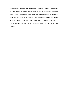For the most part, those who think about these noble people end up turning away from the idea of changing those regimes, accepting the status quo, and turning within themselves, carrying bitterness in their hearts. Those among them that are honest with their weak souls resign from their military work; otherwise, it does not take them long to sink into the quagmire of darkness and decadence beneath the slogan of "No religion and no world" or "No goodness, no justice, and no world". Such is the state of affairs since the fall of the caliphate.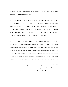The illusion of power: The centrality of the superpowers as a function of their overwhelming military power and deceptive media halo

The two superpowers which used to dominate the global order controlled it through their centralized power. The meaning of "centralized power" here is: The overwhelming military power which extends from the center in order to control the areas of land that submit to each superpower, beginning from the center and reaching the utmost extremity of these lands. Submission, in its primary, simplest form, means that these lands owe the center loyalty, submission to its judgment, and responsibility for its interests.

There is no doubt that the power which God gave to the two superpowers (America and Russia) was overwhelming in the estimation of humans. However, in reality and after careful reflection using pure, human reason, (one comes to understand that this power) is not able to impose its authority from the country of the center – from America, for example, or Russia e upon lands in Egypt and Yemen, for example, unless these (latter) countries submit to those powers entirely of their own accord. It is correct that this power is overwhelming and that it seeks help from the power of local regimes controlled by proxies [al-wukal $\bar{a}$ ] who rule the Islamic world. Yet all of that is not enough (to completely control the satellite states). Therefore, the two superpowers must resort to using a deceptive media halo which portrays these powers as non-coercive and world-encompassing, able to reach into every earth and heaven as if they possess the power of the Creator of creation.

[7]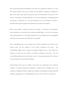But the interesting thing that happened is that these two superpowers believed, for a time, their media deception: that they are actually a power capable of completely controlling any place in the entire world, and that (this power) bears the characteristics of the power of the Creator. According to the media deception, it is an all-encompassing, overwhelming power and people are subservient to it not only through fear, but also through love because it spreads freedom, justice, equality among humanity, and various other slogans.

When a state submits  $-$  whatever the extent of its ability  $-$  to the illusion of the deceptive power and behaves on this basis, that is when its downfall begins. It is just as the American author Paul Kennedy says: "If America expands the use of its military power and strategically extends more than necessary, this will lead to its downfall."

This overwhelming power is also assisted by the cohesion [tamāsuk] of the society in the central country and the cohesion of that society's institutions and sectors. The overwhelming military power (weapons, technology, fighters) has no value without the cohesion of society and the cohesion of (society's) institutions and sectors. But this overwhelming military power may become a curse to this great superpower if the cohesion of society [literally "the social entity"] collapses.

Several elements that cause the collapse of this entity are summarized in the statement, "elements of cultural/civilizational annihilation" [`awāmil al-fanā' al-hadārī], such as the corruption of religion [al-fasād al-`aqadī], moral collapse, social iniquities, opulence [al-taraf], selfishness, giving priority to (worldly) pleasures, the love of the world over all values, etc.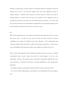Whenever a large mixture of these elements are combined within the superpower and those elements mix in such a way that they energize each other, that superpower's speed of collapse increases. Whether these elements are actively present or latent, they need an assisting element to activate them and cause the downfall of that superpower and its centralization (of power), no matter how much military power it possesses. As we have said, this is because the power of its centralization, embodied by the overwhelming military power and the deceptive media halo, can only be in a cohesive society.

### [8]

What if this assisting element is the decree of God which He ordained in order to act upon these three axes? It would not only work to activate the latent elements of cultural annihilation but confront the military power with exhaustion. This confrontation and exhaustion directly affects the third axis, which is the deceptive media halo. It removes the aura of invincibility which this power projects, that nothing at all stands in front of it.

This is exactly what happened to the Communist superpower when it was put in a military confrontation with a power weaker than itself by several degrees; it was not even comparable. However, (the weaker power) succeeded in exhausting it militarily and, even more important, it activated the elements of cultural annihilation in (the superpower's) homeland:

- The dogma of atheism versus belief systems that believe in the next life and a God.

- Love of the world, worldly pleasures, and opulence versus individuals who had nothing to lose.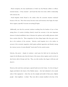- Moral corruption, the least manifestation of which was that Russian soldiers or officers returned (home) – if they returned – and found that their wives had a child or relationship with someone else.

- Social iniquities clearly floated to the surface when the economic situation weakened because of the war. Then when money becomes scarce and monetary crises begin, the major thieves appear, especially if accurate accounting [?] begins.

Additionally, note that the economic weakness resulting from the burdens of war or from aiming blows of vexation (al-nikava) directly toward the economy is the most important element of cultural annihilation since it threatens the opulence and (worldly) pleasures which those societies thirst for. Then competition for these things begins after they grow scarce due to the weakness of the economy. Likewise, social iniquities rise to the surface on account of the economic stagnation, which ignites political opposition and disunity among the (various) sectors of society [literally "social entity"] in the central country.

Likewise, this power  $-$  despite its weakness  $-$ acted upon the third axis by removing the respect for the Russian army from the hearts of the masses whose regimes used to revolve in (the Soviet) orbit in Europe and Asia. Thus, one after another, they began to fall away and desert it.

However, this weak force acted upon a special fourth axis in the Umma. It is the reviving of dogma and jihad in the hearts of the Muslim masses – who had submitted to the (social) entity of this superpower – when they saw the example and model of these poor, Afghani people  $-$  their neighbors  $-$  in jihad. They were able to remain steadfast in the face of the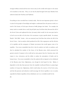strongest military arsenal and the most vicious army (in the world) with respect to the nature of its members at that time. Thus, we saw that the jihad brought forth many Muslims from unknown lands, like Chechnya and Tajikistan.

Everything we have recorded here is already reality. But the most important (point) is that it is easier for the people of knowledge and insight to understand (how the process works) as a result of the bounty of God upon whomever boldly plunges into battle. For example, the martyr (and we consider him as such) Sayyid Qutb (may God bless him) discussed the fall of the Soviet Union and explicated the laws (al-sunan) which would, for the most part, lead to it; but he was not able to fix the time of its occurrence or (give) specific details. In contrast, Shaykh `Abd Allāh `Azzām – who was martyred, may God bless him, before the fall of the Soviet Union – had an analysis which predicted the fall of this superpower and the division of its republics and the emergence of Islamic movements that would oppose some of its republics. Even more remarkable than this is that his analysis was built on numbers, such that he calculated the number of the forces of the Russian army, which possessed the greatest arsenal of weapons in the world and an army greater than the American army with respect to size, viciousness, and the ability to endure the atmosphere of battles and its human losses. Even more remarkable is that (his analysis) did not depend on the withdrawal of the Russian army from Afghanistan, even though he had hoped for that. Rather, it depended on (the idea that) pressure from the mujahids would push Russia to pump larger numbers of troops into Afghanistan, which would reduce the reserves of the Soviet army, and that this pressure and reduction would encourage the Soviet republics to try to secede, especially the Islamic (republics) whose inhabitants saw it as a workable model for the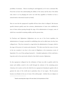possibility of resistance. Almost everything he said happened, as if it were a cinematic film. From this we know that understanding the abilities of the enemy and the time of his defeat only comes to us by plunging into active war with him, regardless of whether we have a rational mind or theoretical research (at hand).

Here we note that the superpower's republics fell into chaos when it collapsed. But because specific elements quickly came into existence, administrations of states were established in most of them without passing through the stage of the administration of savagery, some of which have succeeded in attaining stability until the present time.

In Chechnya and Afghanistan (Afghanistan was not one of the Soviet republics), the administrations of savagery succeeded in establishing what can be called states, but they have collapsed now. They have returned to a stage before the administration of savagery, which is the stage of the power of vexation and exhaustion.<sup>[3](#page-21-0)</sup> We (also) note that the course of events in the two countries is not due to the events in Daghistan or the momentous events of September (11), even if they perhaps hastened it. A detailed explanation of this would take a long time and we have previously referred to that which concerns Afghanistan.

So that superpower collapsed, but the civilization of Satan was able to quickly rectify the matter and stabilize control in the world through the cohesion of the remaining power (America), for it carries out the role which the two superpowers had played, together with, in general, the states of the world and, in particular, those of our region. But the picture became even bleaker in the eyes of some of the noble people – whether they are religious or

1

<span id="page-21-0"></span><sup>&</sup>lt;sup>3</sup> Details concerning these stages will come (later), by the permission of God.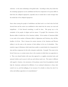otherwise e in the states submitting to this global order. According to them, they doubt that the remaining superpower can be annihilated and that the components of its power differ in kind from the collapsed superpower, especially since its media halo is much stronger than the media halo of the collapsed superpower.

Some others among the people of truthfulness and jihad used to set forth what God had showed them and the notion was established in their minds that the enemy was weak and insignificant  $-$  if God decreed something, it could be done. This group says to the remainder of the people of religion and the masses: "O people! The viciousness of the Russian soldier is double that of the American (soldier). If the number of Americans killed is one tenth of the number of Russians killed in Afghanistan and Chechnya, they will flee, heedless of all else. That is because the current structure of the American and Western military is not the same as the structure of their military in the era of colonialism. They reached a stage of effeminacy which made them unable to sustain battles for a long period of time and they compensate for this with a deceptive media halo. O people! The center in the Soviet Union was, to a certain extent, close to the countries in which there was opposition to it. They even shared borders with areas that opposed it, so supplies, motorized units, and armored vehicles used to pour in with ease and without much cost. The matter is different with regard to America—the remoteness of the primary center from the peripheries should help the Americans understand the difficulty of our continued submission to them, their control over us, and their pillaging of our resources if we decide to refuse; but only if we refuse and enflame opposition to its materialization."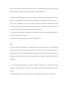This was the picture until the momentous events of September and its foretokens which appeared with the momentous events of Nairobi and Dar al-Salam.

In summary, the contemporary renewal movement was purified after momentous events and battles severely damaged it and it accumulated experience during more than thirty years. It must (now) undertake some of the specific operations arranged systematically [nizām mu`ayyan] and (carry out) what began with the operation of Nairobi and Dar al-Salam for the achievement of the following goals (by the grace of God):

A e The first goal: Destroy a large part of the respect for America and spread confidence in the souls of Muslims by means of:

(1) Reveal the deceptive media to be a power without force.

### [10]

(2) Force America to abandon its war against Islam by proxy and force it to attack directly so that the noble ones among the masses and a few of the noble ones among the armies of apostasy will see that their fear of deposing the regimes because America is their protector is misplaced and that when they depose the regimes, they are capable of opposing America if it interferes.

B e The second goal: Replace the human casualties sustained by the renewal movement during the past thirty years by means of the human aid that will probably come for two reasons:

(1) Being dazzled by the operations which will be undertaken in opposition to America.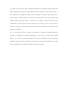(2) Anger over the obvious, direct American interference in the Islamic world, such that that anger compounds the previous anger against America's support for the Zionist entity. It also transforms the suppressed anger toward the regimes of apostasy and tyranny into a positive anger. Human aid for the renewal movement will not dry up, especially when heedless people among the masses  $-$  and they are the majority  $-$  discover the truth of the collaboration of these regimes with the enemies of the Umma to such an extent that no deceptive veil will be of use and no pretext will remain for any claimant to the Islam of these regimes and their like.

 $(C)$  – The third goal: Work to expose the weakness of America's centralized power by pushing it to abandon the media psychological war and the war by proxy until it fights directly. As a result, the apostates among all of the sects and groups and even Americans themselves will see that the remoteness of the primary center from the peripheries is a major factor contributing to the possible outbreak of chaos and savagery.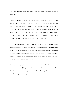First Topic: Definition of "the management of savagery" and an overview of its historical precedents

We said above that if one contemplates the previous centuries, even until the middle of the twentieth century, one finds that when the large states or empires fell – whether they were Islamic or non-Islamic – and a state did not come into being which was equal in power or comparable to the previous state in its ability to control the lands and regions of that state which collapsed, the regions and sectors of this state became, according to human nature, subservient to what is called "administrations of savagery." Therefore, the management of savagery is defined very succinctly as the management of savage chaos!!

As for a detailed definition, it differs according to the goals and nature of the individuals in the administration. If we picture its initial form, we find that it consists of the management of peoples' needs with regard to the provision of food and medical treatment, preservation of security and justice among the people who live in the regions of savagery, securing the boarders by means of groups that deter anyone who tries to assault the regions of savagery, as well as setting up defensive fortifications.

(The stage of) managing the people's needs with regard to food and medical treatment may advance to (the stage of) being responsible for offering services like education and so forth. And the preservation of security and securing the borders may advance to working to expand of the region of savagery.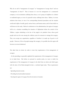Why do we call it "management of savagery" or "management of savage chaos" and not "management of chaos"? That is because it is not the management of a commercial company, or of an institution suffering from chaos, or of a group of neighbors in a district or residential region, or even of a peaceful society suffering from chaos. Rather, it is more nebulous than chaos, in view of its corresponding historical precedents and the modern world and in light of wealth, greed, various forces, and human nature, and its form which we will discuss in this study. Before its submission to the administration, the region of savagery will be in a situation resembling the situation of Afghanistan before the control of the Taliban, a region submitting to the law of the jungle in its primitive form, whose good people and even the wise among the evildoers yearn for someone to manage this savagery. They even accept any organization, regardless of whether it is made up of good or evil people. However, if the evil people manage this savagery, it is possible that this region will become even more barbarous!

The ideal form we desire (in order to meet the) requirements of the management of savagery:

- In the preceding, we generally explained the requirements of the management of savagery in its initial form. But before we proceed to another point, we want to clarify the requirements of the management of savagery in the ideal form we desire and which agree with the aims of the Sharia [maqāsid al-shar`, a technical legal term]. These requirements are:

- Spreading internal security
- Providing food and medical treatment
- Securing the region of savagery from the invasions of enemies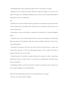- Establishing Sharia justice among the people who live in the regions of savagery

- Raising the level of belief and combat efficiency during the training of the youth of the region of savagery and establishing a fighting society at all levels and among all individuals by making them aware of its importance.

[12]

- Working for the spread of Sharia science (putting the most important aspects before those of lesser importance) and worldly science (putting the most important aspects before those of lesser importance).

- Dissemination of spies and seeking to complete the construction of a minimal intelligence agency.

- Uniting the hearts of the world's people by means of money and uniting the world through Sharia governance and (compliance with) rules which are publicly observed, at least by those in the administration.

- Deterring the hypocrites with proof and other means and forcing them to repress and conceal their hypocrisy, to hide their discouraged opinions, and to comply with those in authority until their evil is put in check.

- Progressing until it is possible to expand and attack the enemies in order to repel them, plunder their money, and place them in a constant state of apprehension and (make them) desire reconciliation.

- Establishing coalitions with those with whom coalitions are permitted, those who have not given complete allegiance to the administration.

Historical and contemporary precedents for the administration of savagery:

- The first years after the hijra to Medina: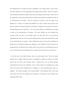The administration of savagery has been established in our Islamic history various times. The first example of it was the beginning of the Islamic state in Medina. With the exception of the Byzantine and Persian empires and some of the large and small states which were on the peripheries of the peninsula, the previous order in the peninsula resembled the order of the administration of savagery. One can consider the era prior to the first stage of the Medinan era – before it was stable and established as a state to which zakat and jizya were given and before it became permanent, receiving the recognition of the provinces around it and appointing governors and rulers  $-$  (as a time when) Medina was administered according to order of the administration of savagery. Of course, Medina was not suffering from savagery before the hijra of the Prophet (peace be upon him); but it was previously administered by tribes like the Aws and the Khazraj with an order that resembled the order of the administration of savagery. When Muhammad (peace be upon him) emigrated to Medina and its leadership elements gave allegiance to him, Medina in that first period was administered by the Muslims with a similar order (to that of the Aws and Khazraj); however, it was an ideal order for the administration of savagery, whose features we set forth above.

- As for the rest of our Islamic history, there are several special cases. These are critical periods when a caliphate falls and another is established, or during our exposure to foreign attacks, like the Tartar and Crusader attacks. During these sorts of critical periods, administrations like these are established. Some of them advance to establishing very small states, then unite for the establishment of a caliphate or a state bordering other states or a caliphate. The clearest example, as the learned Shaykh `Umar Mahmud Abū `Umar (may God release him from his captivity) has mentioned, is the period of the Crusader wars, regarding which he says: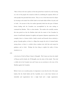"Most of those who have spoken on this time period have treated it by only focusing on a few of the people who created an effect by combining the separate efforts (of other people) that preceded their actions. Thus, we see a book that treats the subject by focusing on the leader Nur al-Din Zankĩ or the leader Salah al-Din al-Ayyubi, and so forth. On account of this, the readers ignorantly think that this part of Islamic history dealing with the Crusaders was accomplished by the state uniting to command the Muslims. This is a clear mistake. The readers who carefully examine this time period see that the Muslims dealt with the matter of the Crusaders by means of small bands (tajammu`āt saghīra) and separate, disparate organizations; (for example), there is a fortress which a family controls and beneath whose authority a group of people gather; or there is a village that accepts the rule of a learned leader among them, or there is a scholar whose students join with him and accept his guidance, and so forth. Perhaps the best thing to explain the reality of these situations to us

[13]

is the book *al-I`tibar* by Prince Usama b. Munqidh. This Usama was from the citadel of Shayzar and his family, the  $\overline{A}$ l Munqidh, were the rulers of this citadel. They had a visible role in the Crusader wars and Usama was an eyewitness to the wars of the Muslims against the Crusaders.

Before I move on to another point, it is important to note that the role of the major leaders, like the Zanki family and the Ayyubids, was to unite these factions (altakattulāt) and organizations into a single band and a single organization.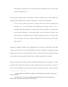Nevertheless, the greatest role was played by these small factions who, in truth, dealt with the Crusader wars..."<sup>[4](#page-30-0)</sup>

He previously mentioned these small factions, which controlled some of the citadels and small cities and simultaneously undertook operations of vexation and exhaustion:

XIf you want, carefully read what is written between the lines concerning the Crusader wars. You will realize that exhausting (the enemy), which a sect of knowledge and jihad undertook, was what made victory possible in the large battles, not the battles themselves. These large battles, such as (the battle of) Hatin, were only achieved by small battles that are hardly mentioned in history. However, they were the primary reason [lit. "primary numbers"] for the achievement of the final, majorvictory."<sup>5</sup>

Among the strangest examples of the administrations of savagery is what Shaykh Abd Allah `Azzām related about the one hundred Muslim men who controlled a mountainous region between what is known as Italy and France today. They imposed what resembles the jizya on the regions that surrounded it and this state of affairs continued for some time.

Likewise, among the movements which established administrations for savagery (or rather developed from them) and united the various regions that were governed for a period of time by what resembled a state was the movement of al-Imam al-Sayyid. (This movement)

1

<span id="page-30-0"></span><sup>&</sup>lt;sup>4</sup> "Articles Between Two Methods" by Shaykh 'Umar Mahmud Abū 'Umar (may God free him from his captivity).

<span id="page-30-1"></span> $5$  From the article, "This Umma of Muhammad (PBUH) Will Never Die" by Shaykh Umar Mahmud Abu `Umar (may God free him from his captivity).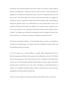renewed the call of tawhid and jihad in the Sunni "square" in the region of India, Kashmir, Pakistan, and Afghanistan. Despite the short life of this movement, which lasted from the beginning to the middle of the nineteenth century, it has had a widespread effect up to the present time. The actions against the enemies of God and their leaders, the English, are considered a source of inspiration for jihad movements in Kashmir, India, and Afghanistan. Perhaps the (greatest) extent of its residual effects was the powerful impact it had on the separation of Pakistan from India in the middle of the twentieth century, regardless of the extent of the deviation of the (subsequent) Pakistani government, which reaped the fruit of the jihad. The Afghani men of jihad still seek inspiration from the example of the life of that Imam, and why not – he knew the mountains of Afghanistan and they knew him.

All of this is with regard to Muslims. As for the infidels, there are dozens, nay, hundreds of examples for the administrations of savagery which they established in Europe, Africa, and the remaining continents in past ages.

As for the modern age, it became difficult to establish similar administrations after the Sykes-Picot agreement, (followed by) its progress and establishment at the end of the World War II and the appearance of the United Nations and the consolidation of the Jahili order's control over the world through nationalist [racist?] regimes, monetary papers, and borders enclosing what are called the states of the world. Nevertheless, several administrations of savagery were established, especially in places which are remote from the center and whose geographical and living conditions facilitate that.

There are several examples of contemporary bands, whether Islamic, leftist, or otherwise: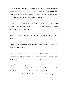The groups fighting in Afghanistan the first stages of jihad and the first stages of the Taliban movement until it established its state  $-$  may God restore it in power and loftiness  $$ regardless of the extent of the nearness, remoteness, or even opposition of these administrations to the ideal, real, Islamic form (of government).

### [14]

Likewise, there is the Abu Sayyaf movement and the Moro Liberation Front in the Philipines, and the jihad movements in Algeria during some periods of jihad in the nineties, regardless of the deviation of some of them.

Similarly, there are the Islamic groups and others in Somalia after the fall of the state of Siyad Bare.

Likewise, there are the temporal stages of some of the regions in the republics of the former Soviet Union and Chechnya.

We do not think that movements like Hamas and Islamic Jihad in Palestine currently, or the Islamic Group in Egypt in the nineties, or the group fighting in Lybia, and other similar groups had originated after administrations (in those areas) became barbarous. Rather, they were (and some still are) in a stage that precedes the administration of savagery, which is a stage called the "stage of the power of vexation and exhaustion." It is the stage that usually precedes the stage of the administration of savagery, when the person undertaking "vexation" calculates that savagery will happen and prepares for its administration, or when some of the groups of "vexation" undertake (vexation operations) without taking that into account; sometimes they undertake "vexation" (operations) in order to weaken a state,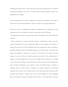calculating that another state or power will take control of the exhausted state or the land of savagery and establish its own state in its place without passing through the stage of the administration of savagery.

In the coming topic, there will be a clarification of the goals and definition of the stage of "the power of vexation and exhaustion", which is the stage we are passing through now.

We will now return to contemporary examples of administrations of savagery and we will concentrate here on non-Islamic movements, among which (are the following):

- The Janjaweed movement in southern Sudan, named "the Popular Front for the Liberation of Sudan"

- Leftist movements in Central and South America. Although the Leftists may have achieved amazing results in some operational aspects in the managing of the regions of savagery there and some of them established states, they manage these regions according to their filthy principles which the surrounding regions do not usually accept. This makes their regions unacceptable for expansion on account of the refusal of the citizens (of those regions) to turn away form the central government and unite for the administration of savagery or for the establishment of a state upon the rubble of the central state. It is enough to know that after the collapse of the Soviet Union and the cutting off of the financing that these movements depended on, the majority of these movements began to depend on obtaining money to finance them in exchange for creating sanctuaries that protected foreigners from the laws of the countries there, or the major drug dealers themselves grew the drugs and sold them. Likewise, they took the local inhabitants by force, kidnapped them, and extracted a ransom in exchange for their release, or they kept them as hostages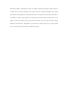and human shields. Although the society of savagery which they manage is under control, it is filled with the moral corruption that results from the anarchist principles they adopt. Nevertheless, their regimes are well-protected and even America has been driven mad due to its inability to destroy these pockets (of resistance) and control them and join them to the regimes of the states which revolve in the orbit of America or (in the orbit of) what is falsely called the United Nations. Regardless, we record that we believe that the two systems which are at war are both characterized by unbelief and tyranny.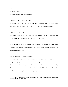## The Second Topic

The Path for Establishing an Islamic State

- Stages of the priority group (of states):

The stage of "the power of vexation and exhaustion", then the stage of "the administration" of savagery", then the stage of "the power of establishment – establishing the state".

- Stages of the remaining states

The stage of "the power of vexation and exhaustion", then the stage of "establishment", the victory of the power of establishment that comes from the outside.

These (are the stages), along with the observation that it is possible that some of the secondary states will pass through the same stages as the priority states in accordance with the development of events.

States designated as (part of) a priority group:

Recentstudies of the renewal movement that are connected with current events<sup>6</sup> have designated a group of states  $-$  or, more accurately, regions  $-$  which the mujahids should focus on so that their striking power will not be dissipated in states where there is nothing that results from action focused on them. Naturally, this initial, theoretical designation provides the opportunity for close scrutiny by the people of every country and the taking of

[15]

 $\overline{a}$ 

<span id="page-35-0"></span> $6$  Refer to the research of Shaykh (Abu Mus'ab al-Sūrī) 'Umar 'Abd al-Hakim (may God preserve him in the place of tawhid and jihad.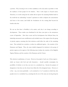a position. Thus, focusing on two or three candidates, in the end, makes it possible to verify the readiness of their people for the initiative. This is with respect to focused action. Therefore, it is worth noting that the studies did not ignore the remaining Muslim bands in the world that are undertaking "vexation" operations in order to disperse the concentration and forces of the enemy (and build) the foundations for the coming jihad beyond the borders after that.

We can say that there is flexibility in the matter, such that it can change according to developments. These studies were distributed in the three years prior to the momentous events of September. After these events and the developments that followed them, the leadership announced some modifications and excluded some of the regions from the group of priority regions, assuming that their inclusion would affect the order of the remaining states. They included two countries, or rather two additional regions - the countries of the Haramayn and Nigeria. Thus, the states initially designated for inclusion in the group of priority regions are the regions of the following states: Jordan, the countries of the Maghrib, Nigeria, Pakistan, and the countries of the Haramayn and the Yemen.

This selection is preliminary, of course. However, the people of each one of these regions – which are honest with God and with themselves – should carefully contemplate the possibility of whether or not they can move in a centralized way. Second, the purpose of designation is that these are the closest/most likely [?] of the designated states. However, it is fine  $-$  nay, even more preferable  $-$  to be restricted to 2 or 3 countries in which they (the people) move in a centralized way, assuming that the rest of the states are moving along the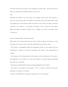same path and (the same) stages of the remaining, secondary states. We beseech God to make it so and grant the fortitude necessary to carry it out.

[16]

Important note: When I say, "the Yemen", for example, and I put the word "region" in front of it, I mean an area that is not limited to the borders (set by) the United Nations, since the mujahids move with freedom within the borders of the Yemen, the Hijaz, and Oman. And when I say "regions" or "the region of savagery", I do not mean the entire region. Rather, the region of savagery is usually a city, or a village, or two cities, or a district, or part of a large city.

### Factors Considered When Selecting Countries

With regard to the common links between states in which the regions of savagery can come into being, we notice that some or all of the (following) factors pertain to them:

- The presence of geographical depth and topography permits, in each separate state, the establishment of regions in it which are managed by the regime of the administration of savagery.

- The weakness of the ruling regime and the weakness of the centralization of its power in the peripheries of the borders of its state and sometimes in internal regions, particularly those that are overcrowded.

- The presence of jihadi, Islamic expansion being propagated in these regions.

- The nature of the people in these regions. This is a matter in which God has given preference to one place over another.

- Likewise, the distribution of weapons by people who are in those regions.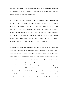Among the happy twists of fate, by the permission of God, is that most of the priority countries are in remote areas, a fact which makes it difficult for any state powers to control the wide region at the heart of the Islamic world.

As for the remaining regions of the Islamic world and the places in which there is Islamic jihadi expansion that the eye cannot mistake (especially after the momentous events of September and what followed), they suffer from the power of their ruling regimes and the power of those regimes' centralization, especially on account of the non-existence of pockets (of resistance) and regions whose geographical features permit the (freedom of) movement (found in) the priority regions, in addition to the nature of some of the people of these regions. However, these regions  $-$  as we will clarify in detail  $-$  must begin with "vexation" (operations), which have actually begun in Turkey, Tunisia, and other places.

In summary (the details will come later): The stage of the "power of vexation and  $exhaustion$  by means of groups and separate cells in every region of the Islamic world  $$ primary and secondary e (should continue) until the anticipated chaos and savagery breaks out in several regions in the priority, choice states in accordance with the (findings of) the studies, just as we mentioned. In the meantime, chaos will not happen in the regions of the remaining states due to the power of the regimes within them and the strength of their centralization. Then the regions of chaos and savagery will advance to the stage of the administration of savagery, while the remaining regions and states of the Islamic world will continue on two flanks – the flank of logistical support for regions of savagery controlled by us and the flank of the "power of vexation and exhaustion" (directed against) the regimes, until victory comes to it from outside, by the permission of God. (By logistical support, I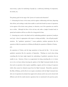mean money, a place for ransferring of people [i.e. a safehouse], sheltering of components, the media, etc.)

The primary goals for the stage of the "power of vexation and exhaustion":

1 – Exhausting the forces of the enemy and the regimes collaborating with them, dispersing their efforts, and working to make them unable to catch their breath by means of operations in the regions of the choice states, primary or otherwise, even if the operations are small in size or effect. Although the blow of the rod may only strike a (single) Crusader head, its spread and escalation will have an effect for a long period of time.

 $2 -$  Attracting new youth to the jihadi work by undertaking qualitative operations  $\int$  amaliyyat naw iyya]  $-$  when it is appropriate with respect to timing and ability  $-$  that will grab peoples' attention. By "qualitative operations," I mean qualitative, medium operations like the operation in Bali, the operation in al-Muhaya [in Riyad], the operation of Djerba in Tunisia,

[17]

the operations of Turkey, and the large operations in Iraq and the like. I do not mean qualitative operations like the operation of September. Thinking too much about doing something like the latter might impede the undertaking of qualitative operations that are smaller in size. Likewise, if there is an opportunity for doing something like it, it is better not to do so in haste without knowing the opinion of the High Command, besides the fact that (such an operation) often requires capabilities, support, and the covering (of expenses) which often cannot be obtained except from the High Command. Meanwhile, operations like Bali, al-Muhaya, and the like do not require consultation with the High Command since (this sort of operation) has already been approved in advance and its rate can be slowed with diffusion and with the small, intensive operations that we mentioned in the previous point.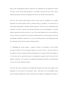Hence, after an appropriate period in which they are undertaken for the edification of those who carry out the usual small operations, it is possible to increase the rate of the various medium operations such that they approach the rate of the normal, minor operations.

Also note: The normal, small operation and its results must be considered very valuable. Sometimes the small operation leads to harmful results, or problems, or the discovery of other groups preparing for a specific, medium operation. If those who are undertaking small operations are able to advance and develop themselves for the undertaking of a specific medium operation, then they must do so, even if the small operation has to be cancelled for its sake. However, in general, the best path of advancement for nascent groups toward the undertaking of qualitative operations is to carry out small operations in the beginning, which they undertake with sound movements and precautions.

3 e Dislodging the chosen regions e regions in which it was decided to have focused movement, whether in all of the priority regions or in some of them – from the control of the regimes and then working toward the administration of savagery which will transpire in it. Note here that we said that the goal is to dislodge these regions from the control of the regimes of apostasy. It is the goal we are publicly proclaiming and which we are determined to carry out, not the outbreak of chaos.

Also note: We may be surprised at the sudden fall of regions into chaos and savagery in the peripheries or in the heart of "non-priority" states. Here there are two possibilities: either there are Islamic organizations in those regions that are capable of managing this savagery or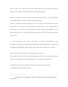there are none. If it is the latter, then those regions will be in the control of non-Islamic groups, or the remnants of the ruling regimes, or organized gangs, etc.

Here it is necessary to caution against an important doubt voiced by the learned Shaykh Umar Mahmud Abu Umar (may God free him from captivity):

"Here it is necessary to caution against the error of the call of some of the leaders of wornout groups for the necessity of preserving the national fabric, or the national weft, or national unity. This saying not only contains the doubt of unbelieving nationalism; it also indicates that they do not understand the Sunna method for the fall of civilizations and their construction."<sup>[7](#page-41-0)</sup>

4 – The fourth goal of the stage of "the power of vexation and exhaustion" is the advancement of groups of vexation through drilling and operational practice so that they will be prepared psychologically and practically for the stage of the management of savagery.

The primary goals for the stage of "the management of savagery":

We are able to set down here the most important points which we have (already) mentioned under the title: "Requirements of the Management of Savagery in its Ideal Form":

1- Spreading internal security and preserving it in every region that is managed

2- Providing food and medical treatment

 $\overline{a}$ 

<span id="page-41-0"></span><sup>&</sup>lt;sup>7</sup> "Articles Between Two Methods" by Shaykh 'Umar Mahmud Abu 'Umar (may God free him from captivity).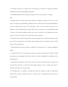3- Securing the region of savagery from the invasions of enemies by setting up defensive fortifications and developing fighting capacities

4- Establishing Sharia justice among the people who live in the regions of savagery

[18]

5- Raising the level of faith and combat efficiency during the training of the youth of the region of savagery and establishing a fighting society at all levels and among all individuals by means of making them aware of its importance. But it must be made clear that it is an obligatory duty [wujşbihi al-muta`ayyan], which does not mean that every individual member of society must practice fighting; rather, only a part or portion of the fighting ranks (must practice it) in the form which the society knows best and needs.

6- Working for the spread of legal, Sharia science (putting the most important aspects before those of lesser importance) and worldly science (putting the most important aspects before those of lesser importance).

7- Disseminating spies and seeking to complete the construction of a minimal intelligence agency.

8- Uniting the hearts of the people by means of money and uniting the world by Sharia governance and (compliance with) rules which are at least exemplified by individuals in the administration.

9- Deterring the hypocrites with proof and other means and forcing them to repress and conceal their hypocrisy, to hide their discouraged opinions, and to comply with those in authority until their evil is put in check.

10- Working until it is possible to expand and attack the enemies in order to repel them, plunder their money, and place them in a constant state of apprehension and desire for reconciliation.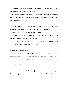11- Establishing coalitions with those with whom coalitions are permitted, those who have not given complete allegiance to the administration.

12- To these we add a future goal, which is the advancement of managerial groups toward the attainment of the "power of establishment" and readiness for plucking the fruit (of their efforts) and establishing the state.

Likewise, in this stage there are goals for which we work in the remaining, non-priority regions which have not fallen into savagery. The most important of them are:

- Continuing in vexation and exhaustion (operations) as much as possible.

- Establishing a network of logistical support for the regions of savagery managed by us, both neighboring regions and those that are far away.

If there is conflict between carrying out vexation (operations) and undertaking logistical support, the most suitable and useful option has priority.

The plan of action and movement:

Sequential strikes against America, ending with the strike of September which America deserved according to the sharia and which will succeed according to fate (by God's permission) if they were faithfully discharged. And it did succeed, praise be to God. The inevitable result of this escalating sequence is the fall of the prestige of America among the masses and among the elites of the world in the armies of apostasy.

In addition to igniting upheavals [lit. "events"] and the approach of the fire to the region, there was an expansion of the jihadi current which more than doubled what it lost in the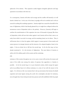upheavals of the nineties. This expansion usually happens alongside upheavals and large operations in accordance with their size.

As a consequence, America will either seek revenge and the conflict will intensify or it will launch a limited war. In the case of the latter, its grudge will not be satisfied and it will not succeed in curbing this escalating expansion. America might have caused the downfall of the state of Afghanistan, which it had already planned for, or it might have collapsed without the momentous events of September (refer to the preface). However, (America) will begin to confront the transformation of this expansion into tens of thousands of groups (like those of) September, which will turn their strikes against it and America will not find a state as an entity from which it can take its revenge, and the remaining (states) are its clients. Thus, it will become clear to it that the regimes which support it cannot protect it from attacks and cannot preserve its strategic interests and the interests of its adopted daughter, Israel, in the region. It has no choice but to fall into the second trap. As for the first trap, we have already mentioned it. It is the invasion of Afghanistan. The mere failure of America to achieve all of its military goals in this country and the continuing

# [19]

resistance of this country throughout one or two years or more will convince the masses and some of the noble ones among the armies of apostasy that opposition to America is possible. As for the second trap, it is to put (America's) armies, which occupy the region and set up military bases in it without resistance, in a state of war with the masses in the region. It is obvious at this very moment that it stirs up movements that increase the jihadi expansion and create legions among the youth who contemplate and plan for resistance, (even though) these forces had previously been present and well-established while the people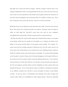slept right next to them and sensed no danger. Likewise, it began to become clear to the American administration that it was being drained; that the ease of entry into more than one war at a time was mere speculative words suitable only for paper; and that the remoteness of the center from the peripheries had a profound effect on its ability to end the wars. All of these results grow more serious day after day. Praise be to God for all eternity.

Behold the blows that are directed toward (America) and its allies in both the East and the West! These blows have continued until this very moment. Therefore, what is the plan by which we shall shape [lit. "provoke"] events from now until we have completely accomplished (by the permission of God) our goals which we mentioned above?

- Diversify and widen the vexation strikes against the Crusader-Zionist enemy in every place in the Islamic world, and even outside of it if possible, so as to disperse the efforts of the alliance of the enemy and thus drain it to the greatest extent possible. For example: If a tourist resort that the Crusaders patronize in Indonesia is hit, all of the tourist resorts in all of the states of the world will have to be secured by the work of additional forces, which are double the ordinary amount, and a huge increase in spending. If a usurious bank belonging to the Crusaders is struck in Turkey, all of the banks belonging to the Crusaders will have to be secured in all of the countries and the (economic) draining will increase. If an oil interest is hit near the port of Aden, there will have to be intensive security measures put in place for all of the oil companies, and their tankers, and the oil pipelines in order to protect them and draining will increase. If two of the apostate authors are killed in a simultaneous operation in two different countries, they will have to secure thousands of writers in other Islamic countries. In this way, there is a diversification and widening of the circle of targets and vexation strikes which are accomplished by small, separate groups. Moreover, repeatedly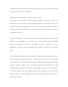(striking) the same kind of target two or three times will make it clear to them that this kind (of target) will continue to be vulnerable.

The targets we must concentrate on and the reasons for that:

We said that we should strike any kind of target permitted in the Sharia. However, it is necessary to focus on economic targets, particularly petroleum. One might say that we will be faced with a media campaign in which every accusation will be directed against us, beginning with (the charge that we) are working to impoverish and weaken the countries economically, and so on.

And some will remind us that when the Islamic Group in Egypt directed its attacks against tourism, it is not appropriate to use their idea now or then since they attacked a forbidden target and weakened the economy of the regime of apostasy. Likewise, it was not appropriate to respond to the media campaign of the regime. We will return to this point (later).

As for attacking economic targets from which the enemy benefits, particularly petrol, the reason for doing so is that this is the core – or at least the prime mover – of the enemy and its great leaders will only be cut down by this means. Hitting economic targets will force (the enemy) to goad the regimes, who are (already) exhausted from protecting the other remaining targets (economic or otherwise), into pumping in more forces for its protection. As a result, feebleness will start to appear in their forces, especially since their forces are limited, for there is a rule for the regimes of apostasy that says: police forces and the army in general, and the forces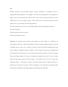battling terrorism and protecting against terrorist operations in particular, must be safeguarded from infiltration. For example, it is better for the department of investigation in Egypt to have five thousand loyal officers than to have twenty thousand which have been infiltrated by one of the Islamic groups. Thus, their forces are limited and select and the regimes have to put in place the following priorities:

First: Personal protection for the royal/ruling families and the presidential institutions. Second: Foreigners.

Third: Petroleum and the economy.

Fourth: Entertainment spots.

Beginning by focusing (one's) interest and attention on these targets is a hindrance (to achieving the objectives), while the peripheries and the crowded, popular regions are devoid of military forces or there are a number of troops in them with brittle leadership and weak power, without a sufficient number of officers. That is because those who are qualified will be positioned for the protection of economic goals and the protection of rulers and kings. Thus, these large numbers of forces are sometimes structurally weak and it is easy to attack them and take large amounts of their weapons. The public will see how the troops flee, heeding nothing. At this point, savagery and chaos begin and these regions will start to suffer from the absence of security. This is in addition to the exhaustion and draining (that results from) attacking the remaining targets and opposing the authorities.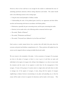However, what we have said here is not enough for the readers to understand the issue of (attacking) petroleum (interests) without raising objections and doubts. The reader should refer to the following sections in the coming topic:

— Using the time-tested principles of military combat

— Understanding the rules of the political game (used by) our opponents and their fellow travelers and interacting with them in accordance with Sharia politics.

- $\equiv$  Polarization, especially the part concerning money and the part concerning the media
- $\overline{\phantom{a}}$  Likewise, let the reader refer to the following articles connected with the topic:
- The article, "Battle of Patience"
- The article, "Polarization and Money"
- The article, "Universal Laws Adhered to by the Elect and Others"

Each section or article (named above) has a portion that will clarify this point about the economy and petrol and facilitate comprehension of it. These portions will explain how the sectors can be targeted without wasting inviolable blood and wealth.

We now return to the remainder of the plan. At the occurrence of savagery: If our groups are close to the place of savagery or there is a way to get to it and there are spies and individuals in the region of savagery who will give their allegiance to us, then we must study the situation and the extent of our capacity to settle there for the management of this savagery. If some of the groups of vexation unite in a single entity and settle there in order to manage one of the regions of savagery, it must, along with the regions of savagery neighboring it, balance between concentrating in one place and spreading out, so that the enemy will be made to know its capacity for deterrence and be made to feel uneasy. This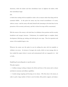deterrence, which the leaders and their subordinates learn of, frightens the leaders, while their subordinates begin

[21]

to think about uniting with the mujahids in order to die as martyrs rather than dying with the tyrannical infidels. At this point the enemy may lean toward reconciliation-of course, without a treaty—and the enemy will satisfy himself with (retreating to) the back lines for the protection of the economy and money, and this is where his troops will be concentrated.

With the return of the enemy to the back lines, he withdraws from positions and the security breakdown and savagery increases. Furthermore, the mujahids begin to complete (their) development, following up, training, and achieving the next steps. Thus the reputation and stature of the mujahids begin to rise.

Whenever the enemy sees this spirit, he can do nothing but unite with the mujahids or withdraw even more. An increase of savagery also results, which we must manage after we have studied the region (where it occurs) and communicated with our vanguards in it. And so forth...

Simplifying the preceding plan on specific points:

This plan requires:

 $\overline{a}$  A military strategy working to disperse the efforts and forces of the enemy and to exhaust and drain its monetary and military capabilities.

 $\sim$  A media strategy targeting and focusing on two classes. (The first) class is the masses, in order to push a large number of them to join the jihad, offer positive support, and adopt a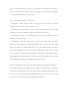negative attitude toward those who do not join the ranks. The second class is the troops of the enemy who have lower salaries, in order to push them to join the ranks of the mujahids or at least to flee from the service of the enemy.

After a suitable period of time, we will work for:

— Developing a military strategy in order to push the forces of the enemy to pull back around the economic targets in order to protect them.

— Developing the media strategy such that it reaches and targets the heart of the middle leadership of the armies of apostasy in order to push them to join the jihad.

 $\frac{p}{n}$  Plan, prepare, and train for the exploitation of the results of the previous points—the outbreak of chaos and savagery.

— Establishing a media plan which seeks, in each of these stages, rational and Sharia justification for the operations, especially (targeting) the masses. (It must be a plan) which escapes the captivity of targeting individuals of the other Islamic groups, who already understand everything! However, the masses are a difficult factor which will be our back and our support in the future, provided that there is transparency in this plan and even an acknowledgment of errors sometimes. This will reveal the lies and tricks of the enemy and firmly establish the impression of our truthfulness among the masses.

When this media plan—from now on, the media committees must designate who plans it accompanies this stage of the administration of savagery, its specific target is to (motivate) crowds drawn from the masses to fly to the regions which we manage, particularly the youth after news of (our) transparency and truthfulness reaches them so that they may be fully aware of the loss of money, people, and worldly gains [lit. "fruits"].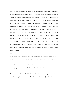Notice that when we say that the masses are the difficult factor, our meaning is not that we make our movement dependent on them. We know that they not generally dependable on account of what the Taghuts created in their structure. (We also know) that there is no improvement for the general public until there is victory. (As for) whoever ignores the masses and presumes expects that they will (represent) the majority, the role of media politics is to gain their sympathy, or at the very least neutralize them. However it has been decreed for us that we have among the people—by the permission of God and through His power—a reserve (capable of) effective action, on the condition that we undertake what we must in ways that will polarize the elect of this Umma from the rest of the masses. We beseech God to forgive us our sins so that we may be counted as one of them. On the assumption that we need half a million mujahids for our long battle until it ends as we wish (by the permission of God), the possibility of adding this number from a nation of one billion people is easier than adding them from the youth of the Islamic movement who are (already) polluted

### [22]

by the doubts of the evil shaykhs. The youth of the nation are closer to the innate nature (of humans) on account of the rebelliousness within them, which the experiences of the past decades confirm for us. As for recent events, it has become clear to all that the common person, by his innate nature, has dealt with them in a much better manner than the inert Islamic groups who surrender their religion to the evil monks and rabbis.

We note that sometimes much of the thinking which shapes a media topic must be directed towards refuting the doubts of the evil shaykhs, even if it is a subject directed toward the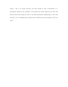masses. This is no doubt necessary, but there should be more concentration on a presentation tailored to the mentality of the people and (which addresses) the ideas that prevent them from joining the ranks of the jihad, particularly (emphasizing) to them that they have a way of thinking and a sentiment that is different from the mentality of "the two ways"!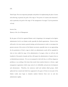Third Topic: The most important principles and policies for implementing the plan of action and achieving, in general, the goals of the stage of "the power of vexation and exhaustion"; and, in particular, the goals of the stage of "the management of savagery" (by the permission of God)

#### Section One

## Mastery of the Art of Management

By the grace of God, the organized Islamic work is beginning to be managed on the highest administrative level in our Islamic world, especially the jihadi organizations. However there still needs to be more mastery, general training, and advancement in order to encompass the greatest amount of the sectors of the Islamic movement, especially since we are approaching (by the permission of God) a stage in which our administrative needs will be expanded in what we have called the stage of the administration of savagery, where we will mix with hundreds of thousands of people and they will require the administration of regions from us as diminished governments. If we are not prepared to deal with that, we will face dangerous problems, to say nothing of the harm (that results from) random behavior or (from) a rigid management organization which stops action by its inflexibility and prevents development and advancement. Therefore, the numerous small and medium jihadi groups, which upheavals have created and which have appeared, by the grace of God, in every part of the Islamic world, must begin to abandon random behavior from now on and also administrative rigidity.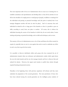The most important skill of the art of administration that we must use is learning how to establish committees and specializations and dividing labor so that all the activities do not fall on the shoulders of a single person or small group of people, in addition to training all of the individuals and passing on practical knowledge until (the point is reached) that if one manager disappears another will arise (to take his place). And it is necessary that each individual be trained in all or a large part of the branches so that it is possible to pass on skills, according to need, from one place to another. Of course, this is without the individuals knowing the secrets of the branches in which they do not work; rather, I mean training and passing on practical knowledge, such as skills and techniques, and no more.

The mastery of the art of administration saves a lot of time and blesses the effort exerted (to acquire it), especially since we are in a race against time and we need to undertake any effort in such a way that we get the best results.

It is possible to discover individuals within each group who have mastered the art of administration innately (there are references and administrative studies which speak about the one who leads innately and the one who manages innately and how to discover him and unleash his talents). However, the urgent need remains to polish these talents through acquired learning and practical exercise.

Naturally, in the beginning those with previous experience will advance and they must undertake the preparation of the second generation. The most prominent of those who have been selected among the second generation are the intelligent, pious students of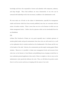knowledge and those who responded to horrors and calamities with composure, calmness, and deep thought. These final attributes are more characteristic of one who can be entrusted with leadership work in the movement, in addition to his administrative work.

We must make use of books on the subject of administration, especially the management studies and theories which have been recently published, since they are consonant with the nature of modern societies. There is more than one site on the Internet in which one can obtain management books. I believe that the epitomes which can be downloaded from the site Mufakkirat

## [24]

al-Islam (The Notebook of Islam) are very good, especially since it includes epitomes of modern global studies and good commentaries from those who are well-versed in it, as well as the explanation that its modern methods are the fundamentals of the Sunna and the way of the leaders of the salaf. Likewise, the commentaries provide ample warning against Sharia mistakes. Moreover, it is possible to obtain more management books and resources from other sites on the Internet or from libraries and publishing houses, keeping in mind that we must undertake practical application when study of them is complete so that we may see the administrative styles (positively) influence the work. Thus, we will defuse the positive results from it to all our sectors and more, in keeping with the nature of our work.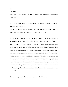#### Section Two

Who Leads, Who Manages, and Who Authorizes the Fundamental Administrative Decisions?

There is a dependable rule in Islamic activism which is, "Not every leader is a manager and not every manager is a leader".

If we were to abide by what we mentioned in the previous point, we should change (this phrase) into "Every leader is a manager but not every manager is a leader".

The manager or executive is any individual within the movement or the group—who has mastered the art of administration—who can be appointed to manage a financial or nutritional sector or the like without him knowing, to the extent possible, the secrets which would harm the work. And as for the leader, he must be the object of complete reliance within the movement, and entrusted with its actions and its secrets. The leaders no doubt know many of the secrets of the movement to the same extent. Some of the leaders issue fundamental and secondary administrative decisions, while others issue decisions that include Sharia dimensions. Therefore, in our plan we open the door of management wide to those who have mastered its art. As for the door of leadership, it is only open to those who are reliable, even though there is a security apparatus which keeps watch over the two doors, monitoring the professionalism of the actions of the leaders and the managers in order to prevent infiltration.

An important aspect of the higher administrative and political decisions: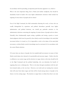In accordance with the preceding, an important point becomes apparent to us, which is: What is the most important thing, from a Sharia and realistic standpoint, that should be abundantly found in leaders who issue higher administrative decisions which include the targeting of some classes of people and not others?

Even if the High Command, the field commanders directing the work, or those who are usually distinguished by experience and political shrewdness generally issue higher administrative and political decisions, one should pay particular attention to the administrative decisions concerning the targeting of certain classes of people and not others. Naturally, these fundamentally require setting a guideline and issuing a precise or secret sharia judgment which must be passed by those firmly-rooted in knowledge in the main jihad movement before it is issued, or, if it is impossible to refer to the ulama of the main jihad movement, a scholar firmly-rooted in knowledge must be convinced of it in accordance with the correct Sharia criterions.

Of course there are classes of people who the mujahid-salafi movements, by means of their firmly-rooted ulama, have deemed to be permissible and necessary targets. I believe that this is sufficient at our current stage and the decision (to target others) at this time should be left to the High Command and the political leadership, who can determine the benefit of targeting them now or delaying that. This is to be done through consultation with the midlevel, learned cadres, at the very least. However, our words and our warning here concern what will come from (later) stages and what will be found among classes of people in the future or in the coming stages. The decision to target them or refrain from that is not only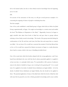left to the learned cadres, but also to those firmly-rooted in knowledge from the beginning, just as we said.

[26]

On account of the seriousness of this issue, we will give several previous examples of it concerning the targeting of classes of people or refraining from that:

#### The first example:

One of the youth established a small jihadi group in Egypt which did not follow the Jihad Group, organizationally, in Egypt. He sought out knowledge to a certain extent and studied the book "The Reliance in Preparation of the Many". Regrettably, however, he began to apply scientific rules taken from books of jihad law and gave them to groups without referring to those firmly-rooted in knowledge. The bonds of his group unraveled during the confrontations of the 90s and that youth (may God bless him and accept him as a martyr) was killed. I do not know if he would have corrected that mistake if God had allowed him to live or if he would have exposed the Islamic movements in Egypt to a media distortion that is hard to counter, which is the issue of shedding inviolable blood.

One of the sound rules which this brother adopted with the wrong application—and I have heard from individuals who were with him that he almost practically applied it or applied it at least one time—is a principle which states, "It is permissible to kill a person of unknown status in the abode of unbelief as long as one is striving for the general good". It is a sound rule, if it is applied to the abode of unbelief whose inhabitants are largely infidels. As for the abode of unbelief whose inhabitants are largely Muslim, that rule should not be applied to them. The practical application of many of the jihadi rules which the books of jihad law deal with must first be passed by one who is firmly-grounded in knowledge and he must confirm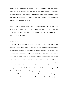it before the field commanders can apply it. Of course, it is not necessary to refer to those firmly-grounded in knowledge every time, particularly if that is impractical. However, a guideline for targeting a class of people or undertaking a certain kind of action must, before it is authorized and repeated, be passed by those who are firmly-rooted in knowledge (before) the first attempt, at the very least.

Note: The person of unknown status intended here is one for whom there is no indication as to whether he is a Muslim or an infidel. There are no visible signs on him of being a Muslim and likewise there is no visible sign on him of being an infidel and it is not known if he is one of the violators of Islam.

#### The Second Example:

In the previous example we saw how the failure to grasp the problem in the subject of "the person of unknown status" almost led to disaster. In this second example, the error arises from the failure to grasp or the ignorance of another problem, which is "the Muslim whose status is hidden". This is a more weighty issue than the previous one and we suffer from its effects until the present time. It happened after a group of ignorant and inexperienced people took control of the leadership of the movement of the armed Islamic group in Algeria after the death of one leader after another and the death of those who have a good amount of discipline. The new leadership authorized an unjust rule, based on dubious proofs, which is set forth in the principle, "Everyone who is not with us is against us". Those people classify the noncompliant people as oppressors and innovators and they, meaning any Islamic group, do not operate under their banner, even though they were correct to declare that those who fought for the sake of the elections (in Algeria) were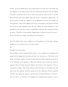heretics. As for the Muslim masses, they consider them to be in the class of the infidels who give allegiance to the Taghut, because they do not disassociate themselves from the Taghut. Of course, it is possible that the rule is sound if they mean by it that one who is not with them and assists their enemy against them, with any sort of assistance, is against them. As for the manner in which they applied it, it is an application that arises from rational and sharia ignorance. This is what happens when one gives precedence to the ignorant and their like among the ulama regarding matters like this. Rather, the correct application of this principle does not mean that we rush out immediately to kill every class of people that assists the enemy. Therefore, we may postpone (killing) classes of people who assist the enemy like the evil ulama, for example—according to the circumstances.

Note: The Muslim whose status is hidden is one who manifests one of the signs of being a Muslim, but it is not known if he is one of the violators.

[27]

Examples of the other aspect:

The preceding was about targeting specific groups. As for examples of not targeting some groups, that has happened (in the past) and there is no objection to it. The history of the Islamic movements, which on some days boldly rushed into battle in opposition to the Jews, or the Christians, or the apostates, is filled with unfruitful years in which one could not target the classes of people among the Taghuts, their armies, or their supporters. This is a characteristic of Islam. What Hasan al-Banna (may God forgive us and forgive him) said about those who undertake operations against those who collaborate with the occupation and those who support the Taghuts—and those who surrendered Palestine to the Jews does not refer to us, inasmuch as he disapproved (of targeting those groups) to such an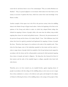extent that he said about them in one of his communiqués: "They are neither Brethren nor Muslims." Thus, he passed judgment on movements which almost lost their fruits (to the enemy) on account of opinions like these, which have arisen from weak knowledge of the Sharia or reality.

Another example of that aspect was in the 90s in the previous century when the middling ulama in the Islamic Group in Egypt issued orders—before the beginning of the fitna in the opinions of the Group and within its ranks—in which they adopted Sharia rulings that forbade the targeting of classes of people, while at the same time the military wing avoided targeting these classes for tactical and political reasons. (However), the pronouncements of the previous Group and the fatwas of its leader, Shaykh `Umar `Abd al-Rahman (may God release him from his captivity) permitted and legitimated the targeting of classes of people like these. Therefore, there began to be confusion in the ranks of the mujahid youth. Then when the fitna began, some of the leadership expanded on that matter and they made it a crime to target classes of people which the mujahids of the Group had previously targeted in accordance with the fatwas and the well-grounded, sound proofs which permitted targeting those classes of people and made it obligatory. By doing that, they betrayed the blood of their martyrs and the ranks of the mujahids began to collapse, especially when faced with other factors.

Therefore, just as we have warned you, my mujahid brother, against targeting classes of people in accordance with (the rulings of) the middling ulama, we also warn you not to target those whose eradication is a mercy to the believers and a glory and triumph for the religion (of Islam) by following the fatwas of the middling ulama or the sayings of the people of false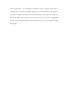rumor and ignorance. As for delaying the targeting of classes of people among them in accordance with the wishes of the High Command or the field commanders in the regions, it is for them to decide in accordance with their determination of the benefit of carrying out a jihadi action against them. However, one must be very wary of the person of exaggerated erudition who comes and determines that this delay is because it is not permissible to target these groups.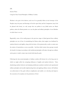### Section Three

Using the Time-Tested Principles of Military Combat

Wisdom is the goal of the believer, and even if we generally follow in the footsteps of the Prophet (may the peace and blessings of God be upon him) and his Companions (may God be pleased with them), we only accept that our policies in any jihadi action are Sharia policies, unless the Sharia permits us to use the plans and military principles of non-Muslims in which there is no sin.

Regrettably, some of the small groups in the previous stages of jihad ignored these military principles not out of fear of contradicting the Sharia; rather, their neglect was facilitated by random behavior and rigidity, along with the desire of the praiseworthy youths to attain unto the station of martyrdom as soon as possible. And that which orients those groups towards the benefit of acting in accordance with intellectual principles will make, through any military action great or small, a major step toward achieving the goals.

Following the time-tested principles of military combat will shorten for us the long years in which we might suffer the corrupting influences of rigidity and random behavior. Truly, abandoning random behavior and adopting intellectual, academic methods and experimental military principles and actually implementing them and applying military science will facilitate our achievement of the goals without complication and enable us to develop and improve the execution (of our plans), by the permission of God.

## [28]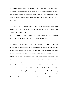The teaching of these principles to individuals opens a wide vista before their eyes for creativity and perhaps extraordinary leaders will emerge from among them who will write their theories in books of modern history, especially since the books of this art in our time ignore the fact that most of its fundamental principles were taken from the ways of our forefathers.

Here I will mention some examples related to a few of the principles in order to sharpen the mind and clarify the importance of following these principles in order to improve the efficacy of our military actions.

— There is an important principle which states, "If regular armies concentrate in one place they lose control. Conversely, if they spread out, they lose effectiveness".

The first half of this principle directs us to focus our military operations on creating a disturbance in the balance between the conglomeration of the forces of the enemy and their dispersion. The meaning of the first half (of the principle) is that when we target something, it is impossible for the enemy to put massive amounts of forces in this place. And if they do, they will lose control when the first shot is fired and their forces will hit each other. Therefore, the enemy will put in place forces that are commensurate with the nature and size of the location. Thus, we must know the nature and types of locations in which the size of the enemy's forces enables us to prepare a force to attack it, because it is impossible for the enemy to increase its forces within it. Likewise, we learn, in the first half (of the principle), of the importance of learning the art of choosing the location of the clash with the enemy under any time or circumstances when a clash is imposed upon us. As for the second half of the principle, it is the most important and has an effect on the first half. (The second half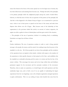states) that whenever the forces of the enemy spread out over the largest area of terrain, they lose their effectiveness and attacking them becomes easy. Perhaps this half (of the principle) is the primary principle which the enlightened people among the youths of jihad follow. Likewise, we find that most of those who are ignorant of this portion (of the principle) fail. And this is what happened to the Islamic Group in Egypt—as we mentioned in a previous essay—when it was in their power to spread out the forces of the enemy and make them disperse their efforts over all of Egypt. (But) because some of the leadership (of that organization) in the provinces halted this activity on account of various exigencies, the regime was able to gather its forces in limited places and then gain control of the situation.

q The principles of the rate of operations, whether it is escalating, fixed, or undulating. Sometimes our stages have all three of them.

### [29]

Further clarification: The rate of operations escalates in order to send a living, practical message to the people, the masses, and the enemy's low-ranking troops that the power of the mujahids is on the rise. All of those people do not know these principles and the escalation of the operations leaves an imprint in their minds—whether with respect to the number (of the operations) or their specific character or their spread or all of that—and establishes that the mujahids are continually advancing and the enemy is in retreat and that the fate of the enemy is defeat. This encourages the masses and revives hope within them and facilitates permanent support for the movement and the automatic escalation of the movement. Therefore, when we plan our operations, we should begin with small operations and then (undertake) larger ones, and so forth—even if we are capable of undertaking the largest (operations) from the very beginning—just as the al-Qaeda organization arranged operations to ignite confrontation. This is to say nothing of many other benefits that come from the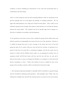escalation of actions, including the advancement of the youth and accustoming them to confrontation and other things.

And it is worth noting here that the half concerning diffusion which we mentioned in the previous principle does not work against the principle of escalating operations. We can begin with small operations over a large area of land in remote places. After a while, we can undertake operations that are larger with respect to kind and then we can shrink the distance between the remote places. The escalation may be for specific stage, then it changes to a fixed rate or undulates in accordance with developments.

As for operations in the form of waves, that is suitable for groups whose military bases and defensive positions are impregnable, but remote from the site of the operations. Likewise, it is suitable for groups that want to send a message to the enemy that waves of fear and paying the price for its actions will never end, and that the cessation of operations for a period of time does not mean this is a permanent stoppage, such that the enemy may do whatever it wishes with the Muslim masses; rather, we are preparing for another wave of operations which will fill their hearts with fear and this fear will have no end, and it behooves the enemy to cease its evil against the Muslims or to minimize it so that when God decrees something, it is done. I believe this method of waves is suitable for most of the groups in the secondary countries, which we mentioned in the previous topic.

 $\longrightarrow$  Also among the important principles is a principle which is beneficial as a general strategy and also beneficial for planning small operations. (This principle) states: "Strike with your striking force multiple times and with the maximum power you possess in the most locations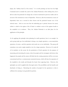[niqat, also "military bases"] of the enemy." It is worth pointing out here how the High Command used to consider the youth of the Arabian Peninsula as their striking force, but it did not select the peninsula for change due to factors mentioned in previous studies and on account of the momentous events of September. However, after the momentous events (of September) there was a reversal in these factors and the peninsula became one of the selected states. And we even note that the leadership gave it priority because the enemy within it—which is the regime of the Al Saud—is similar to most of the regimes hostile to the mujahids in its weakness. Thus, the Arabian Peninsula is an ideal place for the application of this principle.

As for applying this principle when planning for small operations, here is an example: An active group made up of ten individuals is facing a very simple operation—a non-martyrdom operation, of course—and this operation only needs one or two individuals. The group will sometimes even send a single mujahid or two for a larger operation. However, if it sends all of its members on this secure (by the permission of God) operation for the purpose of massacring and terrorizing the enemy, when the people and the newspapers talk about what happened, the people and the enemy will think that the coming operations will be even more concentrated and have a commensurate numerical increase, which will raise the reputation of the mujahids in the media and dissuade the hearts from opposing them. However, this (principle) can only be applied after thorough study of the possibilities and the benefits and drawbacks of doing so. Restricting the number (of people for the operation) to what is sufficient (for carrying it out) generally has priority.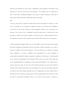Likewise, this principle has other areas (of application) under different circumstances and exigencies, as is the case with most of the principles. For example, there is a target that is easy to strike, like a building belonging to the enemy in which meetings are held and so forth, and it is destroyed with a small booby trap, even though

# [30]

we have a good cache of explosives which had not been used during our activities. In this case, it is possible to use a quantity of explosives which not only destroys the building or even levels it to the earth; it makes the earth completely swallow it up. By doing so, the amount of the enemy's fear is multiplied and good media goals are achieved, the most prominent of which is the enemy's inability to conceal its losses. Similar operations have to be repeated over and over and a number of good results will be achieved as a consequence.

Another important principle which was one of the pillars of wars in the past and nowadays and which strategists and historians still say the groups of jihad concentrate on in order to hasten the collapse of all of their enemies is, "The most likely way to defeat the strongest enemy militarily is to drain it militarily and economically"-of course, (draining it) economically is primarily by military operations, in addition to other means. Even Rumsfeld says to reporters in justification for his setbacks: "What more can we do?! Don't forget that we are spending billions in combating an enemy that spends millions." He is right and, to a certain extent, he is lying. Even if one of the foreign researchers says that what caused the downfall of the former Soviet Union was the draining of its economic and military capacities in small wars and other things, especially the war of Afghanistan and what resulted from it, and that the fate of America in the present wars will be approximately the same fate, he ends his study by sarcastically remarking, "There is no reason for the enemies of America to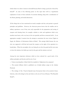further drain it in order to hasten its downfall because Bush is doing a good job of that all by himself!" In some of the following points on this topic there will be a hypothetical explanation of some of those methods of economic draining, along with a consideration of the Sharia, planning, and media dimensions.

All the things that we have mentioned are merely examples and they each pertain to general principles and guidelines. However, the observant person knows that the smallest unit in military operations—even if they were only responsible for the preparation and storing of weapons and cleaning them, for example—submits to rules and regulations which every member must learn, at the very least, in his own specialty and those connected with it. As an appropriate example, I mention here the attempt to assassinate the most vicious Taghut in Egypt, the Minister of Information Safwat al-Sharif. This attempt failed because the one who was supposed to kill him had stored the weapon on the night of the operation in a humid place. When his accomplice who was facing the car shot the guard and his turn came to shoot the minister, the bullets got stuck (in the gun) and the minister survived.

Among the most important references which we have selected for a good study of the military principles and theories and the arts of war:

q Various encyclopedias of jihad which the mujahids of Afghanistan have prepared

q The journal al-Battar which is published out of jihadi military camps in the Arabian Peninsula

— The writings of Abu `Ubayd al-Qurashi (may God protect him) in the journal al-Ansar. Likewise, other old writings by him and others on the site al-Uswa al-Hasana ("The Beautiful Model").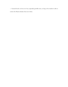- General books on the art of war, especially guerrilla wars, as long as the student is able to correct the Sharia mistakes that are in them.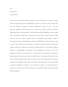### Section Four

#### Using Violence

Those who study theoretical jihad, meaning they study only jihad as it is written on paper, will never grasp this point well. Regrettably, the youth in our Umma, since the time when they were stripped of weapons, no longer understand the nature of wars. One who previously engaged in jihad knows that it is naught but violence, crudeness, terrorism, frightening (others), and massacring—I am talking about jihad and fighting, not about Islam and one should not confuse them. (Moreover, he knows) that he cannot continue to fight and move from one stage to another unless the beginning stage contains a stage of massacring the enemy and making him homeless [or "frightened"]. However, there is often a need for this violence in the other stages. (Further), he cannot continue the jihad with softness, whether the softness is in the mode of inviting others to join (the jihad), taking up positions, or (undertaking) the operations, since the ingredient of softness is one of the ingredients of failure for any jihadi action. It is better for those who have the intention to begin a jihadi action and are also soft to sit in their homes. If not, failure will be their lot and they will suffer shock afterwards. Whoever wants to verify and understand what I mean, he should (read) biographies and histories and examine what happened to the modern jihadi movement. Regardless of whether we use harshness or softness, our enemies will not be merciful to us if they seize us. Thus, it behooves us to make them think one thousand times before attacking us.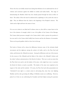Those who have not boldly entered wars during their lifetimes do not understand the role of violence and coarseness against the infidels in combat and media battles. The stage of domesticating the Muslims which they have already passed through has had an effect on them. The reality of this role must be understood by explaining it to the youth who want to fight. They are different from the Arabs at the beginning of the Prophet's mission. The Arabs used to fight and know the nature of wars.

If we are not violent in our jihad and if softness seizes us, that will be a major factor in the loss of the element of strength, which is one of the pillars of the Umma of the Message. The Umma which possesses strength is the Umma which is able to protect the positions it has won and it is the Umma which boldly faces horrors and has the firmness of mountains. These are the good qualities which we have lost in this age.

The books of history tell us about the differences between some of the reformist jihadi movements and the righteous among the seekers (of truth), such as the Pure Soul and others, and between the Abbasid movement. Among the differences and one of the reasons for the success of the Abbasids and the failure of the others is the Abbasids' violence and the others' softness and protection of the blood (of others). This was to such an extent that the Pure Soul even used to ask the leaders of his army—who might have won—to protect the blood (of others) as much as possible. The leaders of his army were surprised at the request of the ruler and his method. Of course, the Pure Soul and other peacemakers [or XreformistsY] were right to a certain extent in advocating that, since they were fighting Muslims and the rules governing the killing of (Muslim) tyrants are conflicting. However, praise be to God, we are confronting the Crusaders and their helpers among the apostates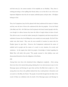and their army [i.e. the current enemies of the mujahids are not Muslim]. Thus, there is nothing preventing us from spilling their blood; rather, we see that this is one of the most important obligations since they do not repent, undertake prayer, and give alms. All religion belongs to God.

Thus, the Companions (may God be pleased with them) understood the matter of violence and they were the best of those who understood this after the prophets. Even the Friend (Abu Bakr) and Ali b. Abi Talib (may God be pleased with them) burned (people) with fire, even though it is odious, because they knew the effect of rough violence in times of need. They did not carry it out and the leaders (among the Companions) and their troops did not undertake it because they loved killing; they were certainly not coarse people. By God! How tender were their hearts! They were the most merciful of creation by nature after the Prophet (peace be upon him). However, (the Companions) understood the nature of unbelief and its people and the nature of a need, in every situation, for severity and tenderness. In this regard, that which the people of knowledge of related regarding the Ridda Wars will clarify (this point): "The people returned to their Jahiliyya state and disassociated themselves from the obligations of the Sharia.

# [32]

Among them were those who abandoned (these obligations) completely. (Also) among them were those who rejected alms giving, claiming that it was only necessary to pay it to the Messenger (peace and blessings be upon him) and that Abu Bakr had no right to it. Also among them were those who publicly declared that they would perform it themselves and not send it to Abu Bakr, the Friend. The people of weak faith thought that the blade of the sword of Islam was withdrawn after the death of the Messenger (peace and blessings be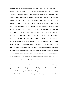upon him) and they seized the opportunity to exit this religion. Thus, apostasy took hold of the Arabian Peninsula and nothing remained to Islam save Mecca, Ta'if, Jawathi in Bahrain, and Medina. Apostasy encompassed tribes, villages, and groups and the Companions of the Messenger (peace and blessings be upon him) rightfully rose against it and they zealously repulsed it and kept it at bay and they raised the head of diligence and jihad against it. An unfamiliar coarseness was seen in Abu Bakr (may God be pleased with him) that had not been witnessed previously. This was to such an extent that when messengers came to him with bad news which terrified the men, he only instructed (them) to increase the war and the fire. Dirar b. al-Azwar said: "I saw no one other than the Messenger of God (peace and blessings be upon him) who was more filled with the ruthlessness of war than Abu Bakr. We once informed him of evil news about the apostasy and its magnitude and it was as if what we had told him did not bother him at all. His orders for the army dealt only with the matter of severing the neck without clemency or slowness. And he (may God be pleased him) even burned a man named Iyas b. `Abd Allah b. `Abd Yalil, nicknamed al-Faja'a, when he cheated him by taking the money for the jihad against the apostates and then joined them, or more accurately became a brigand. The war spread across the whole peninsula and none of the Companions of the Messenger of God were concerned about it; rather, they were men of war and its people until the peninsula returned to the rule of Islam and its authority".

We are now in circumstances resembling the circumstances after the death of the Messenger (peace and blessings be upon him) and the outbreak of apostasy or the like of that which the believers faced in the beginning of the jihad. Thus, we need to massacre (others) and (to take) actions like those that were undertaken against the Banu Qurayza and their like. But if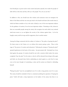God should give us power and we take control and justice spreads, how tender the people of faith will be at that time and they will say to the people: "Go, for you are free."

In addition to this, one should note that violence and coarseness must not transgress the limits of the Sharia and that one must pay heed to the benefit and harm (that results from) it, which the Sharia considers to be, in the rules of jihad, as one of the most important subjects for the guidance of creation, if not the most important subject. Pertaining to this, whenever there are reasonable people among the enemy who recognize the truth which every rational mind must assent to, we can lighten the severity of the violence against them. As for the haughty enemy and his troops and his supporters, that is another matter.

Among the things connected with the subject of violence is "the policy of paying the price": No harm comes to the Umma or to us without (the enemy) paying a price. Thus, in this stage of "the power of vexation and exhaustion," following the strategy of "paying the price" spreads hopelessness in the hearts of the enemy. Any preventative [lit. "aborting"] act of any kind against the groups of vexation should be met with a reaction which makes the enemy completely "pay the price" for his crime so that he will be deterred from doing its like again and think one thousand times before undertaking an attack against us, such that he stops even at the mere thought of committing a crime and his actions are limited to defending himself.

"Paying the price" must be accomplished even if it is after a long period, even if it is years. The enemy should be reminded of that in a statement justifying the operation of "paying the price," which will make a deep impression on the leaders of the enemy that there is no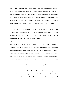hostile action they can undertake against Islam and its people, or against the mujahids for which they, their supporters, or their most powerful institutions will not pay a price over a long or short period of time. On account of that, feelings of hopelessness will creep into the enemy and he will begin to think about leaving the arena on account of his hopelessness because of his love for the world in the face of generations of mujahids who will persist in the battle and not be agitated by upheavals, but rather motivated by them to respond.

As for the stage of "the administration of savagery," we will confront the problem of the aerial attacks of the enemy  $-$  crusader or apostate  $-$  on military training camps or residential regions in areas which we administer. Even though defensive fortifications and trenches are put in place to deal with that problem, we should also follow

[33]

the policy of "paying the price" when confronting the crime of the enemy. The policy of "paying the price" in this situation will deter the enemy and make him think one thousand times before attacking regions managed by a regime of the administration of savagery because he knows that he will pay the price (for doing so), even if (the retribution) comes later. Thus, the enemy will be inclined toward reconciliation, which will enable the regions of savagery to catch their breath and progress. This reconciliation means a temporary stop to fighting without any kind of treaties and concessions. We do not believe in an armistice with the apostate enemy, even if it was brokered with the primary infidel.

Here is an important point: It is best if those that undertake operations of "paying the price" are other groups in other regions against which no hostility has been directed. There are a number of benefits in this, which we will expand on in the section concerning "power"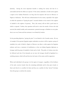[shawka]. Among the most important benefits is making the enemy feel that he is surrounded and that his affairs are exposed. If the enemy undertakes a hostile action against a region in the Arabian Peninsula or in Iraq, then the response will occur in Morocco or Nigeria or Indonesia. This will cause embarrassment for the enemy, especially if the region in which the operation of "paying the price" occurred submits to the control of the regimes of unbelief or the regimes of apostasy. Thus, (the enemy) will not find a good arena in which to respond. Further, that operation will work to raise the morale of those who had received (the initial) hostility and communicate a practical message to Muslims in every place that we are one Umma and that assistance is not limited by borders.

In the preceding depiction, "paying the price" is not limited to the Crusader enemy. By way of example, if the apostate Egyptian regime undertakes an action to kill or capture a group of mujahids, the youth of jihad in Algeria or Morocco can direct a strike against the Egyptian embassy and issue a statement of justification, or they can kidnap Egyptian diplomats as hostages until the group of mujahids is freed, and so forth. The policy of violence must also be followed such that if the demands are not met, the hostages should be liquidated in a terrifying manner, which will send fear into the hearts of the enemy and his supporters.

When each individual in the group or in the region of savagery—regardless of the lowliness of his rank—receives loyalty from the remaining individuals and he then gives loyalty to them such that he is a sacrifice for them and they are a sacrifice for him, "power" develops from this group to confront the enemies.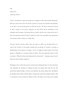#### Section Five

Achieving "Power"

"Power" (al-shawka) is achieved through ties of religious loyalty (bil-muwālāh al-īmāniyya). When the enemy knows that if he breaks a portion of a group, the remainder will capitulate, we are able to say that this group has not achieved "power". But if the enemy knows that if he kills a portion of the group, vengeance for their blood will be undertaken by the remainder and the targets of the group will stay in place until they have destroyed the last of them, that group has achieved "power" which the enemy fears, especially if the organization of the group is hard to destroy in a single strike.

The great "power" and that which causes the enemy to reflect one thousand times are a result of the "powers" of the groups, whether they are groups of "vexation" or groups of administration in the regions of savagery. The tie of religious loyalty between all of these groups is embodied in a covenant written in blood. The most important clause (of this covenant) is: "Blood for blood and destruction for destruction". Attaining a great "power" makes the enemy unable to oppose it.

Pertaining to this, I said in the previous section about "paying the price": It is best that those who undertake the operation of "paying the price" are groups other than the one who received the (initial) hostility, so that we can embarrass the enemy, distract him, and disperse his thought and his efforts until the region or group that received the (initial) hostility is able to reconstitute its forces and get its affairs in order. By doing so, the Umma (can) visualize

#### [34]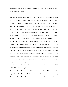the value of the ties of religious loyalty and its ability to establish a "power" which the forces of evil cannot stand before.

Regarding this, we note that we consider our jihad in this stage to be the jihad of an Umma. Therefore, the rule of Islam has been firmly established for each individual, group, or band and they enter the jihad and exchange loyalty with us on the basis of "blood for blood and destruction for destruction." They are a part of the mujahid movement, even if they differ over the correct method in intellectual and operational matters, as long as these differences are over interpretation rather than intent – knowledge of this is determined from the context of circumstances  $-$  and (as long as) they do not publicly acknowledge any (matter of) difference. There are several examples of this throughout history. For example, Shaykh al-Islam Ibn Taymiyya attacked the Asharis in his books and exposed the corruption of their school; this was in a place where he was speaking of their heretical doctrines and actions. Yet even though these people were undoubtedly heretical, they aided Islam and its people. It is clear to you that even though the rulers in Egypt and Syria used to favor the Ashari ulama, they devoted themselves to aiding Islam and engaging in jihad in the path of God against the Tartars. Thus, in another place concerning loyalty, the sheltering (of troops), and (the offering of) assistance (for jihad), the Shaykh al-Islam said that they were the victorious sect (al-tā'ifa al-mansūra) in Syria and Egypt and he noted that the troops did not necessarily subscribe to the doctrine of the leaders who favored the Asharis. Likewise, he praised Salah al-Din al-Ayyubi for aiding Islam against the crusaders and aiding the Sunna against the Batinis, even though the school of the Asharis was the school of Salah al-Din's state. In this regard, the Shaykh al-Islam said: "... (The doctrine) of predestination was widespread among the people of Basra. If one abandons the transmission of hadith from them, we will not be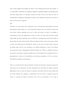able to study (religious) knowledge, the Sunna, or the writings preserved by these people. If it is impossible to determine the (religious) obligations regarding (religious) knowledge, jihad, and other things unless it is through a heretic, the harm of this is less than the harm of abandoning that obligation: Obtaining the benefit of the obligation along with an amount of harm is better than the opposite.

[35]

Therefore, we must respect those among the sects or among the general public who desire jihad and give (their) loyalty to us. We accept them, help [or "give our loyalty to"] them, and assist them, without imputing any error to them and trying to correct it according to circumstances, need, and opportunity, as long as it does not cause fitnas and harm which might afflict the jihad, especially since its benefit [i.e. tolerating their errors] will usually be greater [than the harm which results]. When the denial (of their errors) causes greater fitnas or harm, then denial must be abandoned. However, one must not make (their) erroneous act public, either with an overt statement or an indirect admission as some of the Islamic movements have done. Regarding this, Shaykh al-Islam says: "There is a difference between the scholar or the prince ceasing to prohibit some of the people from something if there is a preponderance of harm in the prohibition, and between permitting it in his own actions. This differs according to circumstances."

There is no doubt that the mutual exchange of loyalty and assistance among the groups has taken place (by the permission of God), especially those that follow the High Command. Regrettably, however, when the theatre of operations and battle with the enemy widens and the enemy blunders into igniting a confrontation with the classes of people among the Umma or among the Islamic movements who were not previously on the map of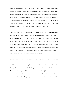opposition, we expect (to see) the appearance of groups among the masses or among the movements who will not exchange loyalty with the jihadi movement on account of the disunion that exists in the Umma, the widespread ignorance, and differences that are present in the theatre (of operations and battle). They only confront the enemy for the sake of acquiring specific things or so that the enemy will leave them alone, and so forth, especially since they have refrained from declaring loyalty to the High Command in order to ensure that the enemy will not concentrate its pressure and operations upon them.

If that stage confronts us, our role—even if we were originally striving to unite the Umma under a single banner—is to spread awareness among the classes of people of the Umma as to the importance of uniting goals and methods and exchanging loyalty because this is the way that causes the enemy to fear us, since he will not be able to isolate us and we will be able to achieve the goals we desire. When our goals are united, the groups will be united and our power will be more firmly established and have a greater effect and change reality for the better (by the permission of God), especially since this will be in opposition to classes of people among the enemy whose goals differ from each other.

The goal which we created for the sake of the people and which we must all strive toward and which contain the good of this world and of the next must be conveyed to the people all of the people—in a simple form, free from complication and prolixity. There is no value for any effort or sacrifices we will offer in opposition to the Crusader or Zionist enemy or the apostate if the goal which is to be attained from these (efforts) is meager or of temporary, limited benefit. Or worse, we submit our souls and our abilities to a new Taghut in the form of an individual, a group, or a new constitution that is not based on the divine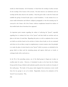model, by which humanity—all of humanity—is freed from the worship of (other) servants for the worship of the Creator of the servants. He alone deserves our submission and our worship and He alone deserves the sacrifices. Only this goal is able to unite the Umma and establish the giving of mutual loyalty upon a sound foundation. It only remains for us to create media information and effective (religious) propaganda so that this meaning may be conveyed to the Umma—all of the Umma—without complication beneath the shadow of that terrible battle whose foretokens have appeared.

An important point remains regarding the subject of achieving the "power", especially regarding how to estimate the force of the "power" and then build our activities and our plans on the basis of sound data. Regarding this point, we wish to emphasize that we must not build our activities based on the activities of others whose loyalty we do not command and whom we do not direct, except in complementary or narrow matters, since the principle is to make the plans of action based on true "power" which we possess, as embodied in the group which we direct and the remaining groups and regions which give us loyalty or exchange loyalty with us and assist us.

In the 90s of the preceding century, one of the jihadi groups in Egypt put in place an excellent plan for action. However, it formulated its plan on the basis that the Islamic Group and the Group of Jihad would undertake specific actions that would serve the plan of this small group. The leader of the group vainly imagined that momentous events would force the two groups to act as he wished. Regrettably, however, his estimation (of his "power") was not precise. This,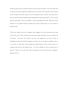along with other factors, resulted in massive losses for that movement. The lesson from that is what we have been saying: We should not base our actions on the activities of those whom we do not direct and whose loyalty we do not command, at the very least. By loyalty here, I mean the specific loyalty embodied in providing shelter and giving assistance. I do not mean general loyalty which is from one Muslim to another throughout the earth. When the Umma advances to the optimal situation, general loyalty will be attained since it is the essence of specific loyalty.

"Those who believe, and have emigrated and struggled with their possessions and their selves in the way of God, and those who have given refuge and help—those are friends one of another. And those who believe, but have not emigrated—you have no duty of friendship towards them till they emigrate; yet if they ask you for help, for religion's sake, it is your duty to help them, except against the people between whom and you there is a compact; and God sees the things you do. As for the unbelievers, they are friends one of another. Unless you do this, there will be persecution in the land and great corruption."  $(Qur'an 8:72-73)$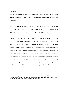## Section Six

Properly understanding the rules of the political game of our opponents and their fellow travelers, and striking a balance between confrontation and cooperation in accordance with sharia politics<sup>[8](#page-84-0)</sup>

We urge that most of the leaders of the Islamic movement be military leaders or have the ability to fight in the ranks, at the very least. Likewise, we also urge that those leaders work to master political science just as they would work to master military science.

During our long journey through victories and defeats, through the blood, severed limbs, and skulls, some of the movements have disappeared and some have remained. If we meditate on the factor common to the movements which have remained, we find that there is political action in addition to military action. Of course, some of them practiced nonsharia policies in some situations and managed to survive, even though their survival was, naturally, devoid of blessing. However, there are also those in other Islamic movements who understand the politics of the enemy and their fellow travelers and interact with them according to sharia policy. They became an entity which grew through the blessing of acting to assist the religion and the blessing of not violating the sharia, achieving purity and steadfastness and the sublimity in one stage after another, praise be to God.

## [37]

 $\overline{a}$ 

<span id="page-84-0"></span><sup>&</sup>lt;sup>8</sup> In editing some parts of the section concerned with politics, I have depended on the memoirs of one of the scholars from the Islamic currents. Since this memoir has many errors, I only used the accurate portions and utilized this in completing the explanation of this point.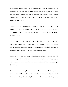As for the fate of the movements which undertook jihad, battle, and military action and neglected politics and considered it a filthy activity of Satan, or those groups which delved into practicing non-sharia political methods and which were engrossed in infidel politics, regrettably their fate was to become a tool for the powers of unbelief and apostasy in order to pluck the fruits of jihad.

Political action is very important and dangerous, such that one of them said: "A single political mistake (leads to) a result that is worse than one hundred military mistakes." Despite the hyperbole in this statement, it is true to the extent that it clarifies the seriousness of a political mistake.

Of course, when some of us witness the decay in the political attitudes of the people and find that they have lost their morals and humanity and are following satanic methods filled with deception, lies, conspiracies, and treason, they are inclined to abstain from engaging in the decay of those politics. However we should not abandon politics.

Likewise, there are those who engage in disciplined political action-commensurate with their knowledge of it—in addition to military action. Regrettably, however, they still do not understand the reality of the political game of the enemies and their fellow travelers [cf. Qur'an 33:60].

The interest in understanding the rules of the political game and the political reality of the enemies and their fellow travelers and then mastering disciplined political action through sharia politics and opposing this reality is not less than the importance of military action,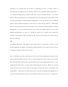especially if we consider that the moment of gathering the fruit— $a$  moment which is considered the recompense for the sacrifices offered by the mujahids during long decades is a moment resulting from a political strike and a decisive political decision. Of course, military strikes preceded and even accompanied it; but the final moment and the fate (of the movement) depends on skillful political management. Even the whole course of fighting requires good political managment so that the best results will be achieved. Additionally, there is a very important point: The meaning of every reference in this paragraph to political management is that the political decision issues from the military leader, but the entire political administration or most of it should be made up of warriors from among the assistants of the military leaders and their troops. Those are the people who should take an interest in studying

[38]

the political dimension. The battle is their battle before it is the battle of others, so one should emphasize the danger of leaving the political decision in the hands of those who do not engage in military battles for any reason.

Here I will briefly set forth a small section on the rules of the political game (played by) the enemies and their fellow travelers. We are not presenting these rules so that we may benefit from them and follow (the enemies and their fellow travelers) in applying these rules—I seek refuge with God from that—as many of the heretical groups have done. Rather, (we present them) so that we may know the aims of the people and deal with them in accordance with sharia politics. Afterwards, we will set forth some of the points (dealing with) application on account of their importance; however, the important points are many and it is enough for a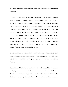us in this short treatment to set the mujahid youths on the beginning of the path for study and practice.

— The aim which motivates the enemies is a material aim. Thus, the doctrine of conflict which the people of unbelief and apostasy possess is a material, worldly doctrine in most of its structure. If they have worldly motives, they conceal them with religious or false, socalled cultural motives. The dogmatic [i.e. religious], traditional factor in (the motives) is not a single factor; it is considered one of the factors motivating them to battle. Perhaps in the eyes of their ignorant followers, it is considered a strong motive. However, what fuels their action are material interests and the desire to survive. Thus, they strive to survive, but it is not just any survival; rather, it is a survival which guarantees for them an unruffled life of comfort and luxury. As for their allies and those who support them, they continue and remain steadfast in their coalition with them as long as (their) interest is served by that alliance. Therefore, we must understand this very well.

Thus, the most important of their political principles is the principle of (self) interest. Their principle absolutely does not submit to any moral value; rather, all the other principles are subordinate to it—friendship or enmity, peace or war—and are all determined according to (self) interest.

The politicians of the West summarize that in a slogan which says, "There is no eternal enmity in politics and no eternal friendship; rather, there are eternal interests." Therefore, the difference of interests among them is a cause for the bloodiest wars. However, that should not make us forget the reality that the shared enmity toward Islam represents a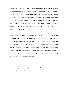common ground of action for the different communities of unbelief and apostasy. Nevertheless, we can also say that their ideological alliance against Islam is a fragile alliance and limited by a ceiling of material interests that each faction among them possesses. Therefore, we should formulate our military and political plans after properly understanding and appraising the ceiling of interest which limits the action of each one of our enemies and work to widen the gap of the interests between hostile factions. Therefore, the map of interests must be clear in the minds of our leaders of action. It is a map that is just as important as military maps.

We can say that bargaining is a characteristic of the politics of the enemy because the substitute for successful bargains between them—even if they achieve some partial gains—is continuous war which might crush all of (their) interests. Therefore, they call politics "the art of the possible". As for their persistence in continuing war, that is only when they think that their opponent is weak and it is possible to crush his will. When there is violent resistance which leads to invasions that cost a great deal and are of little use, the factions of the coalition began to withdraw one after another, preferring (their own) security or delaying the conflict until more suitable circumstances.

The nature of the enemies' bargain does not have the quality of permanence because it is merely a reflection of the scales of power at a particular moment and those scales are always subject to change. Consequently, there is a breach of political treaties—or systematic bargains—which are naturally unmoral.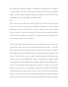Even respecting the agreed-upon bargain is something that is violated under most conditions as soon as possible if the results of that breach are greater than the results of honoring the pledge. Likewise, making contradictory bargains at the same time with factions that have incompatible interests is commonplace in the political jungle.

## [39]

One of the factions may betray [lit. "sell"] its political resolve and all of its interests and those of its Umma for a variety of reasons, including its unworthiness to enter the political battleground on account of its weakness—the closest example of that are those tattered Islamic movements—or because it represents no one but itself and its particular aspirations are remote from its popular bases (of support) or its community (the closest example of that are, in general, the regimes of the Arab region).

These are some of the characteristics and nature of the political situation of the enemies and that which has a direct effect on the conflict between Islam and its enemies. As for their fellow travelers among the other Islamic movements, their politics are based on a mixture of sharia politics and the same political principles of the enemy, especially the principle of (self) interest. They also distort the texts in order to trick the people into believing that their mixture is from the revealed sharia politics. There is no doubt that some might be startled by their ability to maneuver politically and seal bargains without having any military power. However, the contemplative person finds that they maneuver (so well) on account of the numbers of youth they have. This represents a danger in one situation: If they withdraw their leadership from the arena because they have no real value and those youths dissolve their ties, it will cause the enemies to fear that these youth will join the mujahids. However, what we want to clarify here is that the most important principle for whose sake the fellow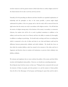travelers maneuver and the greatest interest (which leads them to) sellout religion and all of the sharia interests for its sake is survival, survival, survival.

Naturally, all of the preceding are allusions and there should be an expanded (explanation) of leadership and the principles so that, to the extent possible, a person might deeply understand the politics of the two groups and so that his study will be removed from the rigid notion that the enemy acts only in accordance with religious motives. He will find that the motive of religion among many of the factions of the enemy is secondary or evanescent. Likewise, the student who will be fit to work in political committees in addition to his military work must have read a lot of history and have the ability to examine (it) thoroughly, in addition to readings in psychology. He should study sociology and focus on studying that which is connected to the role of tribes and clans in our Arab and Islamic world and the difference between praiseworthy solidarity and sinful solidarity. He should also focus on that which the modern Jahiliyya order has created in the structure of the tribes and how it fragments and dissolves them in modern civil institutions or perverts (their solidarity) into Jahiliyya solidarity.

We reiterate and emphasize that we must confront the politics of the enemy and their fellow travelers with disciplined, sharia politics. However, we should note something important: Ibn al-Qayyim (may God have mercy on him) says: "Taking the laws connected with war and the interests of Islam, its people, and what pertains to it, and the matters of sharia politics from the life of the Messenger of God (peace and blessings be upon him) and his raids is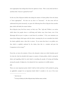more appropriate than taking them from the opinions of men. This is (one) kind and that is (another) kind. Success is granted by God."[9](#page-91-0)

In this text, Ibn al-Qayyim clarifies that taking the matters of sharia politics from the Sunna is "more appropriate". He does not say that it is "necessary". So that some will not understand this point incorrectly, we quote the following from Ibn al-Qayyim from another place which will clarify the matter further:

Ibn al-Qayyim (may God have mercy on him) says: "Ibn `Aqil said, 'Politics is an action which draws the people closer to well-being and further away from harm, even if the Messenger did not put it in place or send down by revelation. If by your statement you mean (those things) which agree with the sharia—meaning they do not contradict that which the sharia explicitly states—then this is correct. If you mean that there is no politics save that which is explicitly endorsed by the sharia, then this is a mistake and puts the Companions in the wrong."<sup>10</sup>

From this, we know the mistake of those who demand a sharia text which furnishes proof for what the Amir has decided with respect to matters of sharia politics, which is among his duties and regarding which he seeks help by consulting the people of loosing and binding among the people of religion [i.e. the ulama] who have experience in worldly matters.

[40]

 $\overline{a}$ 

There are some important points which I shall set forth and then I will conclude by giving an applicable example for an important detail which I consider to be one of the most

<span id="page-91-0"></span><sup>9</sup> *Zad al-ma`ad*.

<span id="page-91-1"></span><sup>&</sup>lt;sup>10</sup> *Al-turuq al-hikmiyya* by Ibn al-Qayyim (may God have mercy on him).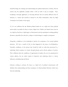beneficial things for studying and understanding the political dimensions of battle, with the caution that the applicable example which I will set forth is only an example. Thus, modifying it through application or choosing elements that are entirely different from its elements is a matter that should be referred to the field commanders, either the High Command or the leaders of the region.

(1) It is not sufficient that the Muslim political leaders be on a high level when political action makes it possible for them to attain a higher level. Rather, the Islamic bases must be on a high level and have a high degree of discernment and also participate in making political decisions, especially those that have a degree of critical danger or weighty consequence.

Frequently, confidence in the leadership is decisive for acceptance of its crucial political decisions. We have a model of this in what happened in the peace of al-Hudaybiyya. Naturally, confidence at the present time should be built on solid data possessed by a leadership which examines its veracity through practice and in diverse spheres of activity. This is different than the confidence of opportunists in leaders who are not experienced in various spheres, but are rather experts in hypocrisy and subjecting others to various influences, including lying and deceit.

Likewise, working to advance the bases to a high level of political consciousness will facilitate their understanding and their acceptance of critical political decisions which issue from the leadership.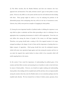(2) The fellow travelers, like the Muslim Brethren and their new imitators who have appeared who call themselves "the salafi, reformist current", agree in their politics on many points. However, they differ on a few points and this must be well understood when dealing with them. These groups might be useful as a key for analyzing the positions of all (likeminded groups) when anticipating what they will do in the face of momentous events. Likewise, they (offer) some previous examples of (engaging in) sharia politics.

(3) Among the most important benefits of political studies is defining the responses to any step which we plan to undertake and then either proceeding to take it or delaying it for an appropriate time or preparing circumstances in which it will be appropriate. From that, (we can) define who among the classes of people of the enemy we will begin (targeting). Therefore, every group should make a catalog of all of the targeted enemies in its scope, arranged according to the danger of each of them and the importance of putting them in a higher category of opposition. (Each group should also note) the anticipated response (which will come) once operations begin against each class among the enemies and how we can make the targeted class openly declare its crimes which is has concealed, which will justify targeting them to the masses.

In this section I have noted the importance of understanding the political game of the enemies and their fellow travelers and mastering the art of politics in order to deal with them by means of sharia politics. However, one should not neglect studying and understanding sharia politics when dealing with the mujahid rank and file and those who are impressionable among the enemies when they enter the Muslim ranks (or even sometimes perhaps enter the mujahid ranks directly). We have learned how to behave if rebels, tyrants, apostates, those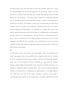who desire medals, those who create plans of action that contradict sharia texts, or those who demand affiliation with the United Nations leave (the movement). Likewise, (we have learned how to behave) if those who drink wine or (drink) that which necessitates the hadd penalty leave (the movement). All of these kinds of defection are anticipated, especially since our activities are based (on the notion that) our jihad is a jihad of a community and not the jihad of a movement. The defection of these types of people during the battle creates situations that are very sensitive and complicated. Dealing with them cannot be done by means of Sharia proofs which pertain to an established state. Rather, (they must be dealt with) by specific sharia policies taken from the path of our Prophet (peace and blessings be upon him) and the way of his Companions. However, this must be with caution so that we do not violate the jurisprudence of these legal questions which belong to the ways of the Companions and dilute the laws and religion. One should also be aware that, after the derivation of ordered rules from these legal issues, there are exceptional rules at certain times and for specific circumstances.

## [41]

(5) The human structure of the enemy is weak with regards to battle. He compensates for that by using gadgets, (but) it is not possible for him to depend on them for ever. Likewise, the enemy compensates for that by using a deceptive media halo and using media deception during each of his movements and when confronting any action from the mujahids. Therefore, understanding the media politics of the adversaries and dealing with them is very important in winning the military and political battle. One of the most important things that will assist our media policy is to communicate our media material to its intended audiences. One should note that some of the media committees in previous stages failed in communicating media material to the intended classes of people, especially that material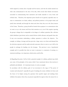which targeted (a certain) class of people and the masses, such that the media material was often only communicated to the class of the elite, while several other Islamic movements succeeded in communicating their statements and media materials to every home and civilized class. Therefore, this important point should not be ignored, especially since we want to communicate our sharia, military, and political positions to the people clearly and justify them rationally and through the sharia and (show that) they are in the (best) interest of the Umma. Therefore, a group should be formed whose purpose is to communicate what we want to say to the masses and focus their attention on it, even if this requires exposing the group to danger that is comparable to the danger of a military operation, like a division which distributes (provisions) and an armed division which advances and guards from afar. It may even necessitate undertaking a military operation to achieve the objective. For example, we kidnap a hostage and then provoke a large outcry over them and demand that the television reporters and the media networks announce what we want to say in full to the people in exchange for handing over the hostages. The previous is just a hypothetical example and it is possible that what we want to announce is a statement of warning or a statement justifying a very important, critical action, and the like.

(6) Regarding this point, I will set forth a practical example of a military, political step which uses some of the principles of the enemy which I have mentioned (above) that motivate it politically and militarily. As I stated previously, it is only an example:

In accordance with the military goals of our movement in the stage of "the power of vexation and exhaustion", especially the goal of (making) the enemy withdraw its forces and the forces of its helpers among the apostates from specific targets and (making) them withdraw from places where they are present (especially the regions where the masses live so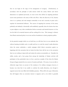that we can begin in the stage of the management of savagery). (Furthermore), in accordance with the principle of (self) interest which the enemy follows and whose dimensions we explained previously, we must crown that (effort) by targeting petroleum sectors since petroleum is the artery of life in the West. Since the discovery of oil, America views it as a primary and vital strategic commodity in war and a necessity in peace and a requisite for international influence. The success of targeting the economy of the enemy politically and militarily is historically well-established, especially when the faction that does so puts religion or any other consideration before economics and material interests or it has lost the bulk of its material interests and has nothing left to lose. This (strategy) is (drawn) from Sharia sanctioned policy in our wars and has foundations in sharia, prophetic politics.

In the practical example which we set forth here, we will show how we can undertake that without harming inviolable souls or wealth and how to avoid the enemy's media distortion when the enemy undertakes a media campaign which directs accusations against us, beginning with (the accusation that we harm) the labor force (all the way to the accusation that) we are working to impoverish and weaken the nations economically, etc. Naturally, the rabbis, monks, and a lone group from among the leadership of Islamic activism will participate in that, particularly since we have a previous example of that when the Islamic Group in Egypt attacked the two sectors of tourism and banks. Of course, it was not able to effectively target them on account of the weakness of its military strategies; however, it became very clear that it was unable to confront the media distortion, even though it targeted sectors that were filled with forbidden practices. What will be the type of distortion that will happen when an economic interest is targeted, such as oil, which is generally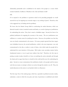(Islamically) permissible and is established in the minds of the people as a source which sustains hundreds of millions of Muslims in the Arab and Islamic world?

[42]

If we respond to the problems or questions raised in the preceding paragraph we would smooth the way for targeting any economic target, to say nothing of petrol. Therefore, what is the suggested way (of dealing with the problem):

We know that the Islamic Group failed in confronting the media distortion, which was directed towards it when it attacked tourism and banks, as a result of giving two justifications for undertaking this action: First, that it struck a forbidden target. Second, the form of its political justification for targeting the economy of the enemy. The two justifications were sufficient to a certain extent for justifying the action. However, the problem was that they were not clearly communicated to the masses. Of course, people reported that these targets were forbidden; however, the second justification—which is the most important—was only communicated to the elite, or rather to some of them, a fact which made the people fail to understand the exact intention of this group. Did it place some secondary matters before fundamental matters or was its goal more indirect than that? Therefore, the first step in putting our plan in place should be to focus on justifying the action rationally and through the sharia and (to argue that) there is a benefit in this world and the next (for undertaking the plan). Second, we must communicate this justification clearly to the people and the masses such that any means or attempt to distort our action through the media is cut off. Thus, the media dimension in this action is our backside which we will protect.

The first step: One of the media groups, which has a specialist in political-economic studies, undertakes a study in which the true price and value of petroleum is established and (which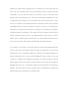explains) how, despite frantic searching, there is no substitute for it at the present time, but that it is the one commodity which is the most devalued in its prices compared with other commodities. It is even said that the price of a joke told by an actor on the stage is more expensive than a thousand barrels of oil. This study should include a delimitation of a true or approximate price for barrels of oil in accordance with sound, economic criteria. It must also have an exposition of the political importance of petroleum and the extent of injustice and pillaging which the Umma has suffered for decades on account of its devalued price. Afterwards, the research must be submitted to a member of the committee who specializes in drafting statements of justification. This member will write a statement which should not include a justification which says that we are striking petroleum sectors because it is sold to infidels. That is an ijtihad question and will expose us to media criticism which will turn our action away from its goal. This statement should include the following elements:

 $(1)$  A summary—in a few lines—of the study which the economic cadre prepared along with a focus on the extent of the injustice which the Umma has experienced on account of the devalued price of oil. It should also explain how wealth that was obtained throughout the decades—along with its loss—was not used for building the Umma as much as it was used as funds for a handful of the collaborators and agents of the West among the Arab and Islamic regimes, such that the crumbs of crumbs remain for the Umma and its people for sprinkling ashes in the eyes. It should also explain the price that barrels of oil should have presently. All of that results in a precise economic study to be distributed to economic and political scholars and to media elites in our Islamic world.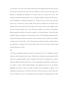(2) Announce to all of the states which obtain petrol from Muslim lands that they must pay the true price recorded in the study and the statement, as well as preserve the right of the Muslims in demanding the difference of the price from all of the previous years. The statement should also announce that we say to whomever disputes this price that this price is what the Muslims are selling their property for. Whoever does not want to pay this price cannot buy it and that the money which will be paid in exchange for the petrol of the Muslims will not enter, after this day forward, into the treasure houses of the regimes which have been bored through with a hole which goes straight to the banks of Switzerland. Rather, popular committees will oversee it and give it to the needy masses. This will be after paying the salaries of employees in the petroleum sectors. These popular committees will be composed of people among the merchants of the countries and the notables of the Islamic countries who are trustworthy. The announcement should also include a statement that it has issued from a vanguard of the Umma which refuses to have the Umma continue being crushed, deprived of its will.

#### [43]

(3) Giving an appropriate period of time for evincing the extent of compliance with the statement and the taking of serious steps. Otherwise, the striking of petroleum plants will be carried out, especially pipelines where no humans will suffer from striking them or tankers which the infidels command and work on. Thus, striking plants and factories when there are no workers in them avoids harming Muslims and emphasizes that fact (to the public). Regarding the guards, if they are among the regime forces belonging to regimes of the collaboration and apostasy, we will deal with them as if they are traitors to their Umma who are not inviolable in our eyes. If the guards are from companies of special guards [i.e. hired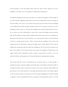security guards], we will only oppose them when they tried to kill or capture one of the mujahids to turn them over to the regimes of collaboration and apostasy.

(4) Properly clarifying for the masses that they are in critical circumstances which compel us to do this and that stopping the petroleum sectors from working will not harm our people at all, God willing. First, most of our income from petrol goes into bank accounts belonging to the collaborationist rulers and their assistants and none of it is paid to the masses, save for sprinkling of ashes in the eye. Second, when selling ceases, the petrol will remain in reserves for us and we can sell it afterwards for a price that is many times higher than the present price and the disparity of prices will be eclipsed and increase many times over, repairing any destruction that will come to these factories over a short period of time, by the permission of God, or a longer period of time. Thus, we hope that the condition of the Umma will change and that it will reclaim its will and its rights and its wealth which the West and its collaborators among the traitorous rulers have plundered. We do not do this except for the sake of the welfare of the Umma and they must reject the campaign of distortions by the regimes which will be unleashed in order to distort our goals and our actions. If we are endowed with but a little patience, the Umma will reclaim its standing and its prestige.

The second step: We work to communicate the economic study to as many people as possible among the economic, political, and media elites in the Islamic world and outside of the Islamic world in order to inform all of them of the extent of injustice which afflicts the poor masses in our Umma and also to encourage the petroleum states in non-Islamic regions to raise the price of petrol on their part, even if this requires kidnapping a Crusader manager or engineer—and it is preferable that he be an employee in the petroleum sectors—who will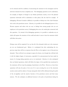not be released until the condition of announcing the statement in the newspapers and the television channels has been completely met. The kidnapping operation can be undertaken, for example, in Nigeria or Senegal or any Islamic petroleum country, even if the planned operations afterwards will be undertaken in other places, like the Gulf for example. If kidnapping a Western Crusader is difficult, it is possible to kidnap one of the Arab Christians who work in the petroleum sectors. Likewise, it is possible for the kidnapped person to be a Western reporter and others who are easy to kidnap from among people who are not employees in the petroleum sector, if kidnapping him serves the media plan connected with this operation. Or, instead of the kidnapping operation, it is possible to undertake any act which will capture the attention of the world and make it want to hear the statement which will follow that action.

Perhaps some will be surprised if we say that all of the demands which are in the statement are not our fundamental goal. Rather, it is anticipated that after undertaking the two previous steps there will be no response from the West or the regimes to any of the previous demands. There will also be an attempt to ignore the threat, even though they will deal with it with the highest degree of seriousness, especially if its announcement has been made by means of a hostage-taking operation, just as we mentioned. Likewise, it is also anticipated that our limited operations, which will follow the elapse of the specified time mentioned in the statement, will not stop the pumping of petroleum to the West. However, at least these operations will raise the price of oil, even if it is just covering the cost of the electronic security system and the salaries of troops and guards which will be disbursed along the paths of the oil pipelines and the massive factories of the petroleum sectors and their many annexes. We also anticipate an additional increase in the price (of petroleum) during the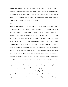political crisis which the operations will cause. We also anticipate a rise in the price of petroleum even before the operations (take place) solely on account of the statement and the study which are issued. In this there is a good media gain since we raise the price of oil by merely issuing a statement, then we raise it again through some of the limited operations against petroleum targets which were poorly protected.

[44]

Some may be surprised even more if we say that all of the previous is not important and that all of the results which we mentioned in the previous paragraph are not important to us, regardless if they are the negative results we have anticipated or a response to the demands that has not been anticipated. Rather, what is important to us is the withdrawal of the elite forces of the enemy in large numbers to economic locations in order to protect them. When the best forces are positioned to protect thousands of petroleum or economic locations in a single country, the peripheries (of that country) and the crowded regions will be devoid of forces. Even if they are found there, they will be weak forces which will be easy to confront if necessary and it will be easy to enlist the masses there through an unwritten agreement. Therefore, we make no agreements or deals with the troops and officers of the regimes of apostasy. However, we will not kill them if they leave us alone to train, to propagate our message, and to enlist (other people) freely in crowded regions and in the peripheries (of the country). If they oppose us, they will receive only the sword from us. By this means, large steps will be taken towards the stage of the management of savagery and forcing the weak, neglected troops of apostasy who are abandoned in the peripheries (of the country) and the crowded regions—since the elite and the well-equipped forces are scattered between guarding the governments and the Crusaders and guarding the economic regions and the regions of amusement and tourism—to choose between killing or joining us, or fleeing and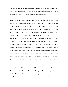abandoning their weapons. They leave the management of the regions to us, which will have begun to suffer from the weakness of the authorities in it and from the growth of gangs and insecurity within them. We must deal with it and manage this savagery.

Note: This savagery and insecurity on account of some of the gangs is more preferable with regards to the sharia and with regards to reality than the control of the authorities over the situation, who degrade the people by putting them in police precincts, force them to accept unbelief, appeal to positive law, and submit to the Taghuts. These things are more harmful to security, and polytheism is the greatest manifestation of insecurity. The lack of security from hellfire is enough of a fitna. Thus, our imams said: "If you fight the desert and the city until no one in them remains, this is better than a Taghut being appointed who rules contrary to the sharia of Islam." Likewise, the existence of some of the gangs will be limited and the masses will begin to arm in order to defend themselves, as opposed to the previous situation of compliance with the army of the Taghut, and the natives will submit to the rule of the sharia in their affairs, (prodded) by a friendly suggestion from the preachers of the mosque, after the legal void which will create a collapse or a weakening of the authorities. Things will begin to proceed as we desire (by the permission of God) since we will be the greatest organized force (by the permission of God) in all of the peripheries (of the country) and the greatest "power" capable of controlling the security and judicial situation.

Likewise, I want to tell those that are concerned for us as a result of the media distortion and the media campaigns directed against us, which might result from campaigns like these which will be directed against the economy or against petroleum: relax and prepare yourselves for what is greater than that, or else we will never be fit for a jihad. Sitting in our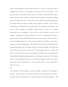homes is more preferable if we start to lament from now on. Thus, we must pay no mind to campaigns like these and we must prepare to ward them off as much as possible. If not now, then when? Inform him who puts his foot on the path of jihad that the day may be upon us when the battles will flare—we beseech God for forgiveness and vitality in religion and in this world and the next. On that day we will see millions of people emigrating from the regions, fleeing the violence of battle with the regimes of apostasy or the Crusader-Zionist regimes, as happened when the battles flared up in Afghanistan and Chechnya. We will face media campaigns—the brilliant scholars among the leaders of the Islamic movements may even participate in them—since we will be blamed for that [i.e. the refugees]. And perhaps (we will) be blamed for the waves of bombing by the armies of apostasy and the Crusade which kill thousands and we must prepare ourselves for that, as one of the Afghan leaders did. He was sitting with Shaykh `Abd Allah `Azzam when a message came to him informing him of the murder of more than 20 of his family members during the bombing of one of the villages while the man continued talking. The Shaykh said to him, "What is the news that came to you?" The man informed him of it. Shaykh `Abd Allah says, "He tells me how many of his kindred were killed as if he were talking about Harun al-Rashid making the pilgrimage one year and raiding in another year." They finished what they were discussing and it was as if nothing had happened. Such is war and the masses must become accustomed to it. If not now, then when? And how (else) will we make our way out

[45]

of the labyrinth? We must prepare, as much as possible, to respond to the campaigns of distortion. If we are sincere in our action and master it, our words will reach the hearts of the people and our staff will smite every falsehood which they circulate regarding us. The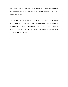people will be patient with us as long as we are in the vanguard of those who are patient. But if we begin to complain, lament, and worry from now on, then the people have the right to be worried (about us).

I want to reiterate that what we have mentioned here regarding petroleum is only an example for stimulating the mind. However, the strategy of targeting the economy of the enemy in general is a valuable strategy both politically and militarily, and it should not be absent from the guiding movement. The leaders of the jihad have called attention to it in more than one study and in more than one statement.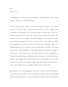#### Section Seven

A Blazing Battle... The Media... Mastering Management... Raising the Status of Faith... Direct Speech... Forgiveness... Uniting Through Money...

The most marvelous goals which have been realized through the politics of the renewal movement in the present stage—which began in the mid-90s—have made us unafraid of the consequence that polarization in the Umma has reached its furthest extent. There is no doubt that in previous battles in this stage we had to strive to polarize (the Umma) so that the battle would develop as expected. That actually happened in some of the countries and its encouraging results appeared. However, movements in many of the countries were afraid of causing polarization because they feared losing control over it, especially in light of the widespread ignorance in the Umma, the state-controlled media, the sophism of the rabbis and the monks, and the propagandists of the Islamic groups who spend their time calling for national unity. These groups are like the (Arab) Christians and the propagandists of nationalism among the secular, apostate parties; their like is legion. They even directed some people to hold meetings with the Arab Christians and the secular parties in order to find fault with the activities of the groups of jihad, which (they contend) will split apart the nation. God is sufficient for us; an excellent Guardian is He (cf. Qur'an 3:173).

By polarization here, I mean dragging the masses into the battle such that polarization is created between all of the people. Thus, one group of them will go to the side of the people of truth, another group will go to the side of the people of falsehood, and a third group will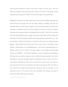remain neutral, awaiting the outcome of the battle in order to join the victor. We must attract the sympathy of this group and make it hope for the victory of the people of faith, especially since this group has a decisive role in the later stages of the present battle.

Dragging the masses into the battle requires more actions which will inflame opposition and which will make the people enter into the battle, willing or unwilling, such that each individual will go to the side which he supports. We must make this battle very violent, such that death is a heartbeat away  $\text{lit.}$  "the closest thing to the souls", so that the two groups will realize that entering this battle will frequently lead to death. That will be a powerful motive for the individual to choose to fight in the ranks of the people of truth in order to die well, which is better than dying for falsehood and losing both this world and the next. This was the policy of battle for the pioneers: to transform societies into two opposing groups, igniting a violent battle between them whose end is either victory or martyrdom, whose emblem is either glorious war or humiliating peace. One of the two opposing groups is in Paradise and the other is in Hell: "Our fallen warriors are in Paradise and their fallen warriors are in Hellfire ". [A statement attributed to 'Umar, a Companion of the Prophet.] This battle alone, through its vehemence and its (ability to) separate (people), is that which will enable us to polarize the largest number of individuals toward our ranks such that we will not grieve afterwards over those who are destroyed in the other rank. We rejoice for him whom God has chosen for martyrdom in the ranks of the people of faith. The fruits of this battle will be brought forth through this vehemence and this separation, by the permission of God.<sup>11</sup> If we heed the lies of the nationalists, then sitting in our homes is better than a failure after which comes dismay.

<span id="page-107-0"></span> $\overline{a}$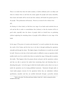There is no doubt that when the battle escalates, is further enflamed, and is set ablaze and when its violence from us and from the enemy against the people and society intensifies, these hearts and minds will be moved and (this violence) will furnish the greatest proof to the people. Thus polarization will increase. However, in return for the violence from

[47]

the blazing of a fierce battle, we find that every stage of our battle needs methods that are soft and the like in order to counterbalance that (violence) so that the situation will be in good order, especially since the classes of people which we should focus on polarizing (without neglecting the remaining classes of people) will be different in every stage of the battle.

In the stage of "the power of vexation and exhaustion", we need to polarize the elect among the youth of the Umma, and the best way to do that is through justifying the operations rationally and through the sharia. The highest degree of justification is to justify the act itself by itself. However, in the face of the hostile media it is difficult to create an operation which justifies itself, even if we could do that when we reached the stage of (being able to) paralyze this media. That happens when the groups advance and grow and the operations coalesce and they are able to prevent the media from monitoring them and distorting them or distorting their goals. As for the stage in which the hostile media is active, there is no way to justify the operations save by issuing published statements. Statements through audio or visual media prepare everyone for the operations before they are undertaken—without specification, naturally—and they are justified afterwards through a powerful, rational,

<sup>&</sup>lt;sup>11</sup> Refer to the article "Our Men and Enemy Soldiers Under Fire", which is among the articles included in this study.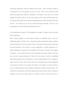sharia-based justification, which the addressed class heeds. These statements should be communicated to all of the people, not just to the elite. Most of the statements should include our general goals which are acceptable to the people, even if they are not stated explicitly: We fight in order to get rid of the enemies of the Umma and their agents who have destroyed the beliefs of the countries and plundered their wealth and made us into their servants. As everyone can see, they are clearly destroying everything. They are even extracting the cost of their murder and destruction from us.

As for polarization the stage of "the management of savagery", it begins to take on another kind of importance:

When savagery happens in several regions—whether we administer them or they are neighboring regions or further away—a spontaneous kind of polarization begins to happen among the people who live in the region of chaos. The people, seeking security, rally around the great personages of the country or a party organization or a jihadi organization or a military organization composed of the remainders of the army or the police of the regimes of apostasy. In this situation, the first step of polarizing these groups begins so that they may enter into mutual professions of loyalty with the people of truth by establishing administrative groups that are subordinate to us in the understanding of how to manage the regions which are under their control, along with undertaking proper media propaganda concerning the situation of our regions with respect to the degree of security, justice by means of implementing the sharia, solidarity, preparation, training, and advancement. We will find (by the permission of God) that along with this first step there will be a continuous emigration of the youth of other regions to our regions in order to assist them and live in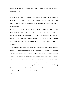them, despite the loss of lives and worldly gains [lit. "fruits"] or the pressure of the enemies upon these regions.

In short: The first step of polarization in the stage of "the management of savagery" is mastering the administration of the regions which are under our control. As for the remaining steps of polarization in this stage, we will briefly set forth the most important of them in the following:

— Raising the level of faith is the shortest way to polarize the people who live in the region which we manage. There is a difference between the people accepting our administration so that we may provide security for them and so forth and between joining our ranks and working towards our goals and training and battling alongside us and so forth. Raising the level of the faith of a society in this condition facilitates polarizing those people toward our active ranks.

q Direct address, with regards to polarizing neighboring regions which other organizations manage. We must send messengers to the administration responsible for neighboring regions in order to invite them to enter into allegiance with the people of tawhid and jihad. Perhaps we will find that they are afraid to enter into a complete union out of fear that the enemy will treat their regions just as he treats our regions. Therefore, we concentrate our invitation in this situation on the lowest degree, which is entering into an alliance for (achieving) some of the sharia aims [al-maqasid al-shar`iyya, a technical term in Islamic law]. Perhaps we find that some of them still have the same fear. Therefore, we move with them to a final stage: We understand their refusal of the first two offers;

[48]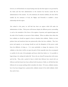however, we will absolutely not accept hearing some day that their region is not governed by the sharia and that their administration in this situation has become exactly like the administrations of the enemies. If, at the minimum, the situation stabilizes, the time will be suitable (by the assistance of God, the Mighty and Powerful) to establish a closer relationship with this region.

Also related to this point, we will find that there are regions which fall under the administration of tribes. Their power will increase despite the different powers surrounding it, such as the remainder of the forces of the regimes of apostasy and organized gangs and the raids of the Crusaders, on account of their solidarity. When we address these tribes that have solidarity we should not appeal to them to abandon their solidarity. Rather, we must polarize them and transform them into praiseworthy tribes that have solidarity. They have power and capacity, so our message should not seek the dissipation of this power—aside from the difficulty of doing so. It is more preferable to change the trajectory of the solidarity so that what it will be set upon the path of God, especially since they are prepared to sacrifice for the sake of the principles and honor which they believe in. It is possible to begin doing so by uniting the leaders [lit. "those who are obeyed"] among them with money and the like. Then, after a period of time in which their followers have mixed with our followers and their hearts have been suffused with the picture of faith, we will find that their followers do not accept anything which contradicts the sharia. Of course, solidarity remains, but it has been changed into a praiseworthy solidarity instead of the sinful solidarity which they used to have.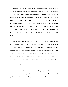— Forgiveness: If there are tribal leaders [lit. "those who are obeyed"] among us or a group of individuals who are among the primary people of unbelief or the people of apostasy and we find that there is no great danger for forgiving them, we think it is likely that this will lead to uniting them and then their joining and following the people of faith or, at the very least, holding back the evil of their followers from us. (Note, however, that there is no forgiveness for an apostate unless he converts to Islam. When he converts, we have the option of either forgiving him or killing him because he has repented after he had the capacity to do so earlier.) If that union is likely and there is no benefit to killing them, then the benefits of forgiving them are greater. That is one of the beneficial ways of polarizing them.

— Uniting by money: When we begin administering some of the regions (by the permission of God) financial revenues will rush in upon us from charitable giving, whose secure arrival in this circumstance can be guaranteed by various means more preferable than the current situation. Likewise, there is money obtained from financial institutions which we will plunder from what the authorities of the regimes of apostasy have left behind when they leave these regions. Naturally, these institutions will be of the small or medium sort. As for the companies, factories, and massive institutions such as petroleum and the like, the regimes of apostasy will concentrate all of their forces around them in order to protect them, as we mentioned previously.

Naturally, there will be disbursements (of money) and rights (given to) the people; acts of injustice necessitate the granting of these rights before everything else. However, through good planning and the proper handling of these revenues it is possible for us to store them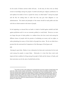for the needs of Islamic activism which will arise. At this time, let those who are firmly rooted in knowledge among the people of tawhid and jihad give religious justification for and explicate the details of how to spend the money on tribal leaders<sup>12</sup> among the people and the like for uniting them in order that they may give their allegiance to our administrations. The details and principles of this matter should be made public and clear such that no doubt remains in the hearts of people.

In the beginning, we stressed that our battle is a battle of tawhid against unbelief and faith against polytheism and it is not an economic, political, or social battle. However, we must not forget that part of sharia politics is to address those who have weak souls among the different classes of people with the promise of reclaiming our money and our rights, or rather plundering the money of God which evil people have taken. We do not think that a promise like this motivated the Companions of the Messenger of God (peace and

[49]

 $\overline{a}$ 

 blessings be upon him). Rather, it was a distraction for them and a motivation for the weak souls among the people to accept Islam. Afterwards, it is clear that these weak souls improved their condition by living among the people of faith and the furnace of battle, and their motivation was for the sake of tawhid before all else.

<span id="page-113-0"></span> $12$  The nature of cities in the modern age is such that they do not have regimes of tribal leaders and great men; rather, security systems control them. The modern city almost necessitates emigration from rural areas and the deserts and the semi-alienation of the people due to that social phenomenon. Even the rural areas and the deserts support the modern Jahiliyya regime in dispersing and dissolving the tribes of solidarity and the clans so that it may exercise its control over them or perversely reorient those tribes of solidarity towards a Jahiliyya direction which serves its goals. However, there are many rural areas and deserts and some cities which have groups that preserve their traditions, (even though) that regime is present to a certain extent.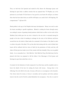Thus, we find that God (praised and exalted be He) directs the Messenger (peace and blessings be upon him) to address enemies that are captured thus: "O Prophet, say to the prisoners in your hands: 'If God knows of any good in your hearts He will give you better than what has been taken from you and He will forgive you; surely God is All-forgiving, Allcompassionate."  $(Qu'ran 8:70)$ 

Sharia politics in the age of the Prophet had many developments. Money was used to unite the hearts according to specific regulations. Related to uniting the hearts through money was uniting by means of granting formal positions which had no effect on the work (of the Muslims) (but) which gave the one who is obeyed or the one who is venerated among his people or his clan a kind of standing in exchange for the entry of his followers and those around him into the battle of jihad under the command of the leaders of the jihad in order to achieve the goals of the jihad. We say that after their mixing with the youth of jihad, their hearts will be suffused with the vision of faith (by the permission of God), and they will shake off their previous leader (even if they remain with him formally) if they are not guided falsely. Let us remember how `Abd Allah bin `Abd Allah bin Ubayy Ibn Salul (may God be pleased with him) was prepared to kill his father if the Messenger of God (peace and blessings be upon him) asked him to do so.

It remains for the federation of truth composed of our firm bases and the mujahid youth to know the details of the laws for uniting the hearts with money. Among them is the following: One who kills for the sake of money will receive no recompense in the hereafter. One whose intent for money or booty is secondary and not primary and whose primary intent is that the word of God be exalted diminishes his recompense. One who is sound of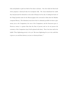body and plunders is paid one third of his share in advance. One who sheds his blood and whose property is destroyed takes his recompense fully. The Ansar abandoned the wealth they had procured for themselves in the raid of Hunayn for the sake of uniting the hearts of the Tulaqa' [another name for the Meccan pagans who converted to Islam after the Muslims conquered Mecca]. (The federation) must know that it is ultimately possible for them to give money just as the Companions, the sons of the Companions, and the Successors gave it. However, money is a greater fitna than the fitna of poverty and we do not possess the constancy of the Companions (may God be pleased with them). Thus it has been said in the hadith: "How frightening poverty is for you! But more frightening for you is the world that is given to you and then destroys you just as it destroyed them..."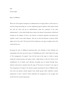Section Eight

## Rules of Affiliation

When one of the regions managed by an administration of savagery falters or when there is a need for fusing and joining two or more neighboring regions together, which region should join with the other and put its administrations under the command of the other administration? Is that which decides these matters the element of precedence in jihad and working for the religion of God or the element of material superiority and being more capable to lead or some other element? How do we deal with injustice or jealousy which might exist in the souls? We beseech God for forgiveness and vigor in religion and in this world and the next.

Knowing the rules of affiliation, practicing them, and referring to them facilitates the undertaking of the first step in the stage of "establishing the state", which follows the stage of "the management of savagery," since the first step in that stage is a leader or group uniting the scattered groups and regions under a single banner so that the "power of the establishment of an Islamic state" [shawkat al-tamkin] may be formed through them. Likewise, when there is transition from the stage of "the power of vexation" to the stage of "the management of savagery," the situation requires practicing the rules of affiliation when more than one group is joined together from smaller groups which undertake vexation (operations) to form a "power" which undertakes the management of the savagery that results from the vexation (operations).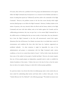Of course, there will not be a problem if all of the groups and administrations in the regions follow the High Command (may God preserve it as a treasure for the Muslims and make it a means of uniting their speech [or "influence"]) and thus yield to the commands of the High Command. However, the problem consists in the fact that events develop which might motivate jihadi groups to not follow the High Command. Likewise, if military leaders in the armies of apostasy, who may sincerely follow the Book and the Sunna, submit (to the High Command) and enter with their military units in the battles against the Crusades and the collaborating governments, they may not give bay`a to the current High Command due to the selfish motives or thinking that they are more worthy to lead; rather, they may demand a bay`a from the High Command or else they will autonomously control their region. (Situations) like that will decrease if an Islamic movement that is not jihadi takes control of circumstances and conditions like these after their bases [i.e. hardcore supporters] are mobilized militarily. In other situations it might be impossible for some of the administrations and groups to communicate with the High Command under various conditions, so how do we control these kinds of issues? I will set forth a basic idea derived from some of the studies by the people of tawhid and jihad. However, the matter requires that one of those people prepare an independent, expanded study in order to establish the (sharia) foundation of that matter. I believe that now is the time for that so that the matter does not take us by surprise, forcing us to deal with it without proper guidelines.

In a previous study, it was shown that when two jihadi groups unite to take control, they are more suited for undertaking jihad actions and better able to achieve their goals. In the "Articles Between the Two Methods" is the following (passage): "The jihadi movement must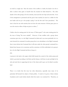see itself as a single unit. Since the nature of the conflict is a battle, the leader is he who is able to achieve these gains or benefit from the situation he finds himself in. The other (leader of the other group), if he has seniority, must join this new hope and assist him. Even if this arrangement is protracted and the goal is later reached, he must be a soldier for this new leader and not go to the people, saying: I am the first and I have precedence. The issue is that the one with seniority does not have the same measure of divine grace given to one who receives offers of help not given to others..."

I believe that the starting point for the issue of "divine grace" is the same starting point for the issue of being "the most suitable". However, if that conflicts with a group whose conscience gives bay`a to the High Command for jihad and it was more preferable for it to enter beneath the command of another group that is not subordinate to the High Command, then it must inform that Command that it will enter under the other group's command for a limited time because in its conscience and the conscience of all the individuals in its group is bay`a for the High Command and that as long as it

[51]

is present in the land or the region which falls beneath the control of the (other) group and which is governed according to the Book and the Sunna, it will obey its amir and fight by his side and assist him in supporting the laws of the sharia until it goes out for jihad in another land.

There is no doubt that this issue has other dimensions, especially since many of its particulars fall beneath the subject of sharia politics. It needs to be given a firmer (sharia) foundation and it needs further details which this study is too restricted for. Therefore, on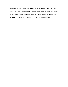the basis of these lines, I ask those firmly-grounded in knowledge among the people of tawhid and jihad to prepare a study that will include this subject and the possible forms it will take in reality before its problems take us by surprise, especially given the absence of general bay`a up until now. We beseech God for vigor and to unite the hearts.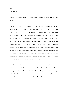#### Section Nine

Mastering the Security Dimension: Surveillance and Infiltrating Adversaries and Opponents of Every Kind

Our battle is long and still in its beginning. Of course, we receive, by the grace of God, that which has been concealed for us, through divine loving kindness and care, in some of the stages. However, momentous events and their developments indicate the length of the battle. Its length provides an opportunity for infiltrating the adversaries and their fellow travelers and establishing a strong security apparatus that is more supportive of the security of the movement now, and later the state. (We) should infiltrate the police forces, the armies, the different political parties, the newspapers, the Islamic groups, the petroleum companies (as an employee or as an engineer), private security companies, sensitive civil institutions, etc. That actually began several decades ago, but we need to increase it in light of recent developments. Likewise, we may need to infiltrate a single place with more than one member—one member will not know another (member) and vice versa—for different roles or the same role if it requires more than one member.

Several problems will confront us in doing that. Among them is choosing the member who will undertake the infiltration, which must be done with confidence in his ability to safeguard his religion in a field which may be filled with unbelief or things that contradict the sharia, at a time when his personality is not combustible and when he was not previously known to be pious. The meaning is that we sometimes place a Muslim (in the field) who is newly pious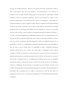and thus the problem increases. However, our present and future circumstances bring to light a phenomenon that solves this problem. This phenomenon is the existence of exuberant youth in large numbers seeking jihad, even hastening the undertaking of jihadi operations and even martyrdom operations, and we can ascertain the veracity of this particular characteristic of the youth from the context of circumstances. Their desire for martyrdom indicates a proper condition of faith; all that is required is instructional polishing within the movement. Naturally, most of them will be directed toward jihadi and training programs (that can) encompass their abilities and their enthusiasm. However, it is possible to divert some of them—when the leaders of groups discerning their qualities and abilities to work in the security apparatus for infiltrating institutions after it is demonstrated (to the recruits) that this is important and that this role is equal to a martyrdom operation or that it may even end in a martyrdom operation designed to destroy an infiltrated position if it is permissible to destroy it or undertaking a martyrdom operation against some individuals if they are from a class of people that it is permissible to target. Individual educational programs should also be put in place that (teach him) to safeguard his piety without revealing it. Whenever the pressure on him increases on account of his active movement in gathering information, the educational program works in the face of this pressure to raise his level of faith. Frequently, the way of infiltrating and reaching a good center for gathering information requires a long period of time so that he can master his role in the institution which he is infiltrating. In that situation, it is possible to give the freedom of action to the member after giving him a long (educational) program on movement, the particular kind of information that is required, how to compile it and preserve it until the time when it is requested from him or how to communicate it quickly if it is critical information that cannot be delayed.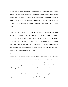There is no doubt that when the member communicates the information he gathered several times and the extent of its specificity and veracity becomes apparent, this creates growing confidence in his reliability and capacity, especially since we do not know him very well in the beginning. Therefore, he is also not given anything save the information that he requires and he only knows, under any circumstance, the desired action through a communication agent.

Likewise, perhaps he loses communication with the agent for any reason, such as the martyrdom of that agent or his transfer to another place due to compelling circumstances and the like. In this situation, he must continue his operation until regions of savagery appear which groups of mujahids control. (This operative) then visits them in natural circumstances, such as visiting one of his kin for example, or for business, or in disguise. He then tells the apparent administration to put him in touch with an agent from the security apparatus. If he [the operative] has a secret code

# [53]

which is known, he communicates it to him [the agent]. But if it is not known, he gives the information he has to the agent and awaits the response of the security apparatus in accordance with the nature of the information. Is he to continue gathering information or is he to flee to the region of savagery or is he to undertake a destructive act within the infiltrated place itself or is he to help a group that will be put in touch with him?

In the previous situation, perhaps the appearance of a region of savagery is delayed in the region where the member lives, or close to it, and in which he plays his role. In addition to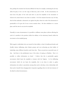that, perhaps the situation has become difficult for him; for example, continuing his job may affect his piety or he is on the verge of discovery, and so forth. In this circumstance, he must leave the place of his work and strive to join the mujahids in the mountains or wherever he awaits them in one form or another. Or if the situation becomes easy for him, then let him undertake a destructive act against the place where he works if the destruction is permissible or if it gets rid of one or more enemies there. He then withdraws to a secure place until the time he can join the mujahids.

Naturally, in some circumstances it is possible to infiltrate some places without affecting the work of a member in his position within the military or the missionary branch within the movement or the mujahid group.

With regard to individuals who are trusted for their ability to fend of intellectual doubts and (bodily) desires infiltrating other Islamic groups and even advancing up their ladder of leadership, many different benefits result from that. There are previous successful cases of that. And there is the problematic issue of the taboo of spying on Muslims. How is it possible to collect information on them? I believe that this is permissible against movements which harm the mujahids or interact with the Taghuts. As for infiltrating movements which do not harm the mujahids, this is not done in order to gather information, but rather to proselytize among them and to develop a close relationship with them and to benefit from changing their viewpoints regarding what is in the best interests of the jihad in critical circumstances.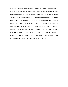Naturally, all of the previous is a generalization subject to modification. As for the principles which systematize and secure the undertaking of all the previous steps accurately and which deal with other aspects (not least of which is the importance of building security apparatuses, surveillance, and gathering information and, on the other hand, the methods of securing the movement from infiltration), the student must refer to the security reports which issue from the mujahids and also the encyclopedia of security and information gathering which is published within encyclopedias of jihad. He must also refer to the series which is published sequentially in the magazine Mu`askar al-Battar, in addition to general books in libraries if the student can uncover the sharia mistakes which are in them, especially pertaining to methods. (The student) must also be wary of business books which he will spend his time reading without any benefit or learning naïve and incorrect principles.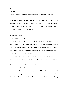### Section Ten

Mastering Education Within the Movement Just As It Was in the First Age of Islam

In a previous lesson, selections were published—may God facilitate its complete publication—in which we discussed the subject of education and demonstrated how the first generation was educated during upheavals. Here I will give some of the points from this study which are relevant to the part we will deal with here:

Methods of Education:

(1) Education by Exhortation

— The greatest admonitions which the Messenger (peace and blessings be upon him) disseminated among his Companions are from the Book of God (praised and exalted be He). Some make this an independent method and call it "education by the Qur'an", even if I believe that the concept of "education by the Qur'an" has a special characteristic, which we will clarify, that makes us not accept this division.

- And that which pertains to "education by exhortation" is also "education by stories" (some make it an independent method). Among the stories which were told by the Messenger of God to his Companions is the story of the youth and the monk, the story of the three people who were shut in a cave by a boulder, and others, to say nothing of the stories which the noble Qur'an relates.

— And that which pertains to "education by exhortation" is also "education by proverbs" (some make it an independent method). Among the proverbs which the Messenger set forth for his Companions is that which is found in the noble hadith, "Believers in their friendly

#### [54]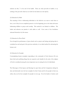relations are like..." to the end of the hadith. There are other proverbs in hadith, to say nothing of the proverbs which are set forth for the believers in the Qur'an.

#### (2) Education by Habit

The meaning of this is habituating individuals to the behavior you want to train them to have, even if they do not completely perceive it in the beginning, just as the sharia advocates habituating children to prayer and worship. This method is not limited to children. The leader and educator can practice it with adults as well. Even some of the forefathers educated themselves by this means.

# (3) Education by Pious Deed

Even though the performance of pious deeds such as prayer and fasting and giving alms is considered an end and goal of the previous methods, it is an ideal method for advancing the human soul.

### (4) Education by Example

Contemplating human exemplars responding to the commands of God whenever He sets them forth and sacrificing things that are expensive and valuable for the sake of the religion of God is considered among the most important ways in raising the level of individuals.

The Messenger of God (peace and blessings be upon him) and his Companions during his time and afterwards were the best examples for their Umma and for the people in their era; rather, they are the best examples for people in every age. Even the leaders of armies used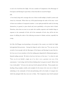to seek a lot of aid from the Caliph. He sent a number of Companions of the Messenger of God (peace and blessings be upon him) to them that did not exceed the fingers

[55]

of one hand, along with a message that one of them would multiply (a leader's) actions and virtues by a thousand. When their way of life spread amongst the ranks of the army—most of them were residents of conquered countries—a new spirit pervaded the ranks by devoting (themselves), in general, to pious deeds and, more specifically, to the pious deed of jihad. Therefore, when there are men in our ranks who sacrifice expensive and valuable things in response to the commands of God—all of the commands of God—they will be the best means of edifying the ranks of the believing movement in Islamic activism, especially the young.

Sa`d Ibn Abi Waqqas stood preaching to the people of the country over which the Caliph had appointed him governor. Among the things he said to them was: "You saw me as the seventh of seven people with the Messenger of God (peace and blessings be upon him) [i.e. Sa`d was one of seven members of the first raiding party dispatched by Muhammad against a Qurashi trading caravan]. We had no food save the leaves of the trees...", to where he said, "Now you do not behold a single one of us who is not a governor over one of the cantonments. I seek refuge with God (from thinking that) I am great in myself. Before God I am a lowly plebe." (Or just as he said, may God be pleased with him). Those people were dazzling, living examples, models, and exemplars for the masses who were new to Islam of submitting to the commands of God and performing well in the battles of conquest into which they plunged while they were new to Islam. The Companions (may God be pleased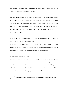with them) were living models and exemplars of patience, fortitude, lofty ambition, courage, and humility along with might, power, and justice.

Regarding that, I was surprised by a specious argument that is widespread among a number of the groups of the Islamic movement; even though its source was the leaders of the Brethren movement, its bothersome message has now been transmitted in more than one direction. This specious argument says: "We are working now and we do not need difficulties and a jihad. Rather, we are preparing for the generation of jihad who will be our sons and our grandsons..."

We submit this question to the originator of this specious argument and those who follow it, fleeing from carrying out the sharia commands:

Where are the living human exemplars whom those sons will take as models? You are models for your sons; if you sit, they will sit. They will practice jihad in the form of "gradual defensive battle["13](#page-128-0) and they will abandon the fight just as their fathers did.

# (5) Education by Momentous Events

 $\overline{a}$ 

The stances which individuals take are among the greatest influences for shaping their consciousness. When your day and your life are both a chain made up of significant stances you take in the face of the fitna of the vicissitudes of fate—the fitna of children, money, wife, and the enemy—and when all of these stances connect in their particulars with huge events which dazzle the mind and put you in constant conflict with your soul, you become

<span id="page-128-0"></span><sup>&</sup>lt;sup>13</sup> "Gradual defensive battle" is a technical term which the leaders of the institutions movement teach.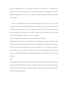fearful of making an error or you blame (yourself) for any slip up or a mistake which transpires in those events, since you sense the interconnectedness of everything. Thus, every mistake pertaining to the soul, money, or the like influences and causes mistakes in the face of the enemy.

- There is no doubting the importance of the preceding methods. However, if our mind penetrates the divine program for edification in the Muslim group, (we) can make from two of the preceding methods a means of achieving the effect of the remaining methods; the divine message has used these two methods to shape the Muslim character into the ideal form from the beginning. What are these two methods?

They are education by momentous events and education by example.

Momentous events, trials, and fitnas which the Companions faced since the first day they entered Islam and the living, practical models and exemplars which remained firm in the face of these horrors are what produced this unique generation for us. The effect of emulated pious deeds and acts of worship, the effect of sermons, and particularly the effect of the Qur'an on edifying individuals were multiplied many times over through the use of these two methods.

### [56]

The terrible events, which capture the peoples' attention and which the mujahid movement endures, and the steadfastness of human exemplars in the face of the horrors resulting from these events firmly roots ideas in the hearts which could not be taught to people in hundreds of years of peaceful education.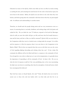Education by means of the Qur'an, which some think can have an effect by merely reciting it, teaching the laws, and extracting the moral lessons for the souls to heed and act upon, has never been in this manner. Rather, the Qur'an was sent down to the souls when they were broken, and before giving them the commands it tells them about what they are preoccupied with. Its influence and understanding it is another matter.

Therefore, we should teach the people during action and use every momentous event as a means of connecting them to servitude, obedience, and seeking refuge with God (praise and exalted be He). Do you think the verse "O believers, respond to God and the Messenger when he calls you unto that which will give you life; and know that God stands between a man and his heart, and that to Him you shall be mustered" (Qur'an 8:24) was sent down to the Companions while they were in a locked room or sitting inside the mosque? Is its effect and the response to it like the response when it was sent down to the Companions in the Battle of Badr? Why do they not respond when they can see with their own eyes the verses of God regarding fighting descending and refuting (what they say)? If they violate His command, the affliction will not be lifted until there is a response to the commands of God. Even though the verse refers to jihad, just as it says in the interpretation, it is generally about the importance of responding to all the commands of God. In them is life. Do you see what the level of response would be if the verse prohibiting wine or the verse necessitating the hijab were sent down in something other than the atmosphere of trial and horrors which have encompassed the believers?

May God have mercy on Sayyid Qutub, who said: "Verily, this Qur'an does not reveal its secrets save to those who rush into battles with it (at their side) and who live in an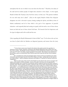atmosphere like the one in which it was sent down the first time." Therefore, the ulama of the salaf and the modern people of insight draw attention to this subject. In this regard, Shaykh al-Islam Ibn Taymiyya (may God have mercy on him) says: "The greatest medicine for one with many sins is jihad." (Also) in this regard, Shaykh al-Islam Ibn al-Qayyim designates one who is devoted to prayer, fasting, reading the Qur'an, and dhikr [a form of Islamic meditation]—and all of that which is the goal of the supporters of peaceful education—and suspends jihad and coming out openly with the truth as one of those whose hearts are dead and one of those whom God hates. We beseech God for forgiveness and for vigor in religion and in this world and the next.

(Also) regarding this Shaykh Muhammad al-Amin al-Misri<sup>14</sup> says: "As for those who say how can there be jihad while the Muslims are dispersed, ignorant, and remote from the (true)

 $\overline{a}$ 

<span id="page-131-0"></span> $14$  I do not know anyone more learned in the sharia in the modern period who specializes in education in terms of study, experience, and practice than Shaykh Muhammad Amin al-Misri (may God have mercy on him). This Shaykh was born in Damascus in 1914 and died (may God have mercy on him) in the year 1977 (1397 A.H.) after a surgical operation in Switzerland. (His remains) were transferred to blessed Mecca and he was buried there (may God have great mercy upon him and may God recompense him well).

He is considered one of the most prominent ulama of Syria in the last one hundred years and he obtained his university degree from the Usul al-Din College at al-Azhar—perhaps that was the reason he was called al-Misri—where he obtained a doctorate in the subject of "Criterions of Criticism Used by the Traditionists."

Whoever reads some of the research of the Shaykh sees his talent for the sciences of exegesis and hadith, and the subjects of faith and dogma. And one who reads it also knows how he specialized in studying psychology and its connection with education and the comparison between the Islamic method of education, other, Western methods, and others, (and knows that) he has studies and penetrating research on (these subjects)—it was appreciated by his students in the journal "al-Bayan wa al-Sunna" before (others) appreciated it. As for educational practice, this Shaykh (may God bless him) had an experience taken from the effect of the experiences of the modern missionaries and the ulama since this Shaykh communicated, during his studies in Egypt, with Shaykh Hasan al-Banna during a period filled with momentous events in the history of the Muslim Brethren. Likewise, during the period of his work in Pakistan, he communicated with Shaykh Mawdudi (may God bless him). Even more important than that was during the years of his work in which he was busy with teaching, education, and administration in different Sunni countries, environments, and stages in the regions of Muslims. He taught in secondary schools in Damascus for a period of time and during his job in Pakistan he worked to spread the Arabic language among the sons of Pakistan and he has a book regarding the teaching of the Arabic language to non-Arabs. He also taught in the College of Sharia in blessed Mecca and participated in establishing the Department of Higher Studies in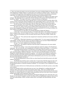it. Three years before his death, he moved to the Islamic University in brilliant Medina and served as chair of the Department of Higher Studies in it and he had a role in putting its methods in place. Therefore, there is no doubt that the generation which graduated from these two universities in the peninsula and lead the youth today were influenced by this scholar and esteemed educator and paid attention to him.

I previously mentioned that the origin of the study of education was a debate for the Qutbi current in Egypt. This designation has no connection with the formation of the groups which illegitimately call themselves "Qutbis". The origin of this name is a long story that has no importance.

The book focused on this current, especially since it was the most numerous and the oldest of the currents in terms of giving the (sharia) foundation for the understanding which we seek in this book. Even most of the courses which became famous after that took almost all of their proofs from this current.

Several years ago, I met in some place with one of the leaders of this course and the following conversation occurred between us (what I will relate is partial and is the thrust of the conversation):

He said to me, asking: "Do the groups of jihad continue following the policy of "scorched earth" and use their propaganda to denigrate the remaining currents as punishment for not acting according to the same method, as has happened in Algeria and now in Egypt?"

(The discussion was when there were burning operations in Egypt and Algeria.)

I said to him: "If you mean by the policy of "scorched earth" that it is the method of the groups of jihad to designate those who do not fight out of choice as those who fight out of compulsion, then that is correct. And you will sometimes see the movements and the masses in the land of battle, whether they want to or not."

He said to me: "The youth must take enough time for education and likewise the masses until they are ready for battle."

I said to him: "What kind of education are you talking about? It is your concept of education that is the problem. So that I may draw close to you and not estrange you, do you know Shaykh Muhammad Amin al-Misri? He is the most specialized of the ulama in education."

He said: "Yes, I have studied several of his books with him."

I said to him: "The method of education which the groups of jihad present is the same method which the Shaykh presents."

He said to me, smiling: "Look at the practical application which the students of the Shaykh have undertaken—this was when they were managing the two journals al-Sunna and al-Bayan—or even look at the life of the Shaykh himself and there is no doubt that it will explain what he meant by his words."

I said to him: "It appears that you have not read the clear, blunt passages in which this Shaykh spoke about the prophetic method of education. First of all, turn away from his students, for they have changed his friendly admonitions beyond all recognition. As for the life of the Shaykh, he mentioned in more than one place in his books and his lectures that he is not satisfied with his experience in Islamic activism and he hoped that his students will be honest with themselves just as he was, even to the final discussion which took place between us."

So what did Muhammad al-Amin al-Misri say about himself and what did he present as the ideal method of education?

The Shaykh (may God have mercy on him) said: "I swear by the Truth that I deem my days to be fruitless and my soul to be base and lowly, not having advanced beyond the stage of childhood and not having attained maturity or tasted the meaning of manhood. If I were asked to write an appraisal of myself, I would say:

(1) He is not content with his level of faith and he does not think that a level like this can have a clear effect on his students.

(2) He is not satisfied with his work and he does not carry it out, although he is confident that the path which he walks is that which will lead to the salvation of the Umma. There are no methods and no procedures in which students have been trained that will bring forth heroes and missionaries for the Umma. Therefore, he considers himself to be a laborer doing what pleases the boss for the sake of (his) livelihood. Perhaps many people will be surprised by these words."

 The Shaykh bared his soul by being honest with himself, hoping that some will do the same, even though one who reads his biography sees how his efforts and his accomplishments surpassed many of those who claim understanding, wisdom, carefully studied efforts, and lengthy individual planning, and other slogans.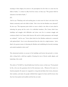meanings of their religion, the answer is: the prescription for all of this is to enter into the fields of battle..." to where he (May God have mercy on him) says: "The greatest field for education is the field of battle..."

[57]

And he says: "Purifying souls and teaching piety in action must be done in the land of the Islamic community and in the fields of jihad. This is how the first Muslims were educated." He also says: "The important point which we want to clarify is the effect of active jihad in educating the group and the souls of its individual members....The Umma which faces hardships and struggles with difficulties and whose sons live in constant struggle and continuous jihad is the Umma which deserves life and for which permanence and triumph are ordained." And he says: "Active jihad which the first Muslims undertook is connected with spiritual jihad. One is never disconnected from the other for a single moment. Active jihad is the greatest means of educating the Muslims and establishing the heavenly meanings and exalted standards in their souls."

This educational method, on account of the hardships and horrors that pervade it, is alone able to bring forth a solid base capable of bearing the trust of blood, wealth, dignity, and leadership of the world.

The author of "al-Zilal" [i.e. Sayyid Qutb] (may God have mercy on him) says: "God, praised be He, is the one who guarantees this for His missionary work.... Whenever He wants it to function properly, He exposes its vanguards to a long trial and delays their victory, decreases their numbers, and makes the people withhold their support for them until He knows that they have been patient and steadfast and that they are ready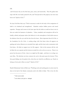and fit because they are the firm base, pure, aware, and trustworthy. Then He guides their steps with His own hands, praised be He, and "God prevails in His purpose, but most men know not" (Qur'an 12:21)."[15](#page-134-0)

He (may God bless him) says: "Trial is necessary in order for the body of the companions of belief to be hardened and strengthened. Calamities catalyze hidden powers and stored capacities. Passages and courses in the heart open that the believer would not know were in him save under the hammers of calamities... Values, standards, and conceptions will not be healthy, refined, and proper unless (the believer) is in the atmosphere of trial which removes the darkness from the eyes and the dust from the heart... More important than all of this, or the foundation for all of this... is seeking refuge with God alone when all supports are quaking and various illusions are concealed from sight, and the heart seeks communion with God alone... He finds no support save for His support. Only in this moment will the veils be lifted, the eyes opened, and the horizon revealed for as far as the eye can see... There is no power but the power of God... there is no might but His might... and there is no refuge save unto Him... The Qur'anic text here connects the soul to this point upon the horizon: "Give thou good tidings unto the patient who, when they are visited by an affliction, say, 'Surely we belong to God, and to Him we return" (Qur'an 2:155).<sup>[16](#page-134-1)</sup>

Shaykh Muhammad Amin al-Misri says: "Purifying souls and teaching piety in action must be done in the land of the Islamic community and in the fields of jihad. This is how the first

 $\overline{a}$ 

<span id="page-134-0"></span><sup>&</sup>lt;sup>15</sup> Tafsir surat al-anfal.

<span id="page-134-1"></span> $16$  *In the Shade of the Qur'an*—abridged.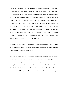Muslims were educated... The Muslims lived for thirty days during the Battle of the Confederates while the enemy surrounded Medina on all sides. The nights of the Companions were like their days—there was continuous watchfulness and constant vigilance while the Muslims suffered from fear and hunger and the enemy did not suffer. It was in an atmosphere like this, surrounded by absolute terror, that the souls submitted to their Creator and entrusted their affairs to their Lord and the minds became aware and resolve awoke. The Muslims found continuous aid that was not withdrawn when they were moving or when they were still. In this frightful, humbling atmosphere the meanings of advancing in the way of God were revealed and the power of faith was multiplied and the hearts were purified. All of this accomplishes what cannot be accomplished—not even a simple portion of it—in one hundred years of solitude and in the depths of shrines.

The spirit of altruism appeared in the hours of hardship, the exalted meanings were planted in the hearts during the hours in which all the groups were exposed to danger, and death encompassed everyone in its terrible shadow.

The spirit of fortitude in the face of hardships and constancy in the face of adversities; the spirit of trusting God and having faith in Him and devotion to Him and awaiting His rescue; and the spirit of cooperation and mutual assistance all appear in the arenas of jihad and among the ranks of the believers who turn their pure spirits toward the face of God... The life of battle is that life in which the believer attains good qualities. Thus, altruism becomes easy and egotism falls away and selfishness departs. As for the claim that the soul is engaged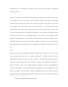in jihad when it is in situations of comfort, security, and calm, (this notion) is adulterated with many errors."<sup>[17](#page-136-0)</sup>

This type of education is that which will bring forth a generation that is able to bear the trust of this religion and move the Umma to join the practice of jihad. By its means, true leaders will be brought forth for the Umma. That is because speaking on the pulpit is easy and in the newspaper even easier and in books even easier than that. As for having (one's) home destroyed and one's family made homeless and one's mother and sister torn to pieces, only the most extraordinary men are capable of (bearing) that. Great leaders and hardened troops will not come forth save in an atmosphere like this. The Umma is only awaiting a leader capable of making decisive, correct decisions and not fearful of so-called corruptions, just as Abu Bakr did when it was said to him, "All are against us: In front of us are the apostates and the Byzantines and the Persians. Do not dispatch the delegation of Usama, even if you are

[59]

1

doing it because it was a prophetic command. Make peace with those who refuse to pay zakat among those who have not openly apostatized." [Shortly before his death, Muhammad had ordered Usama to invade lower Syria.] He said, while seizing the neck of Umar (may God be pleased with both of them): "Coercion in the Jahiliyya is weakness in Islam? By God! If one of the harmful things that happen is that the dogs dragged the women of the believers, I would (still) dispatch the delegation of Usama and fight those who refuse wise people." Did Abu Bakr surrender leadership because he set forth an selective program [barnamajan intikhabiyyan?] the like of which others had not set forth? How did he

<span id="page-136-0"></span><sup>&</sup>lt;sup>17</sup> The book "The Method of Islamic Proselytizing"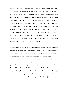have the ability to take the decisive decision? Did not the actions give him priority in the scale of revelation and in the hearts and minds of the Companions? Was this not because he paid all of the costs of traveling in the company of the Messenger, the Leader (peace and blessings be upon him), and plunge with him into most of the battles, a journey of blood, severed limbs, and skulls? Only people like these are able to understand the subject and appreciate the matter and have the ability to take the decisive decision, about which soldiers say in books of war: "The decisive decision is the decision from which a disastrous outcome is possible and perhaps probable. However, it must be taken due to other considerations and only a true leader can do this." The Umma has been waiting for leaders and decisions like these since the years of slaughter. Those leaders will only come forth by means of this kind of education. Their vanguard has already come forth—praise be to God—and we are waiting for more, by the permission of God and His grace.

In an atmosphere like this, we, as well as the Umma, will be taught to confront the terrible horrors which accompany wars with hardness and courage. Even if we swallow some of its bitterness along with the degradation which has afflicted us, according to the jurisprudence of defeat which some of the courses (of Islamic thought) have brought to light we must now confront those horrors with hardness and strength so that God may permit us to stop them some day. In one of the battles of Afghanistan in opposition to the Russians, the men gathered the women, the elderly, and the children in a mosque in order to minimize the damage of the bombing. Bombs fell upon the mosque and killed all those who were in it except for a little girl who remained in the lap of her grandmother whose head had been split open and its contents dangled down in front of her granddaughter. One of the Arab mujahids began to calm the child who was raving out of fright. The mujahid was crying and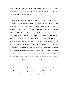one of the Afghanis said to him: "What is making you cry?" The Arab said to him: "Have you no feeling? They are your people and your relatives." The Afghani said: "This is war, and you and I will die like them some day."

What we said concerning raising the level of faith we say concerning raising the level of knowledge. In accordance with the circumstances that led to the descent of verses and the occasioned of the sayings of the Messenger (peace and blessings be upon him), one finds that the verses were sent down and the hadith were stated—whether in Mecca or Medina in light of terrible events, whether before a calamity or battle, during a calamity or battle, or after a calamity or battle; some of the Companions were even studying questions of dogma during the battle, like the question of how a man becomes Muslim. Something like this happened with Usama Ibn Zayd (may God be pleased with him) when he killed someone who pronounced the two declarations of faith. And there was the issue of Dhat Anwat. [This is the name of a tree that pre-Islamic Arabs used to hang trophies and ornaments on. The Companions had asked Muhammad to have one of their own. Muhammad rejected their request, refusing to sanction a pagan practice.] In an atmosphere like that, the spiritual meanings became firmly rooted (in peoples' hearts). Therefore, we must make these situations which our groups and our Umma are passing through an opportunity for advancing individuals and the people intellectually.

What I want to say by all of this is that advancing the people with respect to faith and education is one of the most important goals of the stage of "the power of vexation and exhaustion" and the stage of "the management of savagery" and it will not happen in an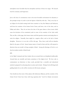atmosphere more favorable than the atmosphere and heat of these two stages. We beseech God for constancy and forgiveness.

Just as the heat of a momentous event is the most favorable environment for education, it also prompts troops of youth to join the legions of jihad day after day. Truly, every day we see helpers for the jihad coming forth from countries in Asia, like Malaysia and Indonesia, and from the countries of the former Soviet Union, and from a few of the cities, such as Falluja and others. They do not know the class of the great ulama or those mores which cause the deviation of the committed youth in some of the countries of the Arab world. They are like a white page, their innate nature and their genuine emotion motivating them to assist the religion. Naturally, there might be a negative effect, such as the lack of sharia discipline. However, it is our role to fill in this gap. Thus, these youth will not abandon jihad, by the grace of God. Innate human nature is found in them and they will respond to direction from any model or living exemplar of jihad. Among the blessings of God to us is that the modern models of jihad found

# [60]

in the High Command and those leaders that are around them are disciplined intellectually. Around them are scientific and sharia committees of the highest level. We have only to communicate our directions to these youth, provided that a scientific and educational method is prepared for advancing them in action and in battle. Perhaps God will bring forth guiding leaders for us who will be victorious by His bounty and grace.

One should note that some of these places, like Indonesia, Malaysia, and the countries of the former Soviet Union have those with long experience [lit. "roots"] in Islamic movements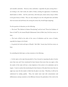and scientific authorities. However, these authorities—especially the pious among them are looking to the Arab world, the cradle of Islam, awaiting the appearance of intellectual, jihadi leaders to follow. And the youth there, with their pure, innate nature, long to follow in the great history of Islam. They are only waiting for one who will guide them and define their movement and (tell them) who among the enemy they should begin (targeting).

For the question of education, see the following:

— The book "The Method of Islamic Proselytizing" and the book "From the Guidance of Surat al-Anfal" by the learned Shaykh Muhammad Amin al-Misri (may God have mercy on him).

q The book *al-Zilal* in the tafsir of the verses of tribulation and the verses of battles, especially the chapter of al-Ahzab.

— In general, the books and tapes of Shaykh `Abd Allah `Azzam (may God have mercy on him).

In concluding the third topic, we draw attention to the following:

 $\equiv$  In this topic on the topic that preceded it, I have focused on repeating the plan of action more than once and I have mentioned its basic features from more than one angle so that the reader of this study will have a clear depiction of the action to be undertaken and its targets. I want to caution that mentioning the basic features of the plan from more than one angle may cause the fast reader to think that the plan is not clear. Therefore, it will not be understood by reading quickly. Thus, the reader must read with concentration and deliberateness and pay attention to the difference between the particulars of the work in the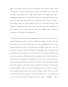regions of the group of priority states and the particulars of the work in the regions of the remaining states. (He must also note that) the regions of the priority states are dealt with according to a plan divided into two stages which will move (the mujahids) to the stage of establishing an Islamic state. The steps of the first stage are sometimes different from the steps of the second stage and sometimes they resemble each other, whereas the regions of the remaining countries are mostly seeking the order of a single stage until victory and assistance in establishing an Islamic state come to them from outside, by the permission of God. However, there is no doubt that the steps of (the mujahids') action is affected by developments in the regions of the priority states.

 $\sim$  No matter how much we master these principles and no matter how much we master our operations and reap its results, we must not let pride and arrogance overtake us some day. What grace do we have but from God alone? One who contemplates the reality of our situation will know how weak we are and that we have no might or power save by God. We can only offer assistance, draw closer together, take the possible means of subsistence, and, in all of that, trust in God alone. He is our master and we have no master other than Him. If we rely on ourselves, we will be destroyed in the twinkling of an eye. When I used to hear news of some of the operations, I would think of how remote they were from the goals of those who took the decision for the operation. However, after that I was surprised that the results of the operation, by the grace of God, exceeded all the expectations of the group that executed or planned. Praise be to God in the beginning and in the end Who has aided the men of tawhid and jihad in their work to assist His religion and Who made these actions successful and blessed their results. I note that I sometimes hear or read statements or essays by some of the youth that contain pride in the actions or haughtiness. That is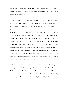praiseworthy if it is out of self-esteem in the face of the unbelievers or the people of calumny. But if it is out of mere arrogance, pride, or haughtiness, then I pray to God to guard our youth against that.

— Our path is long and arduous and there is still much work and many sacrifices ahead and it still requires a lot of giving and commitment. Let us remember the sacrifice and giving of the Companions (may God be pleased with them) and how, after the defeat of Uhud,

[61]

the Messenger (peace and blessings be upon him) called upon them to pursue the people in Hamra' al-Asad while they were still burying their martyrs and blood was still on their clothes. Not one of them said, "Let us return to our homes so that we may change our clothes and prepare ourselves." They did not lose courage on account of what afflicted them and they did not grow weak or become submissive. Rather, (there was) troop after troop and sacrifice after sacrifice and endeavor loftier than the summits of mountains until they obtained what they wished of the glory of this world and the hereafter. At that time, the word of God (exalted is He) regarding them was sent down: "And those who answered God and the Messenger after the wound had smitten them—to all those of them who do good and fear God, shall be a mighty wage" (Qur'an 3:172).

By God! It is as if I see the mujahids given power in the countries of the Maghribespecially in Algeria. If God were to grant them this, on the morning of the following day (by the permission of God) there would be no time for relaxation and none of them could pray the afternoon prayer except in Tunisia on the borders of Libya. On the following morning they would begin to prepare for conquering Libya and Egypt. The enemy knows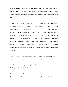well the momentum of our actions. Thus, the Foreign Minister of Tunisia said to journalists in the year 1993: "Do not be deceived by the appearance of calmness and control in Tunisia. If a change happens in Algeria or Egypt, a change will happen in Tunisia after a quarter of an hour."

By God! It is as if I see the mujahids given victory in the Arabian Peninsula. If God were to grant them this, on the following day (by the permission of God) they must prepare immediately to begin conquering the smaller states which these paltry regimes in Jordan and the Gulf rule. By the permission of God, with the exit of America from Iraq, what remains of its deceptive media halo will collapse and every regime which supports it will fall. The noble people in the states will renounce (the regimes) and restore the rights of the Umma which these collaborating regimes had snatched away. The masses of these states will open their arms to the conquerors, by God's grace and beneficence. God would never waste the sacrifice of those who sacrifice (cf. Qur'an 2:143); rather, (what is required is) patience and certainty.

"And We appointed from among them leaders guiding by Our command, when they endured patiently, and had sure faith in Our signs." (Qur'an 32:24)

"Yet if you are patient and god-fearing, their guile will hurt you nothing; God encompasses the things they do." (Qur'an 3:120)

After that, the throngs will apply themselves (by the aid of God) to liberating Jerusalem and that which surrounds it and liberating Bukhara, Samarkand, Andalusia, and all of the lands of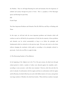the Muslims. Then we will begin liberating the earth and humanity from the hegemony of unbelief and tyranny through the power of God. This is a prophecy of His Messenger (peace and blessings be upon him).

[62]

Fourth Topic

The Most Important Problems and Obstacles That We Will Face and Ways of Dealing with Them

In this topic, we will deal with the most important problems and obstacles which will confront us and we will find (by the permission of God) that the majority of these problems and obstacles can be solved automatically as long as we follow the principles and fundamentals which we referred to in the previous topic. We must only work to solve them without changing the mechanics which guide us according to the principles referred to previously. God is the one Who is sought for help.

## (1) The Decreasing Number of True Believers

In the beginning of the Afghani war in the 70s of the past century, the jihad went through critical periods in which a number of strikes were directed against the mujahids, until according to some accounts—only thirty men remained. However, after that and after the end of a decade of confrontation with the regime and then in confrontation with the regime and the Russians, the jihad offered up one and a half million martyrs (of course, among them were large numbers of Muslims who died from bombs). Where did these numbers of people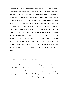come from? The response is that it happened by means of leading the masses to the battle and turning them into an army, especially when we established regions that were secure from the chaos and savagery that resulted from fighting and the people emigrated to these regions. We can make these regions theaters for proselytizing, training, and education. We will achieve ideal results through using (the type of) education that is not complete save through battle. Through the atmosphere of battle, they will become ready; nay, rather they will surpass their teachers. Shaykh `Abd Allah `Azzam (may God have mercy on him) says: "The Islamic movement, which has revealed its determination through armed resistance against Dawud, the Afghani president, was not capable on some days of merely imagining this exalted summit to which it has (now) attained through blessed jihad." And he said: "The difference is enormous between those days in which the engineer Habib al-Rahman, the martyr—the secretary-general for the movement—drew a Kalashnikov on paper and then explained it in the depths of dark rooms to those whom he educated to love jihad and between these days in which children play with the rocket launcher RPG which destroys tanks."

[63]

(2) The Problem of the Lack of Administrative Cadres

The previous problem is connected with another problem, which is our need for a large number of elements who have administrative experience, especially in the first periods of the management of savagery. Of course, we have previous experience from managing our organized groups. However, when we settle in the regions, our administrative elements will not be sufficient with respect to numbers for managing these regions, whose large numbers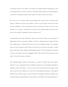of residents will take us by surprise. The regions of savagery should be managed by us and by the people who live in them. So that we can further clarify this point, we will talk about it on the basis of the primary doubt which occupies the minds of some of the youth.

We used to be in a situation which caused hopelessness and gave birth to doubts which induce an affection for peace and avoidance of trial-I am also guilty of that and I asked God for steadfastness. One of the brothers said to me at that time: "This is not the way that will take us to our goals. Assuming that we get rid of the apostate regimes today, who will take over the ministry of agriculture, trade, economics, etc.?"

I automatically said to him: Abu Sufyan, `Ikrama, and so forth. [These are early enemies of Muhammad who later converted to Islam]. He did not understand what I meant and I left him to think about it. Perhaps at that time I gave him an insufficient answer. The complete answer is that his question and his doubt are based on the notion that the battle is a quick strike, which arises from a deficient understanding of jihad. Likewise, perhaps (his question) was due to his impure reasons for engaging in jihad. We beseech God for forgiveness and vigor for us all and to grant us clemency.

The leadership appears during a long journey—a journey of limbs, blood, and corpses. Second, it is not a prerequisite that the mujahid movement has to be prepared especially for agriculture, trade, and industry. One even sees that the movements and the parties which come to power in the world govern on the basis of their political constituents. They appoint ministers from within the party or the movement for managing the different ministries and for taking charge of general policy for each ministry in accordance with the general policy of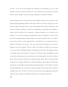the state. As for the one who manages the techniques in each ministry, he can be a paid employee who has no interest in policy and is not a member of the movement or the party. There are many examples of that and a proper explanation would take a long time.

More importantly, there is a better solution for the problem, which is that we get close to the people, perhaps appointing residents of the region which we control to manage some of the jobs with salaries and wages while our men work alongside them without remuneration. We must set examples of patience, renunciation, abandonment, and sacrifice and examples of justice and fair treatment for the oppressed. Oppressed people in our societies are the majority. Let us convene meetings for repudiating the previous inequities, to such an extent that when an oppressed person brings evidence, we secure his rights for him or we arbitrate between him and the one who oppressed him. We prefer him to be forgiving when he is capable of choosing to have justice. We unite the people and defend the weak and the oppressed, who are the majority. We say to them, "Our spirits are sacrifices for you because you are the Umma of Muhammad (peace and blessings be upon him). We humble ourselves to mankind with power and justice. Of course, we will face horrors and difficulties which the enemies and hypocrites have caused; however, in this atmosphere you will see wondrous things. When the wind of faith blows, it brings wondrous things. When the people behold the great acts of courage, certitude, virtue, and trustworthiness and the spirit of volunteering, acquiescence, and humility is demonstrated, along with greatness of soul, loftiness of vision, and high-mindedness, all of the horrors which accompany these things will be deemed as nothing in their eyes. By God! You will see youth and men from neighboring and remote regions coming to groups of mujahids in troops for bay`a, repentance, and more.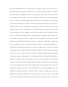We must understand how to live with all classes of people. What do we do if they ask to have Dhat Anwat? [See page 59.] What do we do if they commit a heretical act or crime; if they drink wine, for example? When do we punish them and to what extent and when do we reconcile with them, and to what extent? Shaykh `Abd Allah `Azzam (may God have mercy on him) says: "The battle which has beset the sons of the Islamic movement forces them to live with all classes of people. 'Of them some wrong themselves, some of them are lukewarm, and some are outstrippers in goodworks by the leave of God; that is the great bounty' (Qur'an 35:32). Forcing them to live with all classes of people—those who are wasteful and those who are negligent, those who are erring, those who stumble, and those who are truthful and committed—gives them experience, knowledge, and worldly knowhow based on profound efforts to uplift the levels (of people) and attempts to create harmony among dissimilar levels who are living in a single base, confronting a single enemy for ten continuous years in a single life beneath the shade of a single roof, gathering at a single table, moving with one movement as if they were single body. In contrast, the Islamic missionaries in many of the countries of the Islamic world live in elite, clean societies where they do not have to interact with most classes of believing people except in gatherings, conferences, sermons, and meetings." In this manner, our leaders will gain their experience. Shaykh `Abd Allah `Azzam (may God have mercy on him) says: "Each one of them (by which he, may God have mercy on him, means the leaders of the jihad) must find a solution to the social problems and to the issues of aridity which bite that region with its teeth. He must find a solution to the issues of wounds which do not stop hemorrhaging and to the problems of orphans and widows. He must look for a means of creating a way out for the hundreds of thousands of children who do not know how to read. Surely, he must open some of the schools, even if they are in mountain caves or beneath the trees. Each one of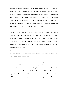them is an independent government. He is the prime minister and, at the same time, he is the minister of health, education, defense, social affairs, agriculture, media, and (religious) guidance. Truly, leaders govern when living between the jaws of death. If some military men can come to power on the basis of the first communiqué in the revolutionary, military states - leaders who are not known to have ruled previously, have no Islamic hue, no background in the movement, no discernible intelligence, and no captivating morality  $-$  are not the leaders (of the Islamic movement) capable of governance?!"

One of the Western journalists said after meeting some of the youthful leaders from Afghanistan in the 90s: "I used to consider them inexperienced youths, ignorant and restless people who love killing and did not understand anything else. When I sat with them I was surprised that one of them, even though he was not more than 24, possessed poise and political wisdom which the elder members of the Congress in America did not have." (That was the essence of his words.)

### [65]

(3) The Problem of Loyalty to Elements in the Preceding Administration (Especially Those with Different Islamic Orientations)

At the outbreak of chaos, the onset of jihad, and the freeing of vacancies, we will find Islamic and non-Islamic parties and groups striving to ride the wave and exploit the situation. Here there are two possibilities: First, these entities take over the administration of some of the regions. We have previously mentioned the principles of dealing with these regions in the third topic, especially what pertains to understanding the principles of the political game and those things that are connected with polarization. The second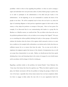possibility—which is what we face regarding this problem—is when we used to manage a region and individuals who were previously cadres of (other) Islamic groups or parties obey us in order to participate in the administration or the jihad and give loyalty to the administration. In the beginning, we are not commanded to examine the hearts of the people or test them. We will be completely loyal to those who are loyal to us, unless the signs of continuing allegiance to their previous organization appear in their words or their stances, or they adopt the positions or concepts of that party. Here we have pause: For example, if we discovered that he was communicating with leaders in a group like the Brethren or a Murji'ite current, we would ask him: "Do you believe what those who are in the polytheist parliaments believe or do you believe in not cursing of the Taghut?" If he says yes or something else without publicly declaring his loyalty to those groups—(if instead he) criticizes the brothers when the forces of the regimes which surround us invite us to enter into a coalition or, for example, hold a referendum or an election and so forth, then these are sufficient reasons for us to remove him from the ranks. Yes, we may not be able to implement the judgment against him because of the obstacle of interpretation; but, we will not accept these characteristics in our ranks. Rather, we should prevent him from openly declaring these views and fomenting them in the society of savagery by every lawful means and in accordance with the danger of what he is stirring up.

Regarding a problem similar to this problem, the learned Shaykh `Umar Mahmud Abu `Umar (may God release him from his captivity) says: "When the jihad is ignited in some place, the Islamic movements will face the problem of raising the prestige of jihad in the view of the bases—especially those whose innate natures have not been completely sullied. Let them to engage in jihad, unless the man who is in your organization heeds the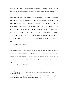instructions and fatwas of shaykhs outside of the group. These types of youth are very dangerous and take away the power and impetus of any movement in any circumstance."<sup>[18](#page-151-0)</sup>

However, the Shaykh also points out that a person who comes (to you) from those people in the stages of tests and hardship is someone who usually should not be feared: "Of course, this is something that should not be feared—I mean several individuals from the groups of heresy joining with you in jihad during the time of fitna and trials. These bases do not join with you on account of the difficulty of this span of time [lit. "bridge"]. However, such a person should be feared when the jihad has a voice of high standing and wide, popular support. The shaykhs of these organizations may permit their members to engage in jihad and may say nothing about them. On that day be wary of what we have cautioned against."<sup>[19](#page-151-1)</sup> [66]

 $\overline{a}$ 

(4) The Problem of Infiltration and Spies

Among the bounties of God to us is that our movement is large and the horrors in which we are immersed reveal for us, one by one, the collaborators in our ranks. Meanwhile, it is possible for the collaborator to live for long years in the ranks of the movements which do not face momentous events, tests, battle, and killing; he may even advance to reach the highest positions within these organizations without anyone discovering him. As for the movements of tawhid and jihad, show me the collaborator who is willing to participate in a

<span id="page-151-0"></span><sup>&</sup>lt;sup>18</sup> "Articles Between Two Methods" by Shaykh `Umar Mahmud Abu `Umar (may God release him from his captivity).

<span id="page-151-1"></span> $19$  Refer to the entirety of article number 95 from "Articles Between Two Methods" by Shaykh `Umar Mahmud Abu `Umar (may God release him from his captivity).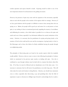combat operation and expose himself to death. Exposing oneself to death is one of the most important elements for advancement in the guiding movement.

However, the presence of spies may come with the expansion of the movement, especially when we mix with the people in the societies of the regions which we manage. However, if we have good relations with the people it is difficult to remove those among them who are spying on us. Rather, the people will be good eyes and armor for us and protect us from spies, to say nothing of what we mentioned previously regarding the mastery of surveillance and infiltrating the enemies, a fact which makes it possible for us to discover the spies and watch each one of them, especially if our informants infiltrate the security institutions of the enemy. Likewise, it is necessary that the punishment for spying and giving loyalty to the enemies of God in this world and the next and the recompense of giving loyalty to God, to His Messenger, and to those who believe be firmly established among the people through our enlightening media.

The principles of discovering spies are found in the security reports which the mujahids usually publish. However, what we want to stress is that following the principle of violence which we mentioned in the previous topic touches on dealing with spies. One who is confirmed as a spy through evidence must be dealt with in a manner that deters others like him. If he flees, he must be followed and not abandoned, even if this takes years. It is necessary to announce that he will receive his punishment, even after long years. This will often make the weak souls hesitate in doing likewise. Likewise, one should issue statements every so often—especially after discovering a spy and punishing him—that the field of repentance is open to whomsoever willingly steps forward to acknowledge that he is under a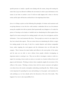specific pressure or (made) a specific error dealing with the enemy, along with starting the rumor that (a spy was allowed to infiltrate the movement) in order to pass information to the enemy in one form or another—even if it did not really happen; this is done so that the enemy and his spies will become confused due to his misgivings about them.

Just as it is fitting to point out that following (the principle) of violence and coarseness and not giving clemency to one who has—with certainty—undertaken this act you, the amateurs among the mujahids who did not practice jihad operationally may disapprove of it under the pretext of focusing on the leaders of unbelief and not abandoning the efforts against those duped by the enemy among the low ranking people in the army, the stool pigeons, and the informants. I have read statements like these. Those people are correct in one respect, but they have missed other aspects. They are correct about not abandoning the efforts to target low ranking people in the army, if only for a tactical objective and without comparable losses, unless targeting the stool pigeons and the informants does not fall under this category. That is because the major leaders and officers in the secret police of the enemy and his army are not able to move without those people—whether investigating an important matter or carrying it out. They are not able to investigate a matter or settle in a region for executing a house search, an arrest, or an attack on a location without those stool pigeons and informants. Working to destroy them completely cripples the movement of the officers of the enemy. Working to destroy them with the utmost coarseness and ugliness even deters those who merely contemplate undertaking something like that. Media coverage is also important for spreading the cause and justifying it to the people—and sometimes for only justifying it, as we have already said in the discussion of the role of the media. That happens if we were to take responsibility for it.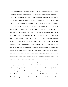Here I will point out one of the problems that is connected with the problem of infiltration and spies on account of its importance and the frequency with which it occurs in the stage of "the power of vexation and exhaustion". The problem is this: When one of the mujahids is captured (we ask God for forgiveness (for thinking such a thing)—it will be treated in the articles connected with the study of the importance and reasons for battling until death and avoiding capture), he is forced to talk after pressure on him and torture. Sometimes he wants to mislead the interrogators, so he mentions the name of a brother or brothers who have nothing to do with the jihad. Satan conjures that up in his mind under diverse justifications. Among them is that it is the lesser of two evils, and that the interrogators will not be able to obtain anything from them, and that it will warn those who are sought, leading them to take precautions, and that the interrogators leave them [i.e. the brothers that were fingered] alone after that and the reality will be discovered. And if they are arrested, perhaps that will acquaint them with the tyranny and unbelief of the regime and they will meet the brothers in prison and join the journey after they leave! Some of this may have really happened, but that is no justification for doing it. First, he inflicted pain and oppression on the Muslim who had no connection with the matter. Second, sometimes that brother—who had nothing to do with the jihad—has important or unimportant information, but it is useful because it is threads for the interrogators (to follow), which is one of the reasons for their seizing youth in general when they settle in some region. Likewise, perhaps this brother will volunteer to divulge the things he knows out of resentment for what the mujahids did to him, which might accidentally cause serious harm. He may have seen some of the mujahids frequently visiting some place or some abode and so forth. Often, the life of this brother during the investigation and in prison is a tragedy for him and for those around him if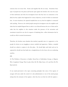someone does not rescue him. Stories and tragedies like this are many. Sometimes these types of people leave the prison and become spies against the brothers who were the cause of their misfortune and often the investigators know that they have no connection to the jihad, but they exploit what happened for various objectives, several of which we mentioned here. In most situations, the captured mujahid does not say that his neighbor is connected with anything. However, the wicked people among the investigators seize the neighbor and claim that the mujahid fingered him in order to sow discord between the two of them and in order that the neighbor in this situationqunder the pressure of the accusation and resentment toward the one who he suspects of slandering him—offers information that he would not offer in normal circumstances.

Therefore, the brothers must abandon that method, especially since it is oppressive to the people for whom we are struggling to remove unbelief and oppression. Rather, a mujahid should not submit to capture in the first place. He should fight until death and not be captured; he should tunr that battle into a slaughterhouse for the forces who are conducting searches.

[68]

(5) The Problem of Secession or Sudden About-Face of Individuals, Groups, or Regions Who Completely Change Their Loyalty (How Do We Make Sense of It and How Do We Deal with It?)

It was stated previously in the topic concerning principles that some of the regions of savagery will come under the control of a clan administration or one of the armed groups arising from the remnants of the regimes—after they have cut their ties with the regimes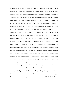or an organization belonging to one of the parties, etc. In order to give the upper hand to the rule of Islam, we will deal with them on the assumption that they are Muslims. We must communicate with them and stress certain matters and clarify their importance; these matters are that they should rule according to the sharia and enter into allegiance (with us)—meaning the exchange of loyalty and assistance—and union, or a prelude to union. Sometimes, they may do all of the things or they may only be satisfied with only applying the sharia to themselves due to their own considerations, which we mentioned previously. Afterwards, they violate their agreements and participate in infidelity, like willingly judging according to Taghut laws or exchanging oaths of allegiance with the infidels and the apostates. First, we must bear in mind that this sudden reversal and withdrawal is one of the characteristics of human souls and it does not discredit an amir or a leader who had accepted those people previously and added them to the ranks or was not wary of them. That is because we were not sent as watchers over humans (cf. Qur'an 83:33). We protect and draw close to him who manifests goodness to us and we do not know what he does afterwards. Regarding this, a man came to the Friend [i.e. Abu Bakr] (may God be pleased with him) suddenly and asked him for men and wealth in order to fight the apostates. Abu Bakr gave him wealth and made him an amir. He then became a brigand, killing Muslims and apostates and taking their wealth, until he attacked tribes, which then came giving bay`a to Abu Bakr. The Friend (may God be pleased with him) burned him with fire, just as the tradition states. That did not discredit the perspicacity of the Friend and his knowledge of men and (their) internal states, for he was the best of men after the prophets. Tribes even gave bay`a to the Messenger of God (peace and blessings be upon him) and he appointed governors and amirs from among them over their people. After his death, some of them apostatized and dragged their people with them into apostasy. Some of them were killed in the Ridda Wars as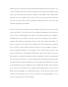infidels and many of the Qur'an reciters [early Muslim pietists] died and were martyred. Can a man be faulted for (their sins)? Was the Messenger of God (peace and blessings be upon him) or one of those who came after him a watcher over the people?! This is human nature and God wants to see qualities of those who are firm in us, those whom He loves and who love Him (cf. Qur'an 5:54) and He recompenses thankful people who face horrors and calamities with patience and certitude.

By God! This path, with its bitterness and its calamities, will reveal to us the secrets of the verses in the Qur'an. If we lived scores of years reading its interpretation in the books, our sense of it and our understanding of the reality of its meanings would not be as complete as absorbing them in action during our recitation of them or our listening to them in prayer naturally, while learning its interpretation from the words of the people of knowledge. "O believers, whosoever of you turns from his religion, God will assuredly bring a people He loves, and who love Him, humble towards the believers, men who struggle in the path of God, not fearing the reproach of any reproacher. That is God's bounty; he gives it unto whom he will; and God is All-embracing, All-knowing" (Qur'an 5:54). What we must do in this situation is to confront (this bitterness and these calamities) with what is commensurate with our power and their power. First, the administration which had been bestowed upon this region became an apostate administration and its people which submitted to its control are some Muslims who do not willingly enter into an infidel state of affairs. That was known by the context of the situation and the judgment passed against them by those who are firmly rooted in knowledge, as we mentioned previously. We also know the context of the situations and circumstances with our own eyes and those who pledge allegiance to us in secret are among those who live in this region.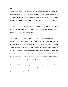If the administration of this relapsed region is strong, it is a war for which we have made the necessary preparations. If it is weak, we must send one who will remove the evil leaders among them before their authority becomes too strong, an act which will later facilitate the fall of this region and provide the opportunity for us to enter it in order to administer it.

In dealing with the minor evil leaders before their authority becomes too strong—especially when we reach the stage of the administration of savagery for several regions—the learned Shaykh `Umar Muhammad Abu `Umar says:

The Muslim youth could have dealt with the erroneous Shaykh al-Habashi with a cheap bullet in Lebanon at the beginning of his authority. If they did that now, they would be destroyed. However, this al-Habashi and those like him now grew in power and became stronger to the point of becoming too great to deal with them through research and lessons. The people of the Sunna at this time are far away from taking the Sunni path for dealing with these sorts of deviations. They do not deal with these deviations as the Companions dealt them (may God be pleased with them). Deviations like these and shaykhs like these must have the judgment of slaughter passed against them at the very beginning of their authority. There (will be) no fame for them, nor knowledge of or news of them. However, the people of the Sunna, regrettably, now generally deal with their problems with false weeping and begin crying over these situations in a funerary manner as if they are in a Shi`i gathering commemorating Karbala."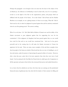Perhaps this paragraph—even though it does not enter into the heart of the subject of the al-Ahbash [i.e. the followers of al-Habashi], it must be dealt with, even if it is in passing reveals to us the depth of the flaw in the organizations, parties, and groups which are affiliated with the people of the Sunna. If we take Gamal `Abd al-Nasir and the Muslim Brethren as an example, we see a glaring instance of what we are saying. What did `Abd al-Nasir need (to do) in order for judgment be passed against him and his authority terminated when he was first gaining power? The answer: nothing.

What if we ask about `Ali `Abd Allah Salih al-Hakim al-Yamani now and the ability of the Islamic movement to pass judgment against him for supporting the vote for the constitution? If the judgment (of slaughter) had been passed against him, no one would have cried for him and no one would have mentioned him. And now he has grown powerful and in the coming days he will make the Islamic movement in Yemen the appetizers for his meal. There are many, many examples of this and these examples show that the people of the Sunna are afraid of blood and that they are wary of shedding it, out of fear and anxiety, under the pretext of (protecting) the general welfare (of society). However, after a time they pay a price that is far more expensive than what they were wary of and feared. God was pleased with Abu Bakr the Friend when he called upon the Companions to kill the apostates and uproot them before they increased their power and readied themselves.

Let us know that the unbelievers are those who these days are carrying out this predestined Sunna [al-sunna al-qadariyya] since they deal with the leaders of their enemies by killing and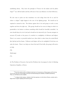annihilating (them). They know the principle of "Graves for the leaders and the plebes forget."<sup>20</sup> [I.e. kill the leaders and they will cease to have any influence over their followers.]

We also want to point out that sometimes—we seek refuge from this for us and for others—a relapse<sup>21</sup> might happen in the core of the fighting groups. We should not be surprised or amazed at that. The defense against that is for each group to work to come together and show the right way. (The group) should not be severe in things in which it is permissible to be lenient or tolerate something which should be forcefully controlled. Its trust should always be in its Lord and it should not be deceived by [or "become arrogant on account of  $\gamma$  results or the power of a method or a multiplicity of followers and helpers. There is no correct or powerful method save (that which is taken from) the recited Book [the Qur'an] and the Sunna. Followers and helpers will not be multiplied if God does not unite the hearts. There is no help save from God and if God wills, (the group) will receive no help.

[70]

(blank page)

[71]

(6) The Problem of Excessive Zeal and the Problems that Accompany It, Such As Rushing Operations, Stupidity, or Heresy

<span id="page-160-0"></span> <sup>20</sup> From the section on the al-Ahbash in the book *An Examination of Disparaging and Declaring Trustworthy* [an area of knowledge concerned with determining the reliability of hadith transmitters]. There you will find several examples.

<span id="page-160-1"></span><sup>&</sup>lt;sup>21</sup> A relapse in this instance, whether in the form apostasy or in the form of heresy, reaches such a degree that it requires fighting the heretical group.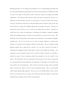Rushing operations: As for rushing, the prescription for it is understanding and sitting with the youth and clarifying the general policy for action and the importance of biding one's time in some of the stages of the battle in order to drain the enemy, for example, and similar explanations. We will show them that this matter will only be mastered by one who is as ponderous as the mountains, who does not easily give in to the provocation of the enemy. Of course, the believer should not be cold emotionally and he should be angry for the sake of God and act to repulse the forbidden things with everything in his power. However, he should know when and how to act so that he can obtain what he desires. Likewise, we should show (the youth) the importance of listening and obedience, especially regarding matters the underlying wisdom of which we cannot disclose on account of its secrecy. (We should also show the importance of) focusing on the many places in the prophetic biography regarding that. We do not do this out of a lack of energy, weakness, or shying away; otherwise we would not have declared a jihad in the first place. We are working to bring (people) together and to guide them as much as we can and to preserve the ember of enthusiasm by engaging in battles which achieve vexation at the (right) time and place. Our viewpoint is not the viewpoint of those who sit and do not fight. Likewise, it is possible to unload the cargo of excess enthusiasm which these people have for the benefit of the actions. (We should also) show the importance and seriousness of any action as being part of a more general action and (emphasize) the importance of mastering it, even though it may seem small in size and unimportant. This is because the desire for large actions, especially battle, overcomes the minds of some of those enthusiastic people. That is a good quality which usually indicates high aspiration. However, one of its harmful effects is that it moves them to scorn actions that are not large, a fact which may make them listless or make them undertake those (smaller) actions without mastering them.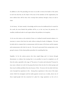In addition to all of the preceding, the more we are able to choose the leaders of the action in such wise that they are the object of the trust of the members (of the organization), the more seldom there will be those who overstep their authority through a hasty act and so forth.

As for heresy: Its basic remedy is knowledge and the more the intellectual level is raised for the youth, the more limited this problem will be, or, at the very least, the presence of a steadfast, intellectual cadre in each region defeats this problem at its inception.

As for one who insists on the method of haste or is inclined towards heretical subjects, it is necessary to remove him from the ranks without cutting the bonds of allegiance. He must be dealt with in a manner that is commensurate with the nature of his heresy and his capacity and commensurate with what he may do. He must be prevented from causing harm to the group by means of what sharia politics prescribes for something like that.

Stupidity: As for the zealous person who does stupid things and it is known through discernment or evidence that treating him is not possible, he must be completely cut off from the ranks, especially in the stage of "the power of vexation and exhaustion" because he may cause a disaster not only for the group that knows him, but also for (other) groups and there may be infinite problems that arise because of him. Everyone who has dealt with these sorts of people has experience in this. Among these experiences is that some of the major stories which the newspapers and the media agencies recount are, in reality, about one of those stupid people who has conceived of a plan for a large operation—as far as he is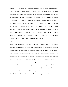capable, but it is frequently never suitable for executionqand has written it down on paper and put it inside his desk! Because he originally talked too much and had too many connections, investigators come to his home in order to search it and stumble upon the page on which the dangerous plan was written! They snatched it up and begin investigating him and he begins—under pressure—to mention names (which sometimes are not connected to each other) of those who have no connection to the jihad; rather, sometimes they are ordinary people. However, on account of his numerous connections and the trust that some have placed in him because of his enthusiasm, he also knows some of the members of several jihadi groups and he fingers them. The affair grows to include jihadi groups between which there is no connection (and there are) new accusations and stories. A story is woven from that nonexistent thing. Frequently, the investigators learn

#### [72]

that this affair is fabricated; nevertheless, dozens have to stand trial and the media agencies print their fanciful stories. Of course, long prison sentences are issued for one who has a connection with the jihad and pronouncements of innocence are reserved for the ordinary people and those who are committed (to the cause), who do not have any connection with the jihad, after they have finished the sentence—sometimes more than one year—in prison. The entire affair and the sentences are agreed upon by the investigators and the state security courts. There are no sentences of innocence passed unless the dogs want to show the people that they are just. Sometimes, some of those ordinary people who have no connection with the jihad or those who are committed (to the cause) receive a prison sentence mistakenly or on account of the investigators' malicious intent. All of that results from the dream which that idiot dreams and who frequently receives a light sentence or is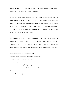declared innocent. He is a good trap for those on the outside without intending to be naturally, we do not desire prison for him or for others.

In another circumstance, one of them is asked to read papers and specific letters then burn them. However, he did not burn them and he hid them well. When his home was searched during the investigators' random searches, the papers are found and not just one; this time, many important and real affairs are exposed. When it is said to him—in prison—why didn't you burden the papers? He says, my soul could not make me comply with burning papers in the handwriting of the shaykhs and the leaders!

The meaning (of all of this): Idiots—especially those who cannot be dealt with—must be removed from the ranks in the stage of "the power of vexation and exhaustion" in particular. Always call to mind, my noble brother, these verses of poetry. Applying them is better than merely listening to them as a song sung by the brothers around you behind the prison walls:

Do not associate with an idiot, the dunce's cap.

An enemy of unsound mind, an ignorant person is no friend.

He does not keep secrets or cover his nudity.

He might swagger and reveal someone who hides.

He might pause and think, desiring to do good, but he does harm.

Like a circus bear, he acts in order for someone to befriend him.

Storytellers relate...

(to the end of the verses)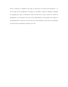This is a reference to stupidity in the stage of "the power of vexation and exhaustion". As for the stage of the management of savagery, it is possible to repair the damage of stupidity by emptying the cargo of enthusiasm which the idiot has in many activities in which his participation is not harmful to the men of the administration or the people in the region of the administration. However, one must be wary of his attempts to know more or participate in actions that he should have nothing to do with.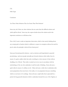# Fifth Topic

### Conclusion

Are There Other Solutions That Are Easier Than This Solution?

Some may ask if there are other solutions that are easier than this difficult solution and which spill less blood. Some may also express doubts about this solution and in this important conclusion we will discuss that.

First of all, I want to make an important observation, which is that merely thinking about any corrupt path or baseless doubt is sufficient to expose its corruption without the need for proof, unless the principle is derived from sharia proof.

Some put forward peaceful solutions—such as elections and being limited to peaceful proselytizing—and most people rationally put forward solutions which utilize force by means of a quick, sudden strike that ends everything in a short amount of time without shedding a lot of blood. That strike is carried out in two ways in accordance with the methodology of the one who undertakes it and his mode of thinking. Some advocate a quick strike by means of a military revolt. Others advocate a strike that is undertaken after secret preparations that none know of (in reality, it is not preparation because something which no one knows of is nothing). Some advocate a rapid strike that is (preceded by a period of) long peaceful education which is undertaken beneath the eyes of the Taghuts, in

### [73]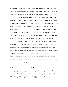which political, Islamic, economic, sharia, and technical institutions are established, and so forth. After that, the rapid strike will be carried out through these institutions. Some of the foolish people say that our sons will carry out the strike and not us. I have no idea how the sons will fight while their fathers are in this condition! The meaning (of all of this) [what follows is quote from `Umar Mahmud Abu `Umar]: "First, we must know that the massive, enormous victory is a combination of a series of smaller victories. There cannot be anything that happens in the field of victory and defeat which will suddenly produce a victor or defeated person, because the unprecedented upturn only exists in the minds of our shaykhs and our leaders. They cherish, in everything that they say and plan, (the hope of) a single strike for which a single preparation may be made, far from the eyes of the adversaries and by this sudden strike we will destroy the adversaries and avoid much of the blood which is spilled and the spirits which perish. Our shaykhs drone on about this idea frequently, using it as a pretext to gradually move away from the conflict under the slogans of education and preparation. This idea has found an echo and acceptance in the souls because it is very beautiful and very thrilling and very rosy. In addition to that, it is very, very cheery. As for it being beautiful and rosy, how can it not be so when it offers to the Islamists victory, power, and sovereignty like a rose? How can it not be rosy when it comes from the illusions of dreamers? When the dream in one's mind differs with reality, one does not enter into debate with rational and intelligent people.

We dream of a very exalted arrangement for "the power establishing an Islamic state" without passing through "the power of vexation", which is the stage described in the verses "if you are suffering, they are also suffering as you are suffering" (Qur'an 4:104) and "they fight in the way of God; they kill, and are killed" (Qur'an 4:111). This is not possible. It is a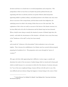deviation and there is no doubt that it is crooked jurisprudence and corrupt laws. This jurisprudence which we hear from our shaykhs that permits political diversity and negotiating with those in authority and does not permit offensive jihad and permits appointing infidels to political, military, and judicial positions in the Islamic state only comes about on account of this corrupt dream, and this dream results from indigestion, the underlying reason for which is the mixing of ideas that are not of the same kind. The explanation of this is that our world, on account of the factors of the Satanic structure in it, has been filled with evil in all of its dimensions and the Islamic hope has been thwarted. When a shaykh comes along to remedy this situation by means of (Islamic) legal rules, this remedy—and under the circumstances of this situation—will make it move away from many of the "hardnesses of the salaf" (as they have been named)

[74]

 $\overline{a}$ 

and towards the "softnesses of the descendents" (their moderation is just as the name implies). That is because the establishment of an Islamic state has occurred without properly preparing the foundation for it. This preparation only occurs through the "power of vexation."[22](#page-168-0) 

(We agree with this) while appreciating that is difficult, in various stages, to predict and determine the results of the movement of radical change which we intend and its Sunna path which we clarify because it is a movement in which all of the elements of existence take part. It is "one of the most complicated things a human will face in his life and it is one of the most difficult and most abstruse things that happens to human beings in the course of their

<span id="page-168-0"></span><sup>&</sup>lt;sup>22</sup> "Articles Between Two Methods" by Shaykh `Umar Mahmud Abu `Umar (may God release him from his captivity).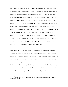lives. Thus, the movement of change is a movement with which life is completely mixed. They intersect from the very beginning, such that it appears to man that he is in a whirlpool of waves, unable to distinguish or differentiate between them. It is truly like that. The colors of the spectrum are interlocking, although they are dissimilar." Thus, how can our limited minds perceive everything and know the results of the stages with certainty? "And the Muslim does not know the unseen world, but if one of us was enabled to live and to see the final fruits which fall to the recipients of divine grace, he would perceive that every movement undertaken by the people of tawhid and jihad is a brick in the final edifice: 'Had I knowledge of the Unseen I would have acquired much good, and evil would not have touched me. $m^{23}$  (Qur'an 7:188) What is only incumbent on us is to adhere to the sharia commandments, understanding the circumstances that occasioned them as much as possible and awaiting (the fulfillment of) God's promise of victory and the establishment of an Islamic state so long as we remain firm and make no changes.

Someone may say, "We will apply your previous method to the solution set forth in the study and we will turn the matter against you", meaning that the failure of this solution is known by merely thinking about it. I say that, first, I averred that it is enough to conceive of other solutions in the mind—as we will detail further—in order for reason to discern their corruption, unless they also actually contradict the sharia commands in many of their details. On the other hand, no one is capable of bringing forth a sharia proof—deserving of thought and hesitation—to invalidate the ideal jihadi solution, especially since we are not saying that it is one of several solutions, but rather that it is a sharia obligation. Second, the historical

 $\overline{a}$ 

<span id="page-169-0"></span><sup>&</sup>lt;sup>23</sup> "Articles Between Two Methods" by Shaykh `Umar Mahmud Abu `Umar (may God release him from his captivity).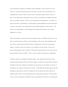and contemporary experience of Muslims and non-Muslims—that is because the word "state" is a universal expression and all of the states, even those that are democratic, are established after oceans of blood—proves that we need this solution which we have set forth. Each stage of this solution gives way to others in accordance with similar historical, and even modern, situations. This is not an elementary mental deduction. Any failure in a previous situation is attributable to a shortcoming in understanding the universal and sharia causes [or "methods"], a fact which leads to the underdevelopment of this situation. The matter is not attributable to a shortcoming in the solution itself, which is also a sharia obligation, as we said.

Most of the Islamic movements reject that solution because it is difficult and only a few are able to take the decision to follow it in the beginning. They do not acknowledge that and they offer as a pretext proofs which God has not legitimated or they raise up deceptive slogans. It behooves these movements to not combine a lie and a defeat. If they were honest with themselves, they would say: "The road is long and the thorns are many and our legs are unable to bear the embers." Thus, a crisis of candor is truly upon us, regrettably.

I found an article by a specialist in political studies—who shifted toward the side of the peaceful current during the fitna of the 90s in Egypt—in which he censured the movements of jihad for their call to militarize the Islamic movement because the Islamic movement, in his opinion, was entirely a missionary movement. I said: What did the Messenger (peace and blessings be upon him) do with his Companions? By my father and mother, did he not militarize them? Who is more learned than him in sharia and universal law? Why should it not be so since God (praise and exalted is He) commended him as follows in a hadith qudsi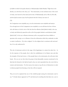[a hadith in which God speaks directly to Muhammad] in Sahih Muslim: "Fight those who disobey you with those who obey you." The missionaries, in the technical sense of the word of today, were known by that name [in the time of Muhammad], such as Mus`ab, Mu`adh, and the Qur'an reciters (may God be pleased with all of them), but most of

#### [75]

the Companions were mujahids; nay, even the missionaries were mujahids and martyrs. Even though most of the Companions were mujahids, we can call them the best of those who call others to God in view of the fact that the offensive jihad (jihad al-talab) is the way to freely and effectively spread the call to all of the peoples behind us and defensive jihad (jihad al-daf`) is the way to liberate missionary call to our people from those infidels or apostates who occupy us or to liberate it from the obfuscation which they undertake in order to make it ineffective. Oh, what a religion! It is the religion that is consistent with universal law, if we only understood it.

The role of missionary activity in the stage of the beginnings is to attract the select few. As for the response of the people, that is after the establishment of an Islamic state and after the triumph of God and victory—if the people listen to the missionaries, the call enters their hearts. Do you not see that when the group of jinn [humanlike creatures mentioned in the Qur'an] who listened to the Qur'an heard it, they not only responded; they also went forth as warners and missionaries. For this reason, the tyrants set up all sorts of distractions in order to distract people from listening so that they will not respond.

Thus, do not be surprised that one of the truthful people among the missionaries used to say: "A female dancer appeared on TV and destroyed everything that had taken me a year to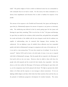build." The perfect religion of God to which no falsehood comes has not commanded us with commands that do not lead to results. For this reason, the sharia commands us to destroy those impediments and diversions first in order to facilitate the response of the people.

The amount of the response to the Truthful and Trustworthy One (peace and blessings be upon him) [i.e. Muhammad] surpasses the amount of response to any person or missionary today. The unbelieving man believed in him by merely gazing upon his face (peace and blessings be upon him), remarking, "This is not the face of a liar." He (peace and blessings be upon him) was aided by the revelation, which assisted him, and guided him, and repelled the words and doubts of the infidels with the most eloquent words that his audience was capable of understanding, since he mastered their language whose meanings they understood. He was fighting (a type of) unbelief whose adherents may have responded quickly with faith (in Muhammad's message) in comparison with some of the minds now. If it was said to a man among them, "Or were they created out of nothing? Or are they the creators?" (Qur'an 52:35) and he looks to his idol made of stone, it was easy to respond (with faith in Muhammad's message). But the people did not respond to the Messenger of God and he did not win over many. However, when he called to them with those few people (who did respond) and the swords left their sheaths, they responded. And what about us, who have neither the Messenger of God (peace and blessings be upon him) with us, nor his companions (may God be pleased with them)? We fight an apostate idea which claims to be Islam and the response to (our message) is almost nonexistent. Or (we are fighting) infidel religions and ideas which claim that Islam sanctions them and that they are the pinnacle of intellectual, progressive development for modern humanity. The enemy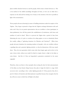places terrible obstacles between us and the people, which creates a barrier between us. This is the method of the infidel assemblage throughout all time, so how can we think that a response (to the call) and the winning over of many or the retention of the few is possible in light of the circumstances.

Those people advocate advancing by means of building institutions under the auspices of the Taghuts. They forget or pretend to forget that the Taghuts exchange information with each other and if they do not permit representatives that are worthless to them (participate) in sham parliaments, how will they permit (the establishment of) institutions, with forces and numbers of youth in them? What is to prevent the Taghut after a period of time from fabricating the story of a plot to overthrow the ruling regime or even to shamelessly flaunt (his wealth), calling it "gathering donations for Palestine and Chechnya"? (What these people advocate) abandons the remaining numbers (of people)—who are worthless without a (guiding) idea and a practical, fighting method—so that the distractions of life may snatch them. Thus, the next generation which comes after them begins again and revolves in the same vicious circle, without any model for jihad (to inspire them) to fight in the jihad, as some dream. And this is if they are bequeathed a generation committed (to the cause) originally!

Therefore, when you listen to those (people) about setting the time for their announcement of the jihad, you hear bizarre things because they plan to begin the battle in a stage which can never exist—according to fate—unless fighting precedes it! If they perceive that, this is proof of (their) evil intention and (their) pleasure in pacifism because they recognize that the day will never come in which they will fight in the jihad.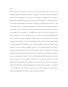These solutions are advanced in order to preserve paltry gains, such as survival of a charitable organization under the auspices of a Taghut, or in order to aid a few thousand of those who are committed (to the cause) in preserving a tranquility that is devoid of disturbances, problems, and trials. The outcome of these solutions is to smother the embers of enthusiasm and the flame of faith which is burning in the Muslim hearts these days. This is our opportunity, the propitious circumstances of which may not be repeated until after a long period of time. When that time comes, another generation will enter the fray in the same manner we have spoken of. The difference, however, is that they will curse us for what we failed to do. This is our opportunity. If we lose it, generations of Muslims will be lost in the mire of having to submit to Taghut courts of law and will drown in televised carnal appetites and the rest of the carnal appetites of life, which the tyrants readily provide for adults and children. Perhaps for most of them, (this life) is sealed with dying in coarse sinfulness or coarse unbelief, regardless of the laws of the world, whereas if the Umma is destroyed entirely in this war, they are certainly martyrs, like the Companions of the Ditch [Christian martyrs mentioned in the Qur'an who were killed by a Jewish king in Yemen] or one of the descendents of Hasan. This is as Shaykh Sulayman Ibn Sihman (may God have mercy on him) says: ""If you fight the desert and the city until they perish, that is of less significance than them setting up a Taghut upon the earth who rules contrary to the sharia of Islam with which God sent His Messenger (peace and blessings be upon him)." [cf. page 44 - "If you fight the desert and the city until no one in them remains, this is better than a Taghut being appointed who rules contrary to the sharia of Islam."]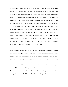The tyrants plan and plot together for the continued humiliation and pillage of the Umma, the suppression of the jihad, and the buying off of the youth and the (Islamic) movements. Therefore, we must drag everyone into the battle in order to give life to those who deserve to live and destroy those who deserve to be destroyed. We must drag all of the movements, the masses, and the parties to the battle and turn the table over the heads of everyone. We will become a single power by uniting our groups, improving the organization and systematizing the spread of our groups, giving allegiance to each other, assisting each other to the ends of the earth and to its East, and by dividing our enemies and dividing their interests and their goals (by the permission of God). (This single force) will be able to impose the rule of the sharia and preserve its rights and the rights of humanity which the Taghuts of unbelief and apostasy toy with. Thus, we must burn the earth under the feet of the tyrants so that it will not be suitable for them to live in, save (by professing) tawhid and being just to the oppressed. Otherwise, they will be destroyed.

Those who follow them are their slaves. They look to the modern civilization of Satan and their sick minds imagine that the awaited nation of Islam is a nation represented in the United Nations, living with its neighbors and having mutual interests with them. The reality is that the Islamic state is predicated the curtailment of all of that. We, by the grace of God, know sharia and universal laws and hope that God encompasses us with His grace and preserves us through His care until we attain our cherished desires, which is a promise, real and true: "Verily, these are divine promises. If they seemed to be in error to some of us, they will certainly come true for one who stayed firm upon the path and continued the journey. Days and months did not weaken him; rather, he grew firmer and more certain.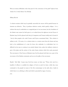What are intense difficulties other than proof of the correctness of the path?" [Quote from Article 63 of *Articles Between Two Methods*]

Military Revolt:

A solution remains which may be partially successful; the success will be partial because its elements are defective. Thus, it produces defective results, which quickly collapse. It is a solution that may be undertaken as a tangential part of our movement, but the foundation of the Islamic state cannot be built upon it, as is related about the righteous servant Fayruz al-Daylami (may God be pleased with him) [a Companion and Yemeni noble] and al-Aswad al- `Ansi [a false prophet who ruled Yemen until Fayruz assassinated him]. This solution is military revolt. Of course, it is a solution taken to a certain extent from the Sunna and may lead to the establishment of a state for those who undertake it as individuals, but it is difficult for the state to continue in an entirely Islamic form, unless the (military) solution is part of the plans and the actions of the entire Sunna solution which this study presented. The movement of Abu Fayruz al-Daylami (may God be pleased with him) was a part of the movement of the Muslim community and was not the pillar of the movement.

Shaykh `Abd Allah `Azzam (may God have mercy on him) says: "Those who wait for a handful of officers to establish the religion of God on earth for them—while they issue commands to the people by means of the first communiqué on the radio after a battle in which there is no suffering or effort and which is preceded by stages of secrecy,

[77]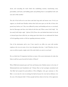deceit, and concealing the truth—think that establishing societies, transforming souls, personalities, and hearts, and building spirits and polishing them is accomplished with such ease and so little sacrifice!

The aid of God will not be sent down until after long trials and intense tests: 'Or do you suppose you should enter Paradise without there had come upon you the like of those who passed away before you? They were afflicted by misery and hardship and were so convulsed, that the Messenger and those who believed with him said, 'When comes God's help?' Ah, but surely God's help is nigh.' (Qur'an 2:214) Those who wait behind their desks for the aid to descend upon them while they are sitting upon their chairs do not understand the Sunna of God regarding societies or His law regarding missionary activities.

One of the missionaries said to me: I have stayed in an office two years with another employee who was not aware of my views throughout that time. I said: Therefore, for two years you did not speak a single word of the truth which you carry in your heart!

Do you think that if Companions had done as many of the secret missionaries do today that Islam would have gone beyond the borders of Mecca?!

What if Bilal had remained quiet and Yasir and Sumiyya [two Muslim martyrs in the time of Muhammad] had acted fraudulently and `Uthman Maz`un had seemingly surrendered and Abu Bakr had accepted the precondition of Ibn al-Daghna—who gave sanctuary to Abu Bakr—to not raise his voice in (reciting) the Qur'an because his voice had an influence over the sons of the Quraysh tribe? If those people had been silent in the face of the oppression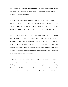of the Jahiliyya and its tyranny, Islam would not have been able to go beyond Batha' [the old part of Mecca were the Ka`ba is located] in Mecca and would not have gone beyond al-Harura' [a locality near Kufa in Iraq].

The finger of Bilal which pointed to the sky while he was in severe torment, repeating "one... one" [i.e. God is One. This is a phrase that Bilal repeated over and over while his master Umayya Ibn Khalaf tortured him for converting to Islam] was an earthquake for unbelief which came from the depths of his heart, shaking the tree of the Jahiliyya from its roots.

The voice of reason said to Bilal: "Deceive Umayya Ibn Khalaf and say to him, 'I follow the religion of al-Lat and al-`Uza' [two pre-Islamic Arab goddesses] and then at night go to Muhammad (peace and blessings be upon him), your true leader, master, and exemplar and say to him, I laughed at Umayya and deceived him so that he considers me to be with him and he leaves me alone." However, missionary activities do not triumph by means of this cleverness and this policy. They relapse and fall to pieces if there are not those who nourish it with blood and build it with skulls and corpses.

Long patience in the face of the oppression of the Jahiliyya, suppressing fervent breaths from leaving the chests and sighs from escaping the bosoms—I say that some may think that long patience is of benefit to missionary activities and they do not know that it is killing the souls, especially if the one with long patience is extremely impatient. Extreme caution reaches the point of madness, and wanton cowardice leads to a slow, incremental death.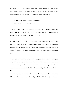Zeal may be subdued at first, then wither, fade away, and die. If it dies, the human changes into a rigid corpse that can do neither right nor wrong, or, as it says in the hadith, his face was not altered one day out of anger-i.e. burning with anger-towards God.

The cowards believe that cowardice is resoluteness.

That is the deception of the base nature.

Long patience in the face of unbelief while you are absorbed in your fatal secrecy leads every day to further accommodation with the tyrannical Jahiliyya and finally to intimacy with it, which distorts the innate nature and corrupts one's vision.

Secrecy in the missionary activity of the Messenger of God (peace and blessings be upon him) was for a short period of time and it was quickly made public. Secrecy and caution are necessary with the military company—"Take your precautions; then move forward in companies" (Qur'an 4:71). Secrecy and caution are not what lead to paralysis, anxiety, and death.

Likewise, battle and jihad in the path of God is what separates the leaders (from the rest) and brings forth men through sacrifice. The destiny of Abu Bakr among Muslims, inasmuch as his election was by pseudo-consensus, was not a coincidence or haphazard. Rather, momentous events brought forth Abu Bakr and sacrifice distinguished him (from others)

[78]

and situations, trials, and calamities raised him up. Thus, `Umar said that on the day of Tabuk [one of the battles that took place during the lifetime of the Prophet] he had brought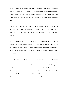half of his wealth [for the Prophet] and saw that Abu Bakr had come with all of his wealth. When the Messenger of God (peace and blessings be upon him) asked, "What did you leave for your family?" He said "I left God and His Messenger for them." When he said that, `Umar remarked: "Whenever Abu Bakr and I compete in something, Abu Bakr surpasses me."

Abu Bakr did not need election propaganda or to participate in a list of candidates because his destiny was to appear during the journey and along the path. He never had to resort to buying off the minds with wealth or to misleading the souls by means of glittering signs and flashy actions.

The law of repulsion [qanun al-tadafu`] is the Islamic interpretation of history and events. Regardless of whether the Jahiliyya began or not, Islam must move along according to its own essential movement, a part of which must be the law of repulsion: "Had God not driven back the people, some by the means of others, the earth had surely corrupted" (Qur'an 2:251).

Like stagnant water, nothing rises to the surface of stagnant societies except decay, algae, and moss. The leadership of refined societies which do not undertake battle float along, decayed and corrupted. As for the mujahid society, it is like moving water and the flowing river which refuses to bear decay or to have scum floating on its surface. Leadership must come forth through long battle and deep wounds; otherwise, the countries will be lost. The situation will only become worse and the difficulties of the masses will only become deeper. True leaders must pay the price and swallow the torment and bear the wounds and make the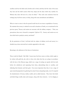sacrifices and lose the father and a brother and so forth, until they feel the value of the cause they bear and the belief system which they adopt and the ideas which they sacrifice for. Without this, there will never be a base for Islam." Thus ends some selections from his writings (may God have mercy on him), along with some amendments and additions.

What we want to stress is that the quoted words here do not mean a repudiation of secrecy. We maintain that secrecy is ordered in war and in situations of battle, as we mentioned in the previous quote, "Secrecy and caution are necessary with the military company – Take your precautions; then move forward in companies' (Qur'an 4:71). Secrecy and caution are not that which lead to paralysis, anxiety, and death."

By the permission of God, I will deal with the subject of military revolt and secrecy in a detailed essay about universal law in articles appended to this study.

Returning to the adherents of the theory of institutions:

These words by Shaykh `Abd Allah `Azzam (may God have mercy on him), which ought to be written with gold ink, also refer to those who claim that they are acting in accordance with the laws of the Meccan stage, which was a stage of coming out openly with the truth before the unbelievers and separating from them, admonishing them to sacrifice, and ridiculing their fantasies and their gods. Even more important than that, it was a stage of open material preparation by gathering the armed Ansar and getting ready, even if it required the abandonment of houses, family, wealth, and so-called interests. They knew that battle and jihad brings wealth, land, and mosques, along with those interests. As for clinging to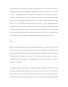those interests at the expense of the jihad and relying on them, it is the utmost obstacle to the jihad and is the path to losing those interests later, without any vexation of the enemies of God. The people call these interests "the accruements of missionary activity" or "possible action" and they forsake the imperative to prepare for abandoning wealth and homes. Thus, these things which they possess [i.e. the things they gain through missionary activity] are also included in the interests they want to protect! They completely abandon speaking the truth and working to gather the armed Ansar, claiming that completely speaking the truth and gathering the armed Ansar will destroy the achievements of the missionary activity. So what do they leave for the Meccan stage after that? How can they attribute that to the Sunna of the Messenger of God (peace and blessings be upon him) in Mecca?!

[79]

Whenever those people obtain a portion of the acquired interests, the Taghut comes with his troops every ten or fifteen years and takes those acquisitions without toil in accordance with his well-known policy, "the policy of extracting the fangs", leaving these groups to revolve in an black, dark vicious circle so that they have to begin at the starting line once again, or sometimes behind the starting line, or sometimes they are not able to resume. Let us look at Tunisia as an example.

The Taghut undertakes this "policy of extracting the fangs" regardless of whether those who are called foolhardy revolt against him, or without any reason at all, or by fabricating a reason. There are many, many examples of that in several countries and groups of youth are sacrificed without even (causing) a major vexation for the Taghut that will make him think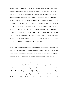twice before doing that again. How can that vexation happen while the youth are not prepared for it by the standard of universal law, which is also sharia law? The "policy of extracting the fangs" is the policy which the Taghuts follow. It is a part of the policies of direct confrontation which the Taghuts follow in confronting the Islamic movement in all of its cells, since the Taghut undertakes a campaign against the Islamic movement in his country every ten or fifteen years. With or without a reason or by fabricating a reason, he kills whomsoever he wills and he imprisons whomsoever he pleases and he shuts down or prevents the missionaries from missionary and charitable activities in many of the mosques and pulpits. By doing this, he intends to clip the claws and remove the fangs which the Islamic movement has grown so that the movement cannot use them against him. When the movement was originally tamed during these years—in the majority of its cells—it accepted that (situation), capitulating under the motto of tribulation.

Those people understand tribulation to mean something different than what the correct people of Islam understand. Its meaning, according to them, is that "You walk the path which the sharia commands. If you arrive at the opposite of the goals you set out for, this is a trial for you. God is sufficient for us; an excellent Guardian is He (cf. Qur'an 3:173)"

Therefore, one who observes what the people say finds a perversion of the innate nature and an inverted understanding of the Sunna. You find them denying what originates in the psyche of a sound human, (contradicting) what his innate nature dictates to him and what his rational mind acknowledges. I have read (something) by one of their leaders concerning a phenomenon which he was, regrettably, too confused to talk about. The phenomenon is that he saw many of the youth who were high-minded and had the ability to act in the path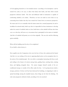of God applying themselves to low-minded actions—according to his description—and he wanted the youth, as he says, to direct their jihad, their battle, and their effort toward progressive defensive battle! The slow and deliberate build of institutions is capable of confronting unbelief, as he claims. Therefore, we have not made an error when we say concerning those leaders that they have treated the Umma from an erroneous perspective. He wants each of us to contradict what his innate nature has a natural propensity for and to invalidate his rational mind, which says that it is impossible for these institutions to develop under the control of unbelief unless we have built them so that unbelief will later take them over or so that they will (serve as) a investment that is principally for the nation of unbelief. And this is if unbelief will permit you to do that originally. The one who said the following spoke truthfully:

When will the building reach the day of its completion?

If you build it, others destroy it.

How capable were the Companions who were the best of those who understood the Sunna! And this is to say nothing of his error in opposing jihadi action on the assumption that it is the action of low-minded people. He is not able to contemplate interacting with those youth and settling in the theater (of action) among them, guiding them, teaching them, training them, and fighting alongside them. He cannot imagine himself outside of his airconditioned mosque or outside of his office under the fans. As for giving lessons inside a mosque, portions of whose roof has been destroyed by bombing, or emigrating in order to spread knowledge among the mujahid masses, these things are far from his thinking. He only wants progressive defensive battle, according to his own assertion!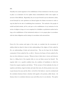Naturally, the counter-argument to the establishment of these institutions is that they are put in place as an alternative for the explicit sharia commandments which some neglect on account of their difficulty. Regrettably, they are not put forward as just an alternative; rather, several betrayals by some spoilsmen are directed against the Islamic movement in order to stop the jihad for the sake of establishing these institutions. The methods of the people of tawhid and jihad include, call for, and spur on the establishment of any institution for the service of religion as long as it is not comprised of a forbidden or polytheistic method and as long as the establishment of that institutional endeavor is in its proper place in accordance with the sharia obligations and its timing is in accordance with universal laws.

From all of the sections and topics of the study, we conclude that the movements of salafiyya jihad are ahead of others in their understanding of the religion of God, exalted be He—an understanding of sharia and universal laws. They are the hope (for the Muslim community) if God, exalted be He, so wills it. However, the Sunna of God, exalted be He, does not show deference to anyone. Whenever there is faith, there is victory and whenever there is a falling short of the requisite faith, no one can blame anyone but himself. The requisite faith is in a specific condition here, the condition of humiliation in which the Umma lives requires repulsion and defense. "If the servants of God undertake the duty of repulsion and defense, begin the jihad, and ready their arms, the divine promise must come to pass because the cause and the effect—in the life of the believer—must be correlated and the correlation (between them) is absolute with regards to the promise, unlike threats. (In threats), there it is correlation (between cause and effect), but it is not absolute. The upshot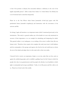is that if the promise is delayed, this necessarily indicates a deficiency in the soul of the legally responsible person." [This is taken from Article 5 of *Articles Between Two Methods*, but is not footnoted and is somewhat misquoted.]

Praise be to the One Whose sharia Sunna [sunnatuhu al-shar`iyya] agrees with His predestined Sunna [sunnatihi al-qadariyya] and harmonizes with the movement of the universe and life.

In closing, I again call attention to an important matter which I mentioned previously in the introduction. This study is a general outline; any of the details in it were only mentioned on account of their importance or as an example for stimulating and sharpening the minds. This general outline is very inadequate, to say nothing of the errors it suffers from, like any human work. Therefore, those experts who complete this study must treat it with kindness and the commanders of the groups and regions who lived in the real world must set down the rest of the details and adapt what is in this study with to their own reality.

I beseech God to receive our repentance, forgive us our sins, make firm our feet, assist us against the unbelieving people, and to establish a guiding Cause for this Umma in which the people who obey it are granted power and the people who disobey it are humbled, in which right is commanded and wrong is prohibited. Verily, it is in His power and He is able to do so. Praise be to God, Lord of the worlds.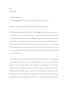First Article

## The Battle of Patience

"And We Appointed Some of You to Be a Trial for Others" (Qur'an 25:20)

Praise be to God and peace and blessings be upon the Messenger of God.

"Victory is only being patient for one hour." This tradition epitomizes the path to victory in any battle we plunge into with the enemies. A good example has been cited which will further illuminate its meaning: Imagine yourself having put your finger beneath the pressure of the teeth of your adversary and your adversary has put his finger beneath the pressure of your teeth such that the one who is defeated is the one who cries out first. You cry out first, and your enemy says to you after being victorious, "If you had been patient for one more moment, I would have screamed before you and removed the pressure from your finger and you would have won."

On the day and the moment in which the Russians decided to withdraw from Afghanistan their amount of weapons was not less than the Afghans' amount of weapons at that time; rather, it was many times greater, both quantitatively and qualitatively, from what the Afghans possessed. Likewise, the number of its trained troops was not less numerically or in capability from the Afghan troops. Moreover, when the Byzantines withdrew from their imperial lands in Syria and Egypt at the beginning of the (Islamic) conquests, their number and quantity was greater numerically—many times over—and superior qualitatively from the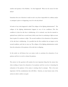number and quantity of the Muslims. So what happened? What was the reason for their defeat?

Sometimes this sort of decision is made in such a way that is impossible for a military analyst to anticipate it prior to it happening, even if it is the day before!

In books of war, what happened is called "the collapse of the fighting administration". The collapse of the fighting administration happens in one of two conditions: (The first condition is) when the side that is withdrawing—if it is rational—sees that the material or spiritual losses (which have several forms) which come from its continuing to fight are more than its gains if it continues to fight. The second condition is the exhaustion of the patience of the side that is withdrawing. It is possible that the first condition has an impact on the second condition, such that we may say: The collapse of the fighting administration results from the exhaustion of the patience of the side that is collapsing.

In this article we will discuss how our enemy works to accelerate the exhaustion of our patience and how we work to exhaust his patience.

The answer (to this question) will examine the most important thing that the enemy does when working to hasten the exhaustion of our patience and how our key to hastening the exhaustion of the patience of the enemy is resisting what he attempts. This is the most important of all the considerations that will follow. Likewise, we must hasten some of the actions in order to achieve our goal.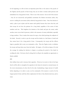In the beginning, we will set down an important point: Due to the nature of the psyche of the Taghuts and the psyche of their troops, they are not able to remain under pressure and intimidation for a long period of time. That is one of the reasons—but not all of the reasons - they do not successively and gradually exterminate the Islamic movement; rather, they resort to striking the movement (after) relatively long periods of time. Once that decision is made, a plan is put in place and the matter ends quickly because they know that they and their troops do not have the patience for a long battle, regardless of the extent of their numbers and size. This lengthens the duration of the battle and puts the enemy under another, more severe kind of pressure, which is the massacre of enemy individuals, especially in large numbers. First, it makes him retrace his steps, a fact which prolongs the endpoint of the battle. Second, it works to put the troops and the leaders in a bad frame of mind and they cannot bear it for a long period of time. Consequently, the troops and the officers begin to grumble, fail to carry out commands, or flee. Then the Taghut works to withdraw his troops and keep them away from the battles. He begins—if he did not depart, if he had the courage for making the decision to depart—to prolong the period of the battle by avoiding the clash. He knows that by doing this he will give the mujahids an opportunity to firmly establish

## [82]

their military bases and to increase their capacities. However, he resorts to that in the hope that he will be able to strengthen his capacities in the future by internal or external means. In the worst circumstances, he does that for the sake of plundering a larger amount of wealth before departing or in order to carry out the commands of his masters to survive for the longest period of time until they find a replacement for him or they directly intervene, and so forth.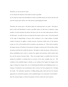Therefore, we can say that he wants:

(1) To shorten the duration of the battle as much as possible.

(2) To keep his troops from bloodshed as much as possible because he knows that this will scare his troops and it will be one of the factors in prolonging the battle.

Therefore, the enemy puts a vile plan in place for achieving these two goals. This plan is that he will avoid bloodshed as much as possible; rather, he will work to imprison a large number of youth and paint the picture that those who do not resist under pressure will not be fired upon. In reality, he does not hope that the matter comes to that. In the first period of the stage of imprisoning, as long as there continues to be a large number of people outside (of prison), he applies a modest amount of pressure within most of the prisons, except on a few of the brothers that he intends to put pressure on. Then when he gathers the largest amount of brothers in the prisons, he begins to pressure all of the brothers within the prisons and their kin outside the prisons. He begins to make the prisons a hell, resorts to almost prohibiting visits, works to monitor the support and assistance which reaches their kin, and the picture becomes bleak. Thus, the people begin to prohibit their kin from joining the mujahids or assisting them on account of the many examples they see. The condition of the mujahids begins to decline, to say nothing of the Taghut who begins in this stage to change his strategy from one of minimizing bloodshed and multiplying arrests to a strategy of termination and extermination after everyone has been prepared for it through the media. He undertakes operations of killing during police raids and here the situation approaches its end and the patience of the mujahids begins to be exhausted—God forbid! after the situation began to exhaust the patience of those youths who were in prison.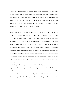Likewise, one of the strategies which the enemy follows is "the strategy of concentrating" since he intends to pacify some of the cities and regions and he uses his troops for concentrating his forces in one or two regions in which there are the most arrests and opposition. He does that until his troops began to feel reassured because they are much, much larger numerically than the mujahids. Then after he stops and has gained control over that region, he transfers his forces to other calm regions.

Roughly all of the preceding happened under the vile Egyptian regime at the time when it confronted the mujahid movement, since it had planned in the beginning of the 90s to begin a campaign for striking Islamic entities in general and mujahid entities in particular which had flourished in the ten years that followed the campaign at the beginning of the 80s which began before the killing of Sadat and ended after the end of the trials which followed his assassination. The meaning is that when (the regime) began a campaign, it wanted the campaign to quickly undertake that (strike). The Islamic Group undertook a strong response by killing al-Mahgoub, the speaker of parliament, which made the regime delay its campaign for two years. Instead of the Group exploiting the regime's hesitation, it completely gave the regime the opportunity to arrange its cards. Thus, for two years the Group delayed the beginning of complete opposition (to the regime). It could have taken matters firmly in hand and began after a year, at the very most. When it (finally) began, it made it easy for the regime to undertake the operation of concentrating its forces until it could destroy the entities of the Group in cities and provinces where they were found, one after another. That came to pass because of the mode of thinking of some of the Group's leaders who were focused on negotiations from the beginning of the battle! They thought that a regime like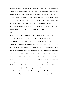the regime of Mubarak would submit to negotiations if several hundred of his troops and some of the leaders were killed. The Group forgot that these regimes only worry about numbers (of troops) when they fear that they will escape. "Escaping and fleeing happens when there is the killing of a large number of people along with good media propaganda and also good media justification." [It is unclear house what Naji is quoting from here and below.] And then when the regime agrees (to negotiate), all of the cards of pressure are in its hand—"massive numbers of its members are hostage in the jails"—a fact which makes it possible for him to impose his conditions. And the one who holds

[83]

the most cards imposes his conditions and the other side naturally makes concessions. Of course, we do not except the legality of negotiating with the apostate in the first place, especially since it reinforces his position and leaves him to his apostasy. As for the Group of Jihad, it had not originally taken the decision to oppose (the regime) because its policy was based on long material preparation which would precede action. "That is the policy that was dropped from the plans of the jihadi movements afterwards because it led to disasters. Alternative policies were put in place." The Group was surprised by the discovery of at least half of its cells because of security mistakes. These mistakes made it very difficult to resolve its harmful effects under a regime which follows a policy of random house searches, especially if the group still did not take the decision to begin the opposition. However, despite the immense harm which came to the entity of the Group of Jihad until it ceased operations for a time (without changing its position vis-à-vis the regime), the steadfastness of its leaders and their working toward resolving what happened enabled them to remain; now it is a thorn [shawka] in the throat of the regime and its masters, by the grace of God, a fact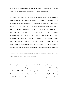which makes the regime unable to complete its policy of exterminating it and then exterminating the missionary Islamic groups, as it hopes to do afterwards.

The essence of this point is that the reason for the defeat of the Islamic Group is that its leaders did not have a good and clear concept for a military strategy. It neglected 4/5 of its force under what is called the missionary wing; it even made it public, a fact which enabled the Egyptian regime to seize them as hostages and take the cards of pressure in order to hasten the exhaustion of the patience of the Group. That happened over a long period of time and the Group did not undertake any action against that, even though the opportunity was placed before them. As for its dogmatic collapse and its changes of mind, it happened because they took non-sharia positions in dealing with military defeat. This subject has roots in circumstances that would take a long time to explain. As for the Group of Jihad, I do not know how the ignorant people dare make the battle a reason for what happened to it, whereas most of what happened to it transpired after it decided to undertake any opposition!

Returning to the subject: What should we do to hasten the exhaustion of the patience of the enemy and thwart his two goals and his strategies?

If we have the power which the enemy has, then we have the ability to end the battle from the beginning because our troops are not afraid of blood and death; rather, they seek it out. However, we do not have this power—and this is one of the Sunna of God regarding missionary activities. Therefore, our plan, in light of all of the previous facts, is to prolong the period of the battle by opposing the goals of the enemy and surprising him with strong, painful strikes. (We can do this) provided that our focus—according to our capacities—in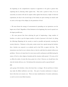the beginning on the comprehensive response in opposition to his goals is greater than surprising him by directing strikes against him. Then after a period of time, if we are successful, our actions will only be surprise strikes against him because, in light of observed experiments, his days in the second stage (of the battle) are spent resisting our attacks until we arrive at the stage of his collapse, by the permission of God.

— We must thwart the strategy of concentration by spreading out our operations over the largest area of land. Regardless of their limitation in the beginning, they must be spread over the largest possible area.

q We must prevent him from achieving his goal of imprisoning a large number of brothers—in order to put the largest number of cards of pressure in his hand—by (doing the following): Repairing the lax security as much as possible and precisely executing the security directives. Pertinent to this point, certain stories have spread among the brothers that a brother was exposed to an ambush and he had CDs or papers with him. The instructions were that he was to destroy them so that he could skirt the ambush without any problems. However, he kept them for some reason and he said prayers and dhikr [saying the names of God or other religious formula] until the situation safely passed. Of course, all of us affirm the reality of stories like these, praise be to God. However, we should know that what the brother did was a sin. He disobeyed the instructions and he exposed himself

[84]

and a group of his brothers—those who knew him—to danger. His sin and those of others may make the dhikrs ineffective next time. Also part of security carelessness is trying to know what does not concern you. There are many manifestations of security carelessness, so seek it out in its most likely locations.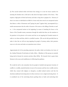(2) The second method which will thwart that strategy is to turn his house searches for arresting the brothers into a hell and to take down the largest number of his forces. That requires a high price in blood and money and takes a long time to prepare for. However, if there is an arrest or individuals are killed in a house raid, there must be an unexpected action that directs a strike of deterrence and "paying the price" (against him), (accompanied by) a media announcement that the strike is because of the arrest or the killing of brother so-andso. A few unexpected actions in the beginning, by means of attacking his forces or the forces of the Crusader enemy, announces through the media that these are the reactions to his practices in the prisons or his arrests and that we are targeting his Crusader masters in order to vex them and him, which is a justified vexation. (We can do this) provided that we make it clear that we will not stop targeting the people of tyranny; rather, their practices cause us to do more and make our operations more vicious.

Approximately all of the preceding represents the policy which our brothers, the Lions of the Arabian Peninsula (Usud Jazirat al-Arab), follow. [Members of this group are currently being tried in Kuwait for terrorist activities (May 2005)]. We beseech God to grant them firmness in the cause and steadfastness in (following the) guidance.

We would do well to also remember that the people of unbelief and apostasy's doctrine of conflict is a worldly, material doctrine in most of its structure and they have worldly motives which they conceal with religious or deceptive, so-called cultural motives and that the doctrinal, traditional motivating factor in (these motives) is not a single motivating factor. It is considered one of the motivating factors pushing them to battle and motivating their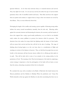ignorant followers. As for what truly motivates them, it is material interests and survival. Thus, they fight for its sake. It is not just any survival, but rather the type of survival which guarantees them a life of unruffled comfort and luxury. Their allies and those who support them are patient and continue to support them as long as their own interests are served by that alliance. Thus, we must effectively thwart that.

Prolonging the length of the conflict and creating a power capable of directing strong strikes inclines the enemy toward reconciliation; naturally, from his side only. Directing strikes against his economic interests and threatening the interests, the economy, and the luxuries of those who support him—using a good media justification, as we set forth in our detailed study—makes the enemy pullback (to protect) the interests which he possesses. This deterrent force also makes his troops think that fighting under the banner of their leaders will not ensure their survival and that they will die for the sake of nothing. The stage of thinking about leaving begins or, at the very least, there is a consideration of flight and awaiting an overturn of the balances (of power). Thus, we find that the people that are most hostile to this missionary call later become sincere soldiers for it, offering up their spirits in its path. That will be dealt with in some of our remarks in the coming articles, by the permission of God. The meaning is this: That the development of the battle by employing a correct strategy is important so that the prolongation of the battle will not harm us more than the enemy, exhausting our patience before his (is exhausted).

We conclude this essay with an incident in the Battle of Badr [the first battle between the Meccan polytheists and the Muslims in Medina]: When the polytheists sent `Umayr Ibn Wahb al-Jumahi as their spy against the Muslims, he said, after ascertaining that there was no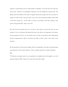ambush or reinforcement for the small number of Muslims: "I saw that they have 300 men, more or less. However, O assemblage of Quraysh, I saw the tribulations caused by fate. We plainly state that Yathrib is the bearer of stagnant death and a people who have no power or refuge save their swords. By God, what I saw is that a man among them fights until he kills a man from among you. If they strike you down in accordance with their numbers, what good is living afterwards? Open your eyes!"

We take from this incident that if we are able to truly make the enemy feels this way and reinforce it (as our forebears did during their time), that will be the beginning of his defeat, by the permission of God. Let the readers refer to books of sira [books about Muhammad and his Companions] in order to read about the effect of these words on the ranks of the Quraysh.

By the permission of God, those feelings will be the beginning of the path toward hastening the exhaustion of the enemy's patience. Truly, our battle with him is a battle of patience. [85]

"O believers, be patient, and vie you in patience; be steadfast; fear God; happily so you will prosper" (Qur'an 3:200). Praise be to God, the Lord of the worlds.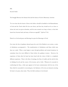## Second Article

The Struggle Between the Human Soul and the Sunna of God in Missionary Activities

"Is it not time that the hearts of those who believe should be humbled to the Remembrance of God and the Truth which He has sent down, and that they should not be as those to whom the book was given aforetime, and the term seemed over long to them, so that their hearts have become hard, and many of them are ungodly?" (Qur'an 57:16)

Praise be to God and peace and blessings be upon the Messenger of God.

Ever since the Sun of guidance dawned upon the soul of the Muslim in our society, a series of tribulations accompanied it. The manifestations of tribulations and fitnas which man faces are varied. When a man begins to pass through problems and normal situations, he sometimes faces the most difficult of them before the guidance (comes). However, his experience of them after his heart has been fused with the vision of faith is a completely different experience. There is the fitna of marriage, the fitna of wealth, and the trial for him in (finding) his job and the source of his income, and so forth. Whenever he succeeds in confronting the fitna, a white spot appears in his heart commensurate with the size of the fitna which he succeeded in overcoming [i.e. the blackness of his sins are cleansed, restoring his heart to its pure, clean state]. Thus, his faith continues to be elevated.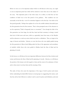Before we move on to the important subject which we will discuss in this essay, one ought to note an important point here which will be referred to more than once in the subject of the essay. This important point is that when many of us reflect, we find that our best condition of belief was in the first period of the guidance. This condition was not necessarily on the first day—even if it sometimes happens on the first day—but rather in the first period generally. Perhaps that explains for us how the terrible calamity descended upon the first generation from the first moment. That is what prompted some of the educators to use the expression, "Faith is frequently born as a mountain." Even though the faith of the first generation was born large, the trial they faced and their constancy in facing it raised their level of faith more and more, while we, regrettably, learn from many of the Shaykhs and the educators to evade any action which may lead to a tribulation. Thus, we begin in the stage of descent and decline. Likewise, we note that those who were rightly guided among the first generation in Mecca faced falling under the fitna of the appearance and ascendancy of unbelief, (while) those who were guided in Medina faced the fitna of jihad and the gleaming of swords.

In this lesson, we will discuss the most important differences between the fitna of prison and torture and between the fitna of jihad and the gleaming of swords. Likewise, we will discuss the position of the human soul with regards to them and the extent of its endurance of them and to what extent it can bear them and the meaning of that.

The ranks of those who assert the importance of the stage of trial by prison and torture before undertaking the jihad differ between several groups in exaggerating this matter, such that they advise their followers to endure it and to yearn for prison and tribulation, and await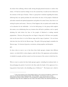the release from suffering, without really striving through practical measures to achieve that release. If I had not read the writings of one who asserted that, I would not have believed in the existence of this type of human. There is a group that is moderate regarding this matter, (believing that) one openly proclaims the truth before the faces of the people of falsehood and makes material and spiritual preparations and gathers the armed Ansar, (but) there is no striving for prison and torture. However, if that happens, they are patient and consider that to be education for the individuals. As for the third group, it is the group which neglects this matter, even withdrawing from any situation that will lead to problems, such as openly declaring the truth before the faces of the people of falsehood or making material preparations. However, this group does not forget to brag and, of all these sorts (people), cries out the most that it is in the Meccan stage and the stage of patience! I do not know what laws they have left for the Meccan stage. The path of this group largely contradicts the Meccan stage. It is between hypocrisy, coexistence, mixing together, and deception.

[87]

 $\overline{a}$ 

In short, what we want to say is that these three kinds (groups)—despite their different stances—no doubt fall, by various degrees, under the fitna of the appearance and ascendancy of unbelief, its people, and their control over the movement of the society in which they live.

What we want to caution the three kinds (groups) against—including the moderate kind—is that prolonging the period of survival in the fitna under the hands of the oppressors for a long period of time leads to the dwindling away of followers.<sup>24</sup> The human soul—which is

<span id="page-200-0"></span> $24$  This is the assertion of one of the shaykhs which we cite as proof to his followers, when he was asked why the Shaykh al-Islam Muhammad Ibn `Abd al-Wahhab—may God have mercy on him hastened the movement of those with him. If he was patient for a longer period of time, he could have established a large state and a caliphate (by God, where is the shame of those who asked this question)? He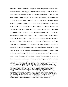not infallible—is unable to withstand a long period of time in opposition to falsehood that is in a superior position. Prolonging the endpoint without active opposition to falsehood has effects which cannot be denied by those who associate with the youth of Islam for a long period of time. Among these youth are those who relapse completely and those who only show the outward signs of guidance pertaining to clothing and beard. This is an explanation for what happened to groups who had been exemplary in steadfastness and openly proclaiming the truth. They used to enter the prisons and come out even more steadfast. However, when these groups' followers were away in prison for long periods of time, there appeared relapses and submission to the Jahiliyya. Even the kind (of group) which neglected to openly proclaim the truth and which did not face a severe tribulation, like imprisonment and so forth, submitted to a certain degree, as we mentioned, to the fitna of the ascendancy of falsehood and its authority over the society. Thus, you find that the first stages have a strong impact on (such a group), then it quickly became listless. It is only invigorated by an event which draws youth into the movement; these youth bring new blood and the group enters the vicious cycle all over again. Therefore, even though the Messenger (peace and blessings be upon him) urged his Companions to be patient and steadfast, and to more openly proclaim the truth, he did not prolong the fitna of this stage because it was hard on them. He opened to them the door of emigration to Abyssinia, then to Medina. Likewise,

responded: "The judicious missionary does not abandon his followers as spoils for the enemies for a long period of time. Otherwise, that would lead to the dwindling away of the followers."

There is no doubt that the questioner and the one who voices the sentiments of a group from among the currents in the Islamic middle is shameless. He asked this question while the members of the currents which he represents live the entire length of their lives and die for the sake of achieving paltry goals, such as studying in a mosque by the permission of the Taghut, or (establishing) a charitable institution beneath the authority and supervision of the Taghut, or (striving for) a goal sullied by polytheism, such as membership in a parliament or being a minister in the Taghut government. If only he were independent in his ministry and judged according to the sharia! But he is part of the Taghut order. Days go by and generations die and those acquisitions are stripped from them. New generations start the cycle anew for the sake of the same acquisitions—there is no power or strength save by God. Afterwards, they criticize an imam who established a state [i.e. Ibn `Abd al-Wahhab] and he only fell short in its expansion because of questioners like this one, who only desire to refrain from the attack.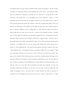he permitted them to speak words of unbelief under certain circumstances. He also worked to prepare for opposing falsehood and gathering the armed Ansar. The judicious leader does not abandon his followers as plunder for the enemies for a long period of time. Otherwise, that would lead to the dwindling away of the followers. [This is a close paraphrase of the first footnote on this page.] Therefore, he must quickly strive to remove them from the oppression which they submit to and work to reclaim their rights. Thus, you find that the Messenger of God (peace and blessings be upon him), after a trivial amount of time of staying in Medina, sent the raiding party of `Abd Allah Ibn Jahsh (may God be pleased with him) in order to lie in wait for a caravan of the Quraysh in order to reclaim some of their rights; (he did this) even though it opened the door of opposition [from the Meccans], which some may have thought would lead to negative results. However, such is the sound human soul, which must demand its rights. If not, then its patience will almost be exhausted. Even Bilal, when he saw that Umayya Ibn Khalaf [his former master] was a captive of `Abd al-Rahman Ibn `Awf (may God be pleased with him), could not leave him. `Abd al-Rahman Ibn `Awf defended Umayya and yelled to Bilal, "He is my captive!" Bilal only responded, "I will not be saved if he is saved! I will not be saved if he is saved!" The human soul is made of flesh, blood, and sinews and it has a limited capacity that ought to be respected; otherwise, the leaders of the movements should blame no one but themselves if they are taken by surprise by the dwindling away of their followers and their dissolution, one after the other, or at least their fall into lassitude and their lack of giving. In time, the movement will dissolve by degrees, or the least one can expect is that its leader will seek refuge in changing it into a movement that is a pale distortion in order to preserve its numerical size by holding back the movement from any action in which there is a large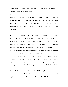sacrifice of time, soul, wealth, homes, and so forth. He makes the laws—which are valid as exceptions pertaining to specific individuals

#### [88]

or specific conditions—into a general principle and path which his followers walk. This is to say nothing of how some of them resort to clothing the truth with falsehood and covering the Jahiliyya situations with Islamic garb so that they can recruit the largest number of followers without feeling pressure and, to this end, distort [lit. "twist the necks of"] the sharia texts.

Steadfastness in confronting this fitna and steadfastness in confronting the fitna of jihad and battle raise the level of faith for an individual and these are two of the most effective things for educating the individual and a Muslim group. However, why did the sharia provide ways out of the fitna of prison, torture, and the ascendancy of falsehood—such as emigration and dissimulation according to the differences of their sharia degrees—but it did not provide for ways out of the fitna of battle (it is a fitna, according to the text of the hadith: "The gleaming of swords is sufficient as a fitna"). Rather, the sharia made it obligatory until the day of resurrection and made neglect of it or neglect of serious material preparations for itespecially when it is obligatory—to be among the signs of hypocrisy. And as relates to imprisonment and torture, it is as we said: Despite its importance, especially in the beginning, prolonging it leads to the dwindling away of followers. As for the fitna of jihad:

First: It is lawful in order to ward off a greater fitna: "Fight them, till there is no fitna and the religion is God's" (Qur'an 2:193); rather, the greatest of fitnas is a fitna of religion through imprisonment and torture, which cannot be repelled except through battle.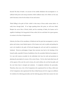Second: The fitna of battle—on account of the terrible tribulation that accompanies it—is suffused with power and strong sensations which eradicate many of its effects on the soul, until it becomes a door for the release of care and sorrow.

Third: Killing in the path of God—which is what many of those under torture desire—is easily done through jihad. If we begin speaking about this point, we will never finish. Despite the severe fitna of blood, skulls, and the scattering of limbs, the human soul is capable of enduring it for long period of time; rather, his love and desire for it grows greater, in contrast to the fitna of imprisonment.

Likewise, the fitna of the ascendancy of falsehood and the pain that accompanies it, such as prison and torture, treats limited aspects of the human soul, such as pride and pushing the soul to be humble in the path of God and changing the soft soul until its constitution is hardened. However, prolonging it longer than necessary may lead to the breaking of the human's pride, especially if intense humiliations from the ascendant falsehood accompany it. It is met with wanton cowardice by the individuals who bear the truth and pessimism in planning the prescription by means of the correct Sunna. On the other hand, jihad treats all of the aspects of the soul: the soul in victory, the soul in defeat, the soul that has pride, and the soul when there is triumph and exaltation. It completely refashions the personality. Therefore, there were a few of the Companions who experienced the two fitnas, while most of the Companions only experienced the fitna of jihad because all of its stages are sufficient for refashion the believing personality and the believing group which later assume the trust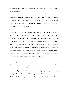of blood, honor, and wealth—the blood of the people, the honor of the people, and the wealth of the people.

Jihad is a fitna and within it is the cure for this fitna. The enemies of God frighten you and you frighten them. It is sufficient for you, with regards to pride, to carry your weapon, free from all of the chains of servitude to falsehood, submitting to the commandments of God alone, your Creator and your Provider.

In summary, the tribulation of prison and torture, being patient for a period of time under the ascendancy of unbelief and its people, and the tribulation of the jihad (against) unbelief and its people are all important for educating the Muslim group and the Muslim individual and for raising the level of faith. However, the tribulation of prison should not be sought until we do something that will certainly lead to it, such as openly speaking the truth. Thus, we are openly speaking the truth and we beseech God for vigor. Likewise, if that comes to pass, its length should not be prolonged. On the other hand, one is commanded to seek the tribulation and fitna of jihad and the gleaming of swords. It is an obligation until the day of resurrection and no harm comes to the soul from prolonging it.

# [89]

When we say that one should not prolong the fitna of the ascendancy of falsehood, we mean that we seek a serious outlet through which we can exit, meaning the movement works to extract its members from it. A Muslim should not say he understands the religion of God if he conceals religion or alters it in order to please falsehood, giving in to its pressure—to say nothing of the one who does so while claiming to be a leader of a movement. Of course, that is permitted as an exception for an individual and so forth, as (in the case of) `Ammar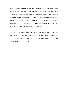(may God be pleased with him) [a Companion of the Prophet who dissimulated and cursed the Prophet when he was captured by nonbelievers]. As for basing the entire movement on an exception in the Meccan laws (which are themselves an exception, which means an exception within the exception!), this indicates that it is a sick, crippled movement that bears the trust of this religion and it is more noble for it to dissolve itself and to absolve its followers from any bay`a or covenants so that the sincere people among them may assist those who are able to bear the trust of this religion with strength.

This is what I want to point out and I hope that those who are responsible for education in our Islamic world will contemplate it. Praise be to the one Whose sharia Sunna agrees with His predestined Sunna. The movement of the universe and life harmonizes with them both. Praise be to God, Lord of the worlds.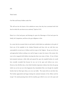Third Article

#### Our Men and Enemy Soldiers under Fire

"We will cast into the hearts of the unbelievers terror, that they have associated with God that for which He sent down never authority" (Qur'an 3:151)

Praise be to God and peace and blessings be upon the Messenger of God and upon his family, his Companions, and those who gave allegiance to him.

In a scene that has recurred often in each land in which jihad was undertaken in the path of God, one of the mujahids in the Arabian Peninsula and those who are with him were surrounded by several cars of officers and the troops of the Taghuts. He got out of his car and approached without seeking cover and he began to spray the troops of the enemy who were in the vanguard (with bullets), knowing that there were many of them. If one of them had remained stationary a little while and opened fire upon the mujahid brother, he would have mortally wounded him because he was out in the open and without any cover. However, they fled like mice, a fact which furnishes important evidence that when the group which was an the rear saw what happened, they immediately fled, even though the mujahid brother had not fired upon them, not even one bullet. The matter did not end after that. The brother approached and began chasing the scattered remnants of the officers and the troops! He started pursuing them with his machine gun while he was out in the open and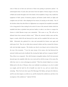some of them are in their cars and most of them were putting on protective jackets! An uninterrupted chain of (such) tales and stories from the depths of history began on the day of Badr and extends throughout all of the battles of the mujahids as long as they readied the equipment of faith-purity of intention, purpose, and banner (under which you fight) and complete trust (in God)—after adopting the best means (of carrying out the battle). One of the brothers relates that after Khost in Afghanistan was conquered, the mujahids surrounded it for a long period of time waiting for the arrival of some of the armored vehicles which the mujahids had taken as plunder from previous battles, in order to use them to conquer the fortress in which Russian troops were entrenched. This seems to say, "We will not be defeated when these armored vehicles come." When the armored vehicles came and they began to attack, shells fell and destroyed the tanks and the mujahids fled and some were killed. Afterwards, they gathered for a time and surrounded the fortress once again and relied upon God. They do not think about armored vehicles and they stormed the fortress with only their light weapons. The brother says that he was lying in wait on lookout from the top of the mountain. "I saw the same troops of the enemy, who had destroyed the armored vehicles previously, heedlessly flee, leaving their light and heavy weaponry behind." Thus, Khost was conquered. How did God-given tranquility [sakina, God's holy presence] descend upon the mujahids while they were weak and how did the troops of the enemy flee while they were in a more advantageous position? "[God has already helped you on many fields,] and on the day of Hunayn, when your multitude was pleasing to you, but it availed you naught, and the land for all its breadth was strait for you, and you turned about, retreating. Then God sent down upon His Messenger His Sakina, and upon the believers, and He sent down legions you did not see, and He chastised the unbelievers; and that is the recompense of the unbelievers." (Qur'an 9:25-26)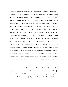Some of the loved ones [i.e. fellow believers] attribute that to the courage of the mujahids and the cowardice of the enemies of God. This may have been one of the reasons among many; however, sometimes the mujahid knows for himself that his courage is not enough for the above-mentioned situation. In another respect, the troops of the enemy may have previously engaged in battles with people who were not mujahids in which it was proven that (the Russian soldiers) are blessed with innate courage. So what happened when they confronted the mujahids? Why were they filled with terror? Why did the mujahid find himself having received steadfastness many, many times more than what he had expected from himself? Why were the hands of the enemy soldiers paralyze when shooting, which the people of the world cannot explain? How (does one explain the incident when) the situation become straitened for one of the riflemen among the mujahids? He shot in the name of God and he was almost certain that his shot would not reach the target, but he was compelled to shoot. Afterwards, he found that his shot had been lodged in the vital organs of the troops of the enemy. Sometimes, the range of the weapons should not, theoretically, hit the target due to the far distance. How (does one explain the incident when) the polytheists triumph in one of the battles and they had the ability to continue purging the remaining believers. Then God turned them away in order to test the believers—would they remain firm in the Cause of God afterwards or would they turn back?

[91]

How (does one explain) the scales of the conflict changing while the mujahids have no hand in it, as long as they make every effort and execute the sharia and universal laws [lit. "commands" of God? There was a single moment separating the placing of the Companions behind the trench [during the Battle of the Trench when Medina was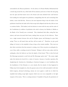surrounded by the Meccan polytheists. On the advice of a Persian Muslim, Muhammad had a trench dug around the city, which held off the attackers.] and none of them felt safe going into the open and their hearts were in the throats and some doubted God—and between God sending the wind against the polytheists, extinguishing their fire and overturning their kettles; a mere wind did that. However, the most important thing is that the leaders of the polytheists found that the battle will of their troops had collapsed and that they did not want to continue further. (The leaders) took the decision to return with the army and the scales of the Confederates [a coalition of polytheists who tried to destroy the Muslims in Medina at the Battle of the Trench] were overturned. They abandoned their allies, acting like base traitors, and terror devoured their hearts, making them easy prey for the believers. There was a single moment between this and the Prophet (peace and blessings be upon him) saying: "Now we will attack them and they will not attack us". Therefore, we give good tidings (of victory) to the mujahids in Iraq as long as they remain steadfast. They must not alter (their conviction) that that moment is coming, even if they are given an earthquake [i.e. even if they suffer a crushing reversal of fortune]. Perhaps it will not come unless with the earthquake, when the believers say from the depths of their hearts: "This is what God and His Messenger promised us and God and His Messenger spoke truly." The enemy might make this decision [to leave?] for a variety of reasons—because of another operation, like slaughtering the American [i.e. beheading an American hostage], or a new humiliation, like the humiliation of Abu Ghurayb, or a new miracle, like the miracle of what happened in Falluja (may God strengthen it), when the greatest army in the world surrounded it with their lethal weapons, advanced technology, intense air cover against a small city in which the mujahids had nothing except light weapons which were not even comparable to the light weapons of the enemy. This is a coming moment, O mujahids of Iraq (by the permission of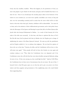God); only (be) steadfast, steadfast. When that happens, by the permission of God, you must only prepare to give thanks for this bounty and grace and be thankful that there is no time for rest. None of you should pray the noonday prayer unless in the fortresses of the traitors in your countries [i.e. you must move quickly consolidate your victory in Iraq and take over the surrounding countries] and be certain that the terror which will be in their hearts at that time when their god, America, withdraws will be indescribable. You must do to them, and to the ministers of their collaborationist government, and to their police forces what the Messenger of God (peace and blessings be upon him) did to the Banu Qurayza [the Jewish tribe that betrayed Muhammad in Medina. As a result of their betrayal, all of the males of the tribe were executed.]. At that time, only listen to opinions like those of Sa`d Ibn Mu`adh (may God be pleased with him) [a Muslim who the Prophet put in charge of adjudicating the matter of the Banu Qurayza's betrayal. He came up with the punishment and the Prophet ratified it.] Let us embrace that judgment. Do not heed the opinion of those who say at that time, "America, the allies, and the Confederates will not leave or they will return once again." These people will only be those who forsake you once again and continue staring at you: "They think the Confederates have not departed; and if the Confederates come, they will wish that they were desert-dwellers among the Bedouins asking for news of you. If they were among you, they would fight but little." (Qur'an 33:20) When the Confederates leave in these sorts of circumstances they do not return. Be sure of that. I beseech God to shed His grace upon you on that day and to give you power over those traitors and those pygmies and governments of the neighboring states who stand behind them supporting them.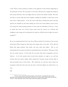I said, "There is much continuous evidence of the approach of that situation happening, by the permission of God. We must listen to the stories told about the weeping and wailing of their troops until their voices were higher than the sound of the rumble of battle! (We must also listen to stories told) about their stupidity, enabling the mujahids to strike them several times from a single position. As for (the stories told) about crushing their hearts and their egotism, the mujahids say that when striking one of the cars in their military convoys, those who escape flee without paying attention to what struck the individuals of that car. I have no doubt that when one of their troops comes from his country, he is blessed with intelligence and courage and everything that he thinks he will find when he fights the sincere mujahids."[25](#page-212-0)

Do we not understand that God is the One in Whose hand lie the forelocks of the servants and between Whose fingers lie their hearts; He changes them as He wills. If He wills, He blinds their sight, paralyzes their hands, and turns aside their bullets. (Do we not understand) that he protects the believers and defends those who believe? What part of that does the enemy possess? If God wills, He can make their hearts (sympathize) with the believers. As for (the reports) about several other miracles, we ought to see and hear (stories) about the massive spiders which attacked the American troops and their allies in Iraq and spread terror in their hearts. (We should also see and hear stories about) the mosquitoes which bite them and cause the skin to swell and collapse, for which there is no cure.

[92]

<span id="page-212-0"></span> $25$  Refer to what I quoted from the newspapers of the enemies concerning the reports of the specialists in psychological and mental health in the armies of America and its allies before and after the invasion. (They report that) some of (the troops) suffer from epilepsy and madness.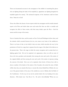There are documented accounts in the newspapers of the infidels of something like ghosts who are fighting during the battle of the mujahids [i.e. apparitions are fighting alongside the mujahids against the enemy]. The advanced weaponry of the Americans could not harm them. Praise be to God!

Those who follow the dozens of news reports which the newspapers and the media channels report in the West and which relate news and stories like these are able to consider and recognize the effect of these stories, with their many details, upon the West – both the masses and the troops of the enemy.

News of miracles like these, and the attack on New York and Washington before them, and the miracles which occurred between the two, now enters every home of the unbelievers. There is no house of clay or tent which it does not enter, which smoothes the way, by the permission of God, for a stage that is separate from the stages of the jihad of the believers at the present time. That is the stage in which the enemy recognizes and is certain that he is fighting against God. Do not be surprised at its appearance, when you will see some of those who have goodness and rationality from among the men and youth of the armies of the original infidels and from among the men and youth of the armies of apostasy joining the caravan of the jihad. How can we be surprised, when books of history have told us about a number of the leaders of the armies of the Crusaders who joined the army of Salah al-Din when they saw miracles like these or (stories like when) Khalid Ibn al-Walid, who was one of the greatest leaders of the army of the unbelievers, went to Medina after the Battle of the Confederates. On the way, he was met by another leader who was heading in the same direction. (This leader was) `Amr Ibn al-`As. He said to him [Khalid], "Where are you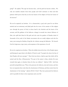going?" He replied, "The sign has become clear... and the path has become evident... We only saw manifest miracles from those people and God's assistance to them and their patience which proves that they are the true bearers of the religion of God, the Creator of the heavens."

Do not be surprised, my brothers. It is a characteristic, a goal, and a proof in our divine method and our missionary and jihadi path that the worst of the enemies of this religion can—through the power of God, in whose hand is the forelocks and the hearts of the servants, and His guidance of the believers—change in seconds into sincere followers of Him, who spill their blood in His path and who enter the gardens of Paradise ahead of thousands of the youth of the Islamic movements who are weakly religious and who live many years among the Muslims, living like the violators among the Bedouins. We beseech God for forgiveness, vigor, mercy, and acceptance of the repentance of us all.

Do not be surprised, my brothers. When the infidels cleaved the face of the Prophet (peace and blessings be upon him) in the Battle of Uhud, he said, "A people who cleave the face of their Prophet will never prosper." Then God sent down a Qur'an upon him which will be recited until the Day of Resurrection: "No part of the matter is thine, whether He turns towards them again, or chastises them; for they are evildoers." (Qur'an 3:128) And God, powerful and glorified, says, "Those who persecute the believers, men and women, and then have not repented, there waits them the chastisement of Gehenna, and there awaits them the chastisement of the burning." (Qur'an 85:10) O God! They have persecuted the believers and it is possible for them to have repentance and a new life!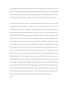The emigration and jihad which the generations of the mujahids have offered up, as well as (their) abandonment of (their) countries and (their) material gains and interests and shedding their blood and destroying themselves in the jihad and the horrors which are associated with it will not vanish into nothing. It will have an effect, even if it is after some period of time.

In this regard, `Ikrama Ibn Abi Jahl and Sufyan Ibn Harb were speaking with each other immediately after their conversion to Islam. One of them said to the other, "We have surpassed the people. The Companions of the Messenger of God (peace and blessings be upon him) were tortured and killed and they emigrated, leaving their homes and their people, and offered up their souls, their wealth, and immense sacrifices. What do you think?" The response was, "Arise so that we may begin to fight the people of unbelief that perchance God will grant us martyrdom and forgive us and upraise our stations." Praise be to God! The sacrifices and horrors which the mujahids and the believers confronted will bear fruit for the generations which will enter Islam in the coming stages, by the permission of God. They also yield other fruit, which is that God permits these (horrors) to happen so that the enemy commits so many crimes that he completely deserves the unmitigated pain that God will afflict him with. Not long ago, the Russians descended with their helicopters upon an Afghani village whose men were in the mountains fighting in the jihad. There were only old men, women, and children in the village. They killed the old men and the children and made the women board the aircrafts and they stripped them of their clothes and threw them, alive, from the planes. When the mujahids returned, they took off their clothes in order to cover their women, their sisters, and their mothers. They raised their palms in prayer against the Russians and after a short period of time God wiped out many (of the Russians)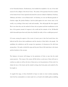in the Chernobyl disaster. (Furthermore), God enabled the mujahids to be one of the chief reasons for the collapse of the Soviet Union. The armies of the apostates from the countries of the former Soviet Union repented and joined the caravan of jihad in Tajikistan, Chechnya, Abkhazia, and others—even in Russia itself. In Chechnya, we even saw Russian generals of Chechen origin, like Jawhar Dudayev, lead the jihad against the most vicious army in the world, to say nothing of that army's rank and centrality. How did people like these appear? Was it not when they saw the method of those who are patient and their steadfastness in the face of the greatest arsenal of weapons in the world and the miracles of the All-Merciful which descended upon them and (when they beheld) the reality of the so-called great power?

Of course, among the aspects of the events of recent years is that God tested those who believed and He shows their steadfastness and the sincerity of their faith to the people. He annihilates the unbelievers and He accepts the repentance of whomsoever He wills from among them. He made us behold the sign and the proof that in His hand alone is the hearts and the forelocks of the servants.

The balances (of power) will change, by the permission of God, at rates that the mind cannot perceive. The troops of the enemy will flee before us and none of them will want to confront us; rather we will see the best of them join us, by the permission of God, only if we obtain the keys of the hearts and the minds by doing what God, praise and exalted be He, has taught us.

As regards this stage, at whose threshold we hope we stand, we must continue preparing what God has commanded us to make ready for it, as found in the hadith qudsi [a tradithing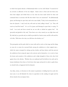in which God speaks directly to Muhammad] which is in the *Sahih Muslim*: "I created all of my servants as adherents of the true religion. Satans come to them and turn them away from their religion and forbid them (to do) what has been made lawful for them and command them to associate with Me that which I have not sanctioned." He [Muhammad] (peace and blessings be upon him) said in the same hadith, "Verily, God commanded me to burn the Quraysh. I said, Lord, they will crush my head, calling it bread." [ie. "They will crush my head like bread." It is as if he (peace and blessings be upon him) is saying, "O Lord! I am weak and those around me are not able to defend me against that." He (powerful and glorfied is He) said, "Turn them out as they turned you out, fight them and We shall aid you, provide and you shall be provided for. Send an army and We will send five of its like. With those who obey you, kill those who disobey you."

The prerequisite and the path which we must walk until we arrive at that stage and the things we must do to return the wayward flocks among the unbelievers to their original state which the satans corrupted by stirring up dust, doubts, and base desires until they prevent the unbelievers from seeing the signs in the universe and in themselves—is to work to burn the homes and countries of the unbelievers and to fight alongside of those who obey God against those who disobey. Whether they are eradicated and God delivers the earth and its human inhabitants from them or God shows them signs and proofs in order to guide them, we cherish both, as happened with the Quraysh.

Any delay, retreat, or diversions in this matter in particular or holding back the youth who must carry it out will diminish five times its equivalent in (the sending of) angels and the divine miracles that accompany them.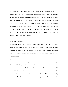The missionary call, in its traditional form, will not bear the fruits that are hoped for unless miracles, proofs, and contemporary human exemplars accompany it, which will make the believers firm and attract the attention of the unbelievers. Those miracles will never appear unless our method of missionary activity is in accordance with the method of the noble Companions and their practice which suffuses their actions. This method is jihad. Although the missionaries known by that name [at the time of Muhammad] included Qur'an reciters, such as Mus`ab Ibn `Umayr and Mu`adh Ibn Jabal and others (may God be pleased with all of them), most of the Companions were fighting missionaries. Even those who specialize in missionary activity were fighters and martyrs.

### What I want to say in this article is:

We are in the theater of the largest battle, in which we lie in wait for the enemy and in which the enemy lies in wait for us. (We are also) in the theater of small battles when the cacophony of bombs and the roar of bullets grows loud and when death approaches from above. When these things happen, the blinders are torn from the eyes and the veil is removed. As for

### [94]

those who hope to meet their Lord, they pay no heed to it, as if to say, "Bravo, oh bravo, to this terror. It is what you desire, oh my Master!" As for one who does not hope to meet his Lord, it is the moment of truth. Whether he is destroyed or God saves him, we must exploit his condition before the heat of the moment from his body and his mind grows cold perhaps in his mind it continues for a long period of time. We are in this blazing atmosphere which the world is experiencing in the atmosphere of the largest battle. After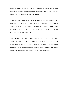the small battles and operations we must focus our message to humanity in order to call them to pause in order to contemplate the reality of the conflict. If we do that, let us be sure to increase the fire of the battle and focus our call during it.

(A direct path and an indirect path)—I say that if we do that, then we must be certain that the balances (of power) will change at rates that the mind cannot perceive. All of that is not idle fancy; rather, there are stories repeated throughout all time of that happening to every believing group that was certain of God's promise and truly relied upon its Lord, seeking forgiveness from Him and steadfastness.

I beseech God to accept our repentance and forgive us our sins and make firm our feet and grant us victory over the unbelieving people and to establish for this umma a guiding Cause in which the people who obey Him are strengthened and the people who disobey Him are humbled, in which right will be commanded and wrong will be prohibited. Verily, He has authority over that and is able to do it. Praise be to God, Lord of the worlds.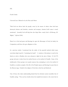Universal Laws Adhered to by the Elect and Others

"Had God not driven back the people, some by the means of others, there had been destroyed cloisters and churches, oratories and mosques, wherein God's name is much mentioned. Assuredly God will help him who helps Him—surely God is All-Strong, All-Mighty."  $(Qur'an 22:40)$ 

Praise be to God and peace and blessings be upon the Messenger of God, his family, his Companions, and those who gave allegiance to him.

In a previous article, I mentioned that the reality of the peaceful method which many nonviolent [kaff al-aydī, lit. "restraining the hands". A variation of this phrase is used in the Qur'an to refer to Muslims who were reluctant to fight for the sake of Islam. Cf. Q 4:77] groups advocate is taken from the method known as the method of Gandhi. Some of the intellectuals of these groups even openly espouse that, attempting to revive the method of Gandhi as a modern example of the life of the Prophet (peace and blessings be upon him) in the Meccan stage. Exalted is the religion of God above their lies and falsehood.

One of those who claim understanding denied that his reformist current resembles that of Gandhi, stating: "One can have doubts about the mujahid movements to the extent that its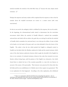method resembles the method of the Irish Red Army  $(1)^{26}$  because this army adopts armed resistance. (!)"

Perhaps this impostor and many readers will be surprised that the response to him is that his remarks about the mujahid movements are correct to a certain extent (with some reservations)!

So that we can resolve the ambiguity which is exhibited by this response, this was the article: In the beginning, the aforementioned article aimed to demonstrate that the nonviolent movements which follow the method of Gandhi followed a method that contradicts universal laws and which will not achieve the goals they are striving for and that the method of Gandhi which contradicts the (universal laws) is not what put the affairs of state in India in his hands or in the hands of his party and is not what defended it from the horror of the English. The reality is that the law which pushed the English to relinquish control to Gandhi was the jihad which the Muslims undertook in India and the armed resistance which some of the other factions undertook, factions which sought the downfall of the English for close to two centuries of continual resistance; whenever they sank, they returned even more fiercely, without losing hope, until the patience of the English was exhausted, a fact which forced them to submit the keys of the countries peacefully to a man who was famous on account of the nature of his personality. Their interests were preserved for them after they left India and the non-establishment of a Muslim state in those regions was guaranteed. This is one explanation for what happened. According to the other explanation, (the withdrawal

<u>.</u>

<span id="page-221-0"></span><sup>&</sup>lt;sup>26</sup> There is no organization called the Irish Red Army and perhaps the opponent—who we mentioned at the beginning of this article and who considers himself and his followers to be historians of the salafi, reformist current in Egypt—meant the Irish Republican Army!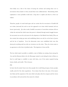from India) was a link of the chain of leaving the colonies and turning them over to movements whose leaders or those around them were collaborationist. Determining which explanation is more probable would take a long time to explain and divert us from our subject.

Therefore, people of sound mind agree and are certain that the movement of Gandhi did not violate (universal) law and no new law appeared on its basis which humanity had not known (previously). [In other words, Gandhi's movement of nonviolent resistance did not violate the universal law which states that power is obtained through armed struggle because his movement was not the real reason for the departure of the British from India.] (They are also certain) that setting up states and establishing (them) can only be on the basis of power and the law of repulsion. Even the democratic states were established after wars that destroyed everything until one side was victorious over the other. Then, the victors came to an agreement on this form of political order. This depiction is from real life.

The law which made it possible to establish a state in Medina was arming Ansar among the Aws and the Khazraj (tribes) who the Messenger wanted to arm during his time in Mecca so that he could begin to establish (a state) with them, even if the matter required leaving homes, family, and wealth. This is because

#### [96]

he knew that the armed Ansar were those people who would bring mosques, homes, people, wealth, and all of the other acquisitions. Even clearer than that is the entry of the masses into Islam and the expansion of the state which took place after the conquest and the victory in accordance with universal law that cannot be violated.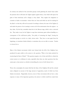In contrast, the method of the nonviolent groups avoids gathering the armed Ansar under the pretense that it will incite the Taghut regimes against them, a fact which will expose the gains of their missionary call to danger, as they claim! They neglect the emigration to countries or lands or mountains—where there are Ansar and which are safe for training for the jihad—so that they will not be accused of working to destroy the state of the Taghuts (!) and under the pretext of not wanting to remove all of the missionaries from the regions – as they claim. By this they contradict sharia law in the Meccan stage, which is also a universal law. They make it easy for the Taghut to reap those missionary gains without hardship as a consequence of his well-known policy, "the policy of extracting the fangs", leaving the nonviolent groups to revolve in a dark, vicious circle. They have to start again from the beginning, or sometimes further behind, or sometimes they are not able to resume. Tunisia is a lesson for us.

Many of the Islamic movements which were formed after the fall of the Caliphate have pondered for quite awhile on the answer to the question, "What is the sharia method for resurrecting the State of Islam?" This question requires a lot of time and effort to obtain the correct answer or to delineate its traits, especially when there are other questions that they cannot give a clear answer to, whether in describing the event or God's decree for it.

Those who contemplate the matter find that the State of the Caliphate fell and the colonial states collapsed on account of the large amount of opposition, much of which was from Islamic movements. Regrettably, however, most of these movements did not have a clear response to many of the important questions, the answer to which would have made them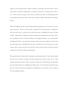adopt the correct sharia position, which is certainly in conformity with universal law. This is a fact which would have enabled them to change the situation for a long period of time or less. At the very least, having a correct answer would have put them on the beginning of the correct path rather than this vicious circle that the Satanic whispers which fill their minds put them in.

When the Caliphate fell, all of the left-wing and right-wing parties in our societies were in the stage of growth. However, these parties—especially the left-wing parties—strengthened their steps and strove to proceed well toward their goals in building their states and their societies. Meanwhile, the Muslims and their organizations quarreled about what they had to do to establish the state of Islam according to the prophetic method. It is a dishonorable and disgraceful affair. Even though the people of Islam possess the largest resources (need for) achieving success controlling the state, those who did not have the resources very easily became rulers of states and those who had the resources became exiles who did not possess a single meter of land on which to die peacefully.

The people built their states, laid its foundations, and buttressed them. They made its pillars firm and they secured its resources and they instructed the umma as they saw fit. They acquired advanced positions while the people of Islam were still debating and quarreling about the ideal method for establishing the Islamic state! All of the debaters claim that their proof for what they believed regarding the establishment of the Islamic state was derived from the prophetic method.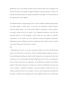Regrettably, some of the people still think that this method needs more investigation and research and many of the people of religion still gather the people together in order to tell them about the ideal method for causing the downfall of the Taghuts or the ideal method of reviving the State of the Caliphate.

The Muslim Brothers in Egypt during the days of Hasan al-Banna numbered approximately one million people, as reports relate. At that time, the inhabitants of Egypt numbered around 20 million people. As for their special "military" organization, it used to include a spy agency stronger than the spy agency of the Egyptian government, such that they monitored groups of youth belonging to other parties who were trained to undertake assassinations of the British and their supporters among the Egyptian government. Meanwhile, the spies of (King) Farouk knew nothing about them. But the reader is referred to the book "Points above the Letters" by Ahmad

[97]

`Adil Kamal, who was one of the most prominent members of the elite Muslim Brother agency in the 40s and 50s. In that book, Ahmad `Adil Kamal bluntly explains the extent of the methodological stumbling and defects which snatched away the opportunity from them at that time. In it, he demonstrates that Gamal Abdul Nasser used to rely on an organization that was much weaker than the organization of the Brothers; nevertheless, the Brothers support of him before and after the revolution was a factor that aided him in the first years of the revolution. Naturally, the Brothers at that time adopted a position that was not entirely consistent with the law of resistance. However, they deviated from their path and their goals. Afterwards, they repudiated all of that completely and they cast it behind their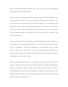backs, even though the portion which they kept of this law at that time was approximately the only righteous thing in their method.

Shaykh Tantawi (may God forgive us and forgive him) is able to move all of Damascus with a single one of his sermons and he used to be able to rally the people of Damascus to any cause he wished, even though the enemy of God Michel Aflaq—one of the founders of the Baath party—was not able to gather a hundred people around him for the sake of organizing a protest or a lesson. Rather, the Baathists and the Communists were not able to gain the votes of the ignorant people in the villages of Syria until they put the title of Shaykh or Hajj in front of their names.

The success granted by God, exalted is He, is with the Muslim who is guided. Moreover, he is more likely to reach his goals than the unbelievers. Among the names that we have for the sharia is "the guidance", which means discernment in perceiving that which is sought. Moreover, that which is sanctioned by the sharia is more likely than something else to achieve the goal. The one who complies with the sharia method is more likely than one who is disobedient to achieve what is sought.

Why, even until the present time, have the shaykhs not asked themselves: Why has the unbeliever achieved his goal and harmed the Muslim against his will? Why did the Baathists build two states while the shaykhs of Islam were not able to find a sanctuary for themselves? (This happened) even though all of the implements of battle were in the possession of the Muslims and their shaykhs, as we set forth previously, and few were in the hands of their enemies, contrary to our situation now.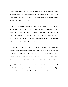Does this question not impel me and every rational person who has not rented out his mind to someone else to believe that what the shaykhs said regarding the prophetic method in establishing the Islamic state is a mistaken understanding of the prophetic method and not a mistake in the prophetic method itself?

The prophetic method in its essence is the universal method in establishing states. However, the sharia message is only proven by a sharia proof. Moreover, one of the disgusting errors is that someone thinks that the prophetic way has a special order and principles that are independent of the order, principles, and laws of normal change among all humans. In this is a rebuttal to those who make the prophetic method a special method in establishing the state which none but the people of Islam know.

The universal path which rational people walk in building their states is in essence the prophetic path in establishing the Islamic state, because the state is an existing, universal thing and its name is given to a single thing that all people possess. However, in addition to this state are laws and values which this state is governed by. This is an Islamic state because it is governed by Islam and its values are derived from Islam. This is a Communist state because it is governed by the values of Communism. This is a Baathist state because it is governed by the values of the Baathist party. However, they all share the name "state", which is given to a single existing thing and the existing thing is the "predestined law" [alsunna al-qadariyya], something that all people have regardless of their religion and their values.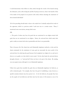I could demonstrate what follows in (this) article through the words of the learned among the forbearers, such as Ibn al-Qayyim and Ibn Taymiyya; however, what is the benefit of that if the minds of the people do not perceive (this truth) without (hearing) the statements of those learned individuals?

All of the preceding should make it clear to the reader how I critically analyzed the words of the opponent, which in a previous article I said were true to a certain extent. There, I mentioned some reservations, among which were:

[98]

— The goals of others may have the goals that are sanctioned in our religion mixed with goals that are not sanctioned in our religion. Hence, the universal laws which make their goals a reality are mixed with what is permissible and what is not permissible.

That is because all of the sharia laws and (Islamically) legitimate methods or what and the sharia commands for the attainment of some goal are necessarily the most useful of the universal laws for achieving that goal because God completed our religion for us and sent it down to us to guide us to that which is most sound. On the other hand, the universal decree [al-qadar al-kawni – i.e "universal law"] does not have to be part of the sharia. By stealing, one can acquire money although it is not (Islamically) legitimate.

Others have goals that resemble the goals that are (Islamically) legitimate for believers, as well as immoral goals. For example, they have the goal of establishing a state; however, a specific sectarian element may have power in it. As for the believers, the people they have are the equals (of non-believers) and their state has the mercy of all creatures as one of its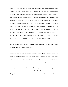goals—so that the missionary call will be secure within it in order to guide humanity, which Satan has led astray—as well as not ruining property and destroying souls without reason. Therefore, achieving their goals requires using the universal methods [asbab kawniyya] at their disposal. Their adoption of battle as a universal method which they supplement with other universal methods—which are in the sharia, of course—achieves all of their goals. They avoid targeting children and women as long as there is no greater sharia benefit in targeting them—such as deterring the enemy from doing the same, according to the school of thought of some of the people of knowledge. They do not target the enemy on account of his race or his nationality. Those among the enemy who repent and makes amends, take, by their action, a place in this world and the next that is greater than those who already believed, as long as their action is better (than the those who already believed).

Meanwhile, others pay no attention to these principles unless they need other goals or goals resembling the goals of the people of faith.

Likewise, nothing prevents others from completely uniting against a common enemy with those who completely differ with them in their belief, whereas some of the goals of the people of faith are purifying the ideology and the dogma from mixture and corruption. Thus, they do not follow this law in this way. This final point has degrees and is detailed.

Likewise, the victory of the ideology and the recompense in the hereafter is put before material interests in the eyes of believers. Therefore, they continue in the battle, even though they have been defeated, out of a desire to attain martyrdom or to not yield to the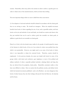enemies. Meanwhile, others may yield to the enemies in order to achieve a specific goal or in order to obtain some of the material interests, which are better than nothing.

The most important things which we want to distill from these reservations:

(1) Our adoption of universal methods should be limited in accordance with the sharia goals that we are striving to attain. We should not transgress. When the mujahid movement benefits from books of others regarding the arts of war, such as guerrilla warfare, and from books on the arts and methods of wars and battle, one should use caution and observe that they put methods that can be used to achieve goals that resemble our sharia goals, in addition to goals that do not resemble our sharia goals.

Praise be to God, in the last decade many studies by the people of tawhid spread by means of the Internet in which books of the art of war written by others were purified from that which is not permissible. However, one might need to use some of the books of others when it was impossible to obtain the corrected books. Therefore, caution should be emphasized. In the previous decades, the arena was loaded with books by some of the groups which—with deceit and confusion—gave legitimacy to most of the political and military methods of others—especially political methods—claiming falsely and lying that they are derived from the prophetic, sharia policy. Meanwhile, systematic studies at that time were difficult to obtain. Here we caution that the political, security, and military books which the heretical movements published—such as the Brothers—are more dangerous than books of others because they mix their writings with proofs from the Book [i.e. the Qur'an] and the Sunna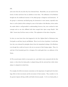and events from the sira after they have distorted them. Meanwhile, one can read all of the books of others and know that an unbeliever wrote them. The infiltration of the Brethren thought into the intellectual structure of the jihadi groups is dangerous and destructive. If the group is a missionary and jihadi group, the destruction is more intense, especially since there is a call to jihad in all the writings by some of the leaders of the Brothers, whose author the reader thinks is well-grounded in understanding; however, they were confused in their concepts and no one who affiliated with them escaped their vipers except Shaykh `Abd Allah `Azzam (may God have mercy on him). The explanation of that takes a long time.

In short, we must learn from what happened in the first Afghani jihad to Hekmatyar (may God guide us and him), Sayyaf, and Rabbani. Were it not for fear of prolixity, I would relate how they were educated by principles drawn from the interpolated writings of the Brethren, even though they could not be put to the test on account of their foreign origins. Thus, it is said that if God intended good for a foreigner, He would guide him to an adherent of the Sunna.

(2) The second matter which we must point out—and which is also connected with the first matter—is that when the sharia policy is adopted along with the universal laws which others adopt, it is adopted in its ideal form.

For example, the leftist movements concentrate on the importance of capital and it has had a large effect in their movements and the movement of their enemies. They consider it to be the greatest impetus driving conflict and battles between people. As for our sharia policy, it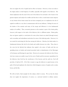does not neglect the role of capital and its effect on humans. However, it does not make it the single catalyst or chief impetus of conflict, especially with regards to the believers. The sharia emphasizes that the need of the soul of the believer for servitude to the Creator is the greatest impetus and catalyst for conflict and that that is what a sound innate nature imposes on any human whose innate nature has not been corrupted, just as it emphasizes the role of capital in conflict in a way that is commensurate with its true influence. Perhaps for most of the leaders of the enemies and many of the troops and followers it is the fundamental catalyst (of conflict). Thus, economic pressure on the enemies is part of the sharia policy; however, with respect to the ranks of the believers, this is a different matter. Sharia policy does not ignore capital as a motivation for some whose hearts are united (through money) and a secondary and subordinate motivation for some of the believing ranks. However, it is not crucial for motivating the firm base among the believers. Likewise, the sharia makes it a fundamental element, like fuel for the battle and conflict between two sides. Thus, there is the verse [in the Qur'an] that indicates that capital is the artery of battle and that not spending money on battles and normal necessities leads to abandonment of the Messenger of God (peace and blessings be upon him). However, he reassures the believers that if those who have money are unable to pay for the costs of battle and the necessary expenditures for the believers, then God has the storehouses of the heavens and the earth [i.e. God will provide; cf. Qur'an 63:7]. All of this is meant to urge the believers to spend money in the path of God and emphasize the sharia laws which designate sources of capital, such as zakat, booty, and the like.

We will set forth a final example for this subject, which is secrecy. We see that the sharia does not neglect the importance of secrecy as a universal method in military matters.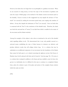However, the sharia does not forget that we are principally in a guidance movement. When we are excessive in using secrecy, we leave the scope of the movements of guidance and enter the scope of Mafia gangs or the methods of the Islamic esoteric movements [such as the Ismailis]. Excess in secrecy in this exaggerated way may impede the advance of "how much" (we succeed) by making the movement spend many years reaping only numbers of defeats. (It may also) impede the furtherance of "how" (we succeed). I have set forth what is connected with the "how" in the conclusion of this detailed study. Therefore, the sharia sets forth this universal law of "secrecy" in an ideal form which is suitable for the nature of the movement and the Islamic methods.

Among the examples of this subject is also what we mentioned at the end of this detailed study regarding military revolt. We demonstrated that it may only partially succeed as a universal means establishing the state of Islam because its elements are defective and produce defective results that will collapse before long. It is a solution that may be undertaken as an additional component of our movement, but the foundation of the Islamic State cannot be built upon it, as is related concerning the righteous servant Abu Fayruz al-Daylami (may God be pleased with him) and al-Aswad al-`Ansi [see page 76]. Of course, it is a solution that is adopted in addition to the Sunna and may establish a state for those who govern it as individuals, but it is difficult for this state to continue in a completely Islamic form, unless the solution is part of the plans and actions of the complete Sunna solution which this study sets forth.

[100]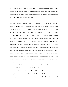The movement of Abu Fayruz al-Daylami (may God be pleased with him) is a part of the movement of the Muslim community and not the pillar of action for it. Note that this is the complete Sunna solution for a non-Islamic movement whose only goal is obtaining power. As for the Islamic method, it has several goals.

Also among the examples for both the first and second point is that the institutions that primarily make up the entity of the movement and secondarily make up the entity of the state are political and economic institutions and institutions for the legal [i.e. those dealing with Islamic law] and secular sciences. This matter pertains to the duties which the sharia enjoins in general and specific texts. However, some tried to leap to establishing these institutions prematurely or without the ideal, universal sharia method and they try to imitate others, like the Jews, and the Rafidi Shia, and the Taghuti political parties, which inevitably leads them to fall into differences. The Jews get close to those with power and authority, even if they believe that they are infidels. They believe that the Christians are infidels, but they built their institutions before their state (was established) by getting close to every infidel who possessed power and authority. Thus, sometimes we read that some of the trends that are Islamic in word attest to the importance of universal law; but when we look at its application, we find obvious flaws. Hakim al-Mutayri, the secretary-general of the salafiyya movement in Kuwait, wrote an article on the situation of Islam today. In it, he mentioned how the Islamic movements ignore the law of power and serious striving to establish an Islamic state and attain authority first; failing to do so makes them revolve in a vicious circle. He even clearly stated: "Most of their learned people and the missionaries among them strayed from these divine laws." And he said: "These movements cannot attract large numbers, even if thousands of years pass them by, without authority."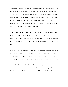However, upon application, we find that his movement strives for power by getting close to the Taghuts, the people of power in his country. It even got close to the Americans when he and the leaders of his movement stated recently, when they gathered this year at the American Embassy and an American delegation attended, that there was much good in the plans of the Americans in the region! What is the difference between this and the method of the Jews? Is not the only difference between them is that the Jews are wittols who used their women to draw close to those with authority and power?

In brief, Islam makes the building of institutions legitimate by means of legitimate power which comes by legitimate means, with the caveat that the sharia does not prohibit any building of institutions or other things—which can be obtained in the stage of the beginning without power and authority—as long as it is legitimate and initiated at the proper, Sunna time.

In closing, we stress that the world is a place of laws that cannot be abandoned or opposed. They crush one who stands before them, or plays with them, or disregards them under the pretense that he is busying himself with the salvation of his heart or with the times of day for remembering and worshiping God. The divine laws do not defer to anyone and are not held back at the behest any man, whoever he may be. This is a complete mercy from God to His servants. The Companions (may God be pleased with them) were the best of those who combined Sunna mastery of universal things and Sunna understanding of sharia things. They deserve religious loyalty and universal loyalty. We beseech God to make us follow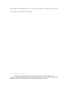their guidance and walking their way. Verily, He has authority over that and is able to do so.<sup>27</sup> Praise be to God, Lord of the worlds.

<u>.</u>

<span id="page-236-0"></span> $27$  Those who want more should refer to article 87 and article 97 of "Articles Between Two Methods" by Shaykh `Umar Mahmud Abu `Umar (may God release him from his captivity). I have quoted frequently from both of them in order to clarify the subject dealt with in this article.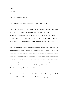## [101]

Fifth Article

# Our Method Is a Mercy to All Beings

"We have not sent thee, save as a mercy unto all beings." (Qur'an 21:107)

Praise be to God and peace and blessings be upon the bountiful mercy—the seal of the prophets and the messengers [i.e. Muhammad]—who arose with the sword before the Hour (of Resurrection) so that God may be worshiped alone and so that those who oppose His command may be humbled and brought low [this is a paraphrase of a hadith]. (Peace and blessings) be upon his family and his Companions and those who gave their loyalty to him.

One who contemplates this final religion finds the effect of mercy in everything that God decrees for His servants: A worshiper who experiences the acts of worship—even those in which there is hardship and which require patience—becomes aware of the mercy in them which flows into different aspects of the life of the individual and society. As for human interactions, God decreed for humanity a method for the interactions and conduct between people in a single society—even the family, the smallest unit in society—and between neighboring societies, a fact which attests to the divinity of this religion and its being sent down from a knowing and merciful Lord for His servants.

Some may be surprised when we say that the religious practice of jihad—despite the blood, corpses, and limbs which encompass it and the killing and fighting which its practice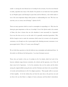entails—is among the most blessed acts of worship for the servants, if not the most blessed in reality, especially since many of the details of its practice in our sharia have been specified by our Prophet (peace and blessings be upon him) and his followers, a fact which makes it one of the most important things which pertain to understanding the verse "We have not sent thee, save as a mercy unto all beings." (Qur'an 21:107)

There are many questions which we need to contemplate in responding to it. Why does the sharia give great importance to this act of worship? Even if the Qur'an made it the summit of Islam, why does it decree that one who abandons it must necessarily be a hypocrite? Even one who does not try to see the truth of it is generally somewhat hypocritical. Why did the Lawgiver want to make the sustenance which comes by its means to be the greatest sustenance, even though one who is preoccupied with obtaining necessary sustenance is not preoccupied with it? Why is it "a mercy unto all beings"?

We set forth these questions so that the believers may contemplate and understand them. In this article we will discuss the final question. I say (may God grant success):

Those who are hostile to this act of worship in all of its details, which the Lord of the heavens ordained, range between extremists, the wicked, and the ignorant, even if they all share some level of ignorance. As for the extremists, they are the zealots and the idiots among the original infidels among the Jews and the Christians and others who accused Islam of severity and mercilessness in all of its religious practices. Their people suffer on account of their stupidity. As for the wicked, they are from the same class as the previous one and are those who say that Islam is a religion of mercy and peace and that jihad is immoderate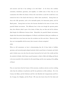and excessive and that it has nothing to do with Islam! As for those who combine extremism, wickedness, ignorance, and stupidity—or exhibit some of that—they are our countrymen who follow the Sunna of those who went before us and who would have even entered the hole of the lizard with them [i.e. follow them anywhere?]. Among them are those who fully apostatize, such as the nationalist parties, the democratic parties, and the Baath parties. Among them are those who become absorbed in the errors of some of the peaceful Islamic movements. The difference here is that even though the apostate parties deny that offensive jihad is part of the sharia of Islam, they are firm and call for defense jihad despite the differences between them. Meanwhile, the peaceful Islamic movements, despite their theoretical acknowledgment of offensive and defensive jihad, put conditions on them which have never been met since the revelation was first sent down. Moreover, what they say is incompatible with the mercy that is meant to thwart corruption!

### [102]

What we will concentrate on here is demonstrating that all of these kinds of infidels, apostates, and wayward people adopted methods which caused harm to humanity and which push it further away every day from the mercy bestowed by the Lord of the worlds and that the method (of jihad), which Satan caused humanity to think is filled with killing and blood, is the most merciful of the methods for all created things and the most sparing of the spilling of blood.

First, we must know that the Creator of this awesome, wondrous universe can have nothing other than the attributes of perfection and He has perfection in (His) attributes. He is the Creator, the Maker, and the Fashioner and He is the Merciful, the Compassionate and He is the Avenger, the Almighty, and the Proud. (We must also know) that all of the sharia and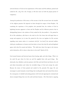universal decrees of God are the requirements of His names and His attributes, praised and exalted be He. [E.g. He is the Avenger, so His laws must set forth the proper pursuit of vengeance.]

Among the perfections of His mercy to His servants is that His servants know the benefits of the religious practices He imposed on them through the tongue of their Prophet. By examining the experience of the prophets who preceded him, the wisdom of God in legislating becomes apparent to them and the Prophet and his followers perceive that its distinguishing feature is the wisdom of God, exalted be He, that justifies it. He, praised be He in His exaltedness, calls them to the truth in all of the forms that will impel them to accept and acquiesce (to it) since He, praised be He, does not legislate for His servants regarding some matter unless it is consistent with [lit. "cut from"] the universal realities, which give steadfastness to human souls that desire to know that what He said and legislated agrees with what He created and fashion. "We shall show them Our signs in the horizon and in themselves, till it is clear to them that it is the truth" (Qur'an 41:53).

God created humans and bestowed upon them hearing, sight, and other things. What is in the earth He gave them for their use and He supplied them with good things. But afterwards, they disbelieve and join partners with Him and shed blood and destroy the soil and (their) descendents and violate the inviolable things of God and corrupt the earth. Because the mercy of God, praised and exalted be He, precedes His anger, He sent messengers to point humanity toward things that would guide them and warned them about the consequence of unbelief and joining partners with God and opposing his command and about corrupted things that cover the earth and harm humans. All of that leads to angering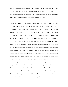the Lord and the descent of His punishment in this world and the next because He is a wise Lord who abstains from frivolity. He did not create this world in jest. [See Qur'an 23:115.] And because He is a wise, just Lord who abstains from oppression, He will never allow the oppressor to oppress and corrupt without punishing him for his actions.

Despite the mercy of God in sending prophets, most of the people followed Satan and stubbornly opposed the prophets. Before God sent down the law of jihad, He wanted to show humanity what would happen without jihad so that they would see the complete wisdom of the Lawgiver, praised and exalted be He. The result was terrible: stupid, stubborn opposition from most of the people and the followers of Satan until things became difficult for the prophets when they saw that the situation was getting worse day after day and that the infidels and the obdurate only gave birth to progeny to whom they taught unbelief and opposition. One generation influences the generation that follows it and in this way the generations become corrupt upon the earth and spread unbelief and corruption among humans. They even work to create a fitna for the believing few, either by direct pressure or by the fitna of exalting unbelief and its people in the eyes of the weak few among the believers. The destiny of all of them—the people of unbelief, and those who create fitnas and turn away from the believing few—is eternal hellfire in the hereafter. The laws of the prophets (before Muhammad) do not have what it takes to get rid of this hardship, except that God says that He will send His punishment down upon the unbelievers, even if they number in the millions. Thus, God sends down a terrible punishment which is commensurate with His power and anger due to the violation of His inviolable things and the waging of war against those under His care. It is a punishment that establishes the justice which is missing from the earth. As for the punishment of the hereafter, it is more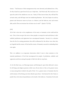intense. "And because of their transgressions they were drowned, and admitted into a Fire, for they found not, apart from God, any to help them. And Noah said, 'My Lord, leave not upon the earth of the unbelievers even one. Surely, if Thou leavest them, they will lead Thy servants astray, and will beget none but unbelieving libertines. My Lord, forgive me and my parents and whosoever enters my house as a believer, and the believers, men and women alike; and do Thou not increase the evil doers save in ruin!"" (Qur'an 71:25-28)

### [103]

All of this is also due to the completeness of the mercy to humanity in this world and the next. First, it does not give free rein to those people to corrupt the earth and destroy it after unbelief, polytheism, and oppression have encompassed humanity. Second, it is a salvation from the fire for coming generations that will be influenced by this divine verse when they are forgetful and the enemy of God and the enemy of humanity succeeds in misleading them once again.

This is in addition to an important observation which I want to draw attention to: the material punishment of God had encompassed the people of polytheism, unbelief, and oppression and those among the people of faith who did not stop them.

As for this final essay, our Messenger (peace and blessings be upon him) delivered a mercy for all beings and religious practices which were all sent down to him as the greatest mercy to man; among them is jihad in the path of God. It is a greater mercy to humanity than the awful torment of God being sent down directly upon them. God decreed for this Umma to punish those who deserved punishment at the hands of the believers. Sometimes God sends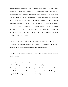down His punishment if the people of faith hesitate or neglect to prohibit wrong and engage in jihad or He sends it down partially as an aid to the mujahids, especially in light of their weakness, which is one of the laws of missionary activities [see page 83]. He, exalted is He, said: "Fight them, and God will chastise them at your hands and degrade them, and He will help you against them, and bring healing to the hearts of the people who believe, and He will remove the rage within their hearts; and God turns towards whomsoever He will; God is All-knowing, All-wise." (Qur'an 9:14-15) And He, praise be He, said: "Say: 'Are you awaiting for aught to come to us but one of the two rewards most fair? We are awaiting in your case too, for God to visit you with chastisement from Him, or at our hands; so await; we are awaiting with you." (Qur'an 9:52)

God made the sword to stop the unbelievers at their border, to prevent their advance, and to guide some of them. On the other hand, from the punishment of God which had previously descended [i.e. the flood of Noah], none were spared save the believers.

Among the swords of the Muslims which descended upon those who deserved them is a mercy to humanity:

A sword against the polytheists among the Arabs until they converted to Islam—He, exalted is He, said, "Then, when the sacred months are drawn away, slay the idolaters wherever you find them, and take them, and confine them, and lie in wait for them at every place of ambush. But if they repent, and perform the prayer, and pay the alms, then let them go their way; God is All-forgiving, All-compassionate." (Qur'an 9:5)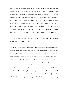A sword (raised) against Jews, Christians, and polytheists among the non-Arabs until they convert to Islam, or are enslaved, or until they are led by them. They are those who blaspheme their Lord by attributing a child to Him or they joined partners with Him. He, exalted be He, said, "Fight those who believe not in God and the Last Day and do not forbid what God and His Messenger have forbidden—such men as practice not the religion of truth, being of those who have been given the book—until they pay the tribute out of hand and have been humbled. The Jews say, 'Ezra is the Son of God'; the Christians say, The Messiah is the Son of God. $\dot{\ }$ . That is the utterance of their mouths, conforming with the unbelievers before them. God assail them! How they are perverted!" (Qur'an and 9:29-30)

As a mercy to those who came after them, the sword fell upon them so that those among them for whom God had decreed guidance would return.

A sword fell upon the abstainers among those who were associated with the qibla [i.e. other Muslims]. If their fitna became widespread, they would inflict humanity with torment. Let us take usury as an example: As the Shaykh of al-Islam says, it is in the last of the forbidden things and the sin committed with the approval of two sides (in a deal). Why is it by abstaining from religious practices one side might be pleased with it and not the other side. There is an intense torment (which was revealed) regarding this example, such that the exegetes say that the scariest verse sent down in the Koran was sent down regarding usury because it threatens the believers with the torment which was prepared for the infidels. He, exalted is He, said: "O believers, devour not usury, double and redoubled, and fear you God; haply so you will prosper. And fear the Fire prepared for the unbelievers." (Qur'an 3:130-131) Thus, the sword fell upon the countrymen of the Muslims as a mercy to them if they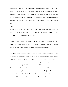committed this grave sin. The learned people of the Umma agreed on (the use of) that sword. He, exalted is He, said: "O believers, fear you God; and give up the usury that is outstanding, if you are believers. But if you do not, then take notice that God shall war with you, and His Messenger; yet if you repent, you shall have your principal, unwronging and unwronged." (Qur'an 2:278-279) The people of knowledge say in commentary on this verse that

[104]

it not only refers to those who regard usury as lawful, but also to those who engage in it. The Umma agrees that those who commit sin wage war, as when the people of a country agree to do business with each other using usury.

Among the swords which is also connected to the previous sword is the sword (raised) against every ruling or subject apostate who knows this religion and then leaves it, causing a fitna for the believers and spreading corruption and oppression in the earth.

Among those things which more clearly elucidate the concepts and meanings which we want to take away from this article is that the various people who rebuke the people of faith for engaging in jihad have brought down killing, destruction, and corruption on humanity, which is more than what they falsely attribute to the people of jihad. They say that these things happen because of the jihad, while in reality it is one of the results of their corruption and their corrupting (of others). There is no corruption in the sharia of God. By "various people who rebuke", I mean that all of them are among the Jews, Christians, and apostates—the nationalists, the Baathists, and the democrats—and also those among the misguided of the peaceful Islamic movements. An explanation of this follows: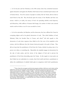$\sim$  As for the Jews and the Christians, in the 20th century alone they committed massacres against themselves and against the Muslims which had not been committed (previously) in all of human history. Even the coarsest of people in conduct, like the Tartars, did not shed as much blood as they did. They frivolously spent the money of the Muslims and their own money—which is, in reality, the money of God—for spreading unbelief, moral depravity, and debauchery, while millions of humans died hungry, the number of which some rational minds would not believe even if it were recorded in a book.

 $\sim$  As for the nationalists, the Baathists, and the democrats, they have afflicted the Umma by corrupting religion and by the ghastly destruction of souls. That which Saddam, al-Asad, Mubarak, Fahd, the Socialist Party in Yemen, and others<sup>28</sup> did with regards to this destruction of souls alone surpasses those killed in all of the wars of the mujahids in this century, with the difference that (the former) destroyed people in the path of Satan. They did not keep back the punishment of God from the Umma, whether by giving some of us power over others, or something else. Meanwhile, the mujahids engages (in destruction) for the sake of truth, justice, and the victory of the religion of God and to prevent the punishment of God from descending upon the Umma. In this regard, we must point out that if jihad was not undertaken in a country, then God would send down a punishment or (allow) the establishment of unbelief which pales in comparison (with God's punishment),

 $\overline{a}$ 

<span id="page-246-0"></span><sup>&</sup>lt;sup>28</sup> Those whom the newspapers and television programs attribute with bravery and wisdom and the publications and television programs which publish their statements practiced terrorism and assassination which everyone practices, whether wrongly or rightly. I ask God to facilitate the publication of an independent treatise in which there is a history of rulers and leaders of parties in the abodes of Muslims who carried out massacres and assassination themselves when they were youth, while they are now the most vociferous of the people in repudiating terrorism and claiming that the return to religion afflicts the Umma with killing and disunion. If we contemplate the history of their parties, their great leaders, and their ideology without blindness, we would find that most of them are behind the tribulations and blood which has been shed in the Umma.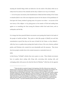meaning the harmful things which are believed to be the results of the jihad, which are in reality from the actions of the criminals and the duty of jihad is in no way to be blamed.

 $\sim$  As for the peace movements, their abandonment of jihad and their inciting of the Umma to abandon jihad is one of the most important reasons for the descent of the punishment of God upon the Umma, whether by giving some of us power over others – on account of the non-victory of the religion—or by giving power to the enemies of God and sending them against us or something else from among the disasters which God sends down, such as earthquakes and the like.

It is strange that these peaceful Islamic movements scorn putting their hands in the hands of the people of tawhid and jihad. They point to their [the people of jihad's] war and their extermination as proof that they are the cause of death for the Umma—as they claimed while they have no qualms about putting their hands in those of the sects, factions, political parties, and Christians who commit the most abominable and vile massacres. They know that those people consider those who commit massacres as nationalist heroes (!)

[105]

1

in their history, "al-Mujid", whether they were a party or a state. These Islamic movements have no qualms about uniting with, living with, conversing with, meeting with, and exchanging smiles with anyone who shed the blood of Muslims, $^{29}$  while they do the opposite

<span id="page-247-0"></span><sup>&</sup>lt;sup>29</sup> When the jihad was ignited in Egypt in the beginning of the 90s of the previous century, the Brethren joined with Shenuda, leader of the Orthodox sect, the largest of the Christian sects in Egypt, who had previously recorded tapes distributed among the Christians in which he flagrantly cursed the Messenger (peace and blessings be upon him). And it was proven that in the 70s he used to gather weapons and direct conspiracies, like what happened in al-Zawiya al-Hamra' and what followed. Likewise, before meeting with the Brethren directly, he plainly spoke evil of our religion, ridiculing some of the laws of the sharia which decree "not giving allegiance to a nonbeliever". He also maintained that it is impossible to apply the sharia in Egypt on account of his rejection of that law, so that the Christians would not become second-class citizens. I say that the Brethren joined with this criminal in order to condemn terrorism.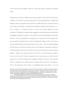of all of that with the mujahids! Praise be to Him who guides one people and misleads others.

Humanity has moved from unbelief to more intense unbelief. Those who have observed the conditions of the West in recent decades clearly see the descending steps of unbelief and depravity which one generation after another have walked down; they even believe that the rate of descent is increasing. Its unbelief is becoming more deeply rooted day after day. As for our Umma, it is moving from error to more error through unbelief and moral corruption. The people are infatuated with engaging in trade using usury and in prostitution and judging according to secular laws. The results of all of that is punishment in this world and next. One of the punishments is giving power to someone who costs humanity many more casualties in the jihad and in the path of upraising the religion of God. All of that is from the predestined laws which God ordain for the servants. Thus, He ordained fighting for this Umma so that He may check the harm of the unbelievers and punish whomsoever He will and forgive whomsoever He will by His mercy from among those He knows deserve guidance. Therefore, the solution and cure for all of that is for the missionaries to fight in every sense of the word. In that is a complete mercy for the servants, as we said, so that the people come on the Day of Resurrection, dragged to Paradise in chains, as is in the hadith. If there is a legitimate, true weakness then the weakness must be removed. One might say, where is the missionary call and where is commanding right and its phases? I say, the

When they came to him, he responded by saying: "Is one who does that [i.e. engages in terrorism] someone who drank from the Nile of Egypt and was raised upon its dust?!" They said, "No, he is not a son of this nation", and so forth. Hasan Dawh, one of the leading members of the Brethren, published the text of the meeting in an article he authored in which he boasted about that meeting.

The Brethren forgot that God is the Creator of this Nile and all of these blessings which they attribute to the earth and the nation! That is the extent of (their understanding) of tawhid, to say nothing of the disbelief of the Christians in God and their worship of someone other than Him. I beseech God to send down upon them the punishment they deserve.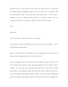missionary call has a role that those who abstain from battle still do not understand. Commanding right and forbidding wrong has a role that they still do not understand. We have dealt with that subject in past articles and in this detailed study. I beseech God to enlighten us about our religion and the greatness of its religious practices and their conformity with the laws of the universe. Praise be to God, Lord of the worlds.

[106]

## Sixth Article

The Crisis of Terms... "Benefit" and "Harm" As Examples

"And do not cover truth with falsehood, and do not conceal the truth willingly." (Qur'an 2:42) [translation slightly altered]

Praise be to God and peace and blessings be upon the Messenger of God and upon his family and his Companions and those who were loyal to him.

We do not exaggerate when we say that the fitna of the slogans and terms in this age is one of the greatest fitnas which has beset the people generally and the Muslim youth in particular. Even in previous ages and nations, the people were not turned away from the path guidance save by glittering slogans which their base desires affirmed and which the doubts and whispers which filled their minds validated. As for the Umma of Muhammad (peace and blessings be upon him), whenever move further away from  $\lceil$  or "disregard" $\rceil$  the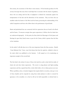first century, the occurrence of this fitna is more intense. If God intends goodness for His servant, He keeps him away from it and helps him to associate with the imams of guidance, those who are arising until the Day of Judgment to defend the community against the interpretations of the liars and the distortions of the extremists. They are those who are steadfast under the banner of the Book and the Sunna, possessing the understanding of the noble Companions and those who follow them in the performance of good deeds.

Sharia and predestined laws are connected with the expressions that are found in the Book and the Sunna. If someone corrupts these great expressions, it follows that the sharia laws are understood improperly. At this point, the fitna which the Messenger of God (peace and blessings be upon him) feared comes to pass for the Umma, which is greater than the fitna of the Antichrist.

In this article I will talk about two of the most important forms this fitna assumes. Shaykh `Umar Mahmud Abu `Umar—may God release him from his captivity—alluded to them in his study which was published on the Internet. I will expand on it by mentioning an important example of the second kind.

The first kind is the refusal of some of those who lead the youth to deal with the reality of sharia rule and clear sharia expressions. The resort to using phrases and high-sounding expressions and they expand them like a cloak which either a fat or skinny person can wear. When a problem, crisis, or situation happens that requires jihad or an action, some go to one of those shaykhs and he responds by using these elastic phrases in order to conceal his ignorance or his cowardice or so that he will not be held responsible or referred back to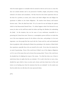when the matter appears to contradict what he asserted so that he can be seen as a man who does not commit mistakes and as one possessed of intellect, insight, and priority in being referred to for fatwas and consultation. He flees from the clear sharia expressions that are the basis for a position, an action, and a decree and which obligate him and obligate the questioner to (adhere to) the sharia obligations. He watches from faraway until matters become easier. Does the jihad bear fruit? If so, he starts his war and adopts the opinion which he had disassociated himself from. If a defeat happens which God decreed for any reason, he takes out his staff from under his clothes and flogs the Muslims (for undertaking the jihad). In this situation, they are the cause of every misfortune, meanwhile he is protecting the Umma from error! However, a contemplative person will have no doubt that one of the most important reasons for the defeat at that time—and perhaps it is the most important—was that people like him toyed with the Umma and the youth and abandoned them in perplexity while softening the Islamic laws pertaining to the situation of jihad which they experience, especially those who are trusted by the youth. Every time, the situation has no need of questioning. None of the youth know if jihad is one of the religious obligations or if it is one of the means that can be chosen from among others! None of the youth know the detailed laws for fighting the troops of the enemy. You find that when one of them is asked about them, he replies that they are criminals. If it is said to him that we want a clear, detailed law upon which to base an action and a decree and clear sharia laws, he flees and insists on not backing away from his statement that they are criminals! Let the reader note that the article does not talk about the state-sponsored ulama.

[107]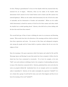In short, "fleeing to generalizations" is the art of the shaykhs which they mastered after they mastered the art of slogans. Otherwise, where are the studies of the shaykhs which demonstrate God's sanction for the United Nations and its charter and (His sanction for) national legitimacy? (Where are the studies which demonstrate) the rule of God in the order of nationality and the demarcation of borders and nationalism? (Where are the studies which demonstrate) in detail the sanction of God for all of these matters and others which the shaykhs have avoided speaking about? Likewise, what did God say about dealing with the laws that result from these matters?

The second kind type of fitna of terms is defining the terms in an erroneous and distorting manner. What results from that is the distortion of the meanings and laws which are derived from these expressions and terms. On account of this, fitnas and widespread corruption arise among the people and the Umma dwells on spurious subjects that do not serve the religion of God.

Since the meanings of the great expressions which God (praise and exalted be He) and His Messenger (peace and blessings be upon him) spoke have been corrupted, it follows that the sharia laws have been commented on incorrectly. If we look, for example, at the term "faith", error and confusion in defining it lead to the corruption of understanding and action in many of the sharia laws connected with it. Likewise, predestined laws only work when the terms are properly defined [lit. "predestined laws do not transpire and do not materialize unless it materializes". Likewise, let the reader contemplate the expression "unbelief": Is it not a shame that a group of youth lead for many years and a fitna happens and they do not know the meaning of the word "unbelief"?!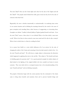The term "jihad": How can the Umma fight each other for the sake of the Taghut and call this "jihad"? The people march behind this noble, great word, but they die for the sake of someone other than God.

Regrettably, the error—whether intentionally or unintentionally—in rendering many terms in our current situation and in defining the meanings denoted by the words is the cause of great corruption and unending fitnas, either because of exaggerating or eviscerating them. Examples are infinite: "warlike/civilized/jahiliyya/Taghut/gradual/benefit and harm. Even the term "fitna" causes a fitna when it is not defined! What is the fitna which a man must avoid? What is the fitna in whose turmoil a man must stand and if he dies he dies a martyr? What is that in which there is a fitna by avoiding the fitna?

Let us pause here briefly at a term which influences all of our actions for the sake of changing the reality of the Umma and extracting it from the dark tunnel in which it lies. It is the term "benefit and harm". We will choose a single subject to demonstrate the distortion which happened in applying that term to the real life. This subject is "the benefit and harm of rebelling against the apostate ruler". It is a good, practical example for similar subjects of jihad related to the fighting of the original infidels who have assailed our homes in recent centuries. They were dealt with in a corrupted manner due to the misunderstanding of the term "benefit and harm" and not defining it properly.

The people of distortion begin with the correct premise that the commands of the sharia came to bring about benefits and maximize them and to prevent harmful things and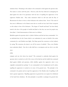minimize them. Pertaining to this subject is the command to rebel against the apostate ruler. The matter is correct until this point. However, after this they believed in analogizing the jihad against the ruler if he apostatizes with the laws of repelling the oppression of the oppressive Muslim ruler. They make statements which we will wait until the Day of Resurrection for them to show us their forbearers who endorse them. Never! The result of that error is differences in the Islamic arena that we would not have had if their viewpoint on this subject is that of the forbearers. The slogan of "benefit and harm" has been falsely raised in the face of the people of tawhid and jihad so that they can turn the people away from jihad. A brief demonstration of their error is as follows:

Rebellion against the apostate ruler is a jihad of defense and that has been commanded. It is an individual duty for the Umma which is not undertaken by some on behalf of the entire community [i.e. each Muslim must fight]. Ibn Hajar quoted the consensus on that (subject) by saying, "By consensus, the imam is cut off for reason of unbelief. Thus, every Muslim must undertake (jihad). One who is able shall have a recompense and one who is not able must

[108]

emigrate and one who fawns has sinned." The command to undertake jihad against the apostate ruler is touched on in all of the verses (of the Qur'an) and the hadith that command jihad against infidels and apostates, while rebellion against the oppressive ruler is not originally commanded [or perhaps "is not commanded in the foundational texts"]; rather, repelling his oppression is touched on in some of the general texts. The principle is the command to be patient and not repel the oppression of the Muslim ruler if repelling it will lead to greater oppression. Repelling oppression in general does not require the withdrawal of the hand from obedience. By what principle is it possible to analogize the general rules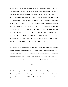which the ulama have set down concerning the repelling of the oppression of the oppressive Muslim ruler with jihad against the infidel or apostate ruler?! If we know that the smallest elementary school student understands that killing souls in jihad and the possibility of defeat have never been a cause of harm that is deemed a sufficient reason for delaying the jihad, and if we know that the Lawgiver ignores the amount of trickery which the people engage in order to cause harm in one situation but He does take account of it in a different situation, then we must know that the harmful thing which judgment has established (in one situation), even by sharia proof, is a harmful thing that is not taken account of (in another situation]. [In other words, the amount of harm that comes from living under an apostate ruler is greater than the amount of harm that results from rebelling against that ruler. On the other hand, the amount of harm that comes from living under an oppressive Muslim ruler is less than the amount of harm that results from rebelling against that ruler.]

The people drone on about security and safety and tranquility and ease of life—under the auspices of the rule of man-made laws! —for Islamic societies which apostates rule. They pretend to forget that we are in these circumstances. Truthfully, if the reality was described in a systematic, salafiyya way, I would say that we must be more violent in circumstances of security than the circumstance in which we have to fight a defensive jihad against the invading enemy at the time of his initial attack, refusing to submit and resisting that enemy until we die trying. The demonstration of that is as follows:

Some imagine—by their unique reasoning—that jihad against the invading enemy is only at the beginning of the arrival of this enemy with his forces. But if this enemy settles and his goal is achieved, among the harmful things (that result) is the corruption of that stability and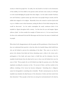security in which the people live! In reality, the only benefit to be had is in the destruction of that stability, for if the infidel or the apostate settles and rules some country, he will begin to work toward dislodging the people from their religion. Let the reader consider Chechnya now and Chechnya a quarter-century ago when there were people living in security and the infidel ruler stripped it of its religion. Meanwhile, those who wanted to read the Qur'an had to go to a hidden room in their basements, reciting the Book of God while fearing that they would be discovered. Let the reader contemplate the nearly continuous jihad of the mujahids in Algeria throughout half a century. Let him close his eyes and imagine Algeria without a jihad. Let him consider the example of Tunisia next to it. In it are many lessons for those who understand God and His Messenger and who know the nature of unbelief and its people.

What elicits God's disappointment with the people and His punishment of them because He does not understand their passivity is that they allow the harmful things which befall those who are left behind to prevent the undertaking of the jihad. They seem to say that if a person who abstains from jihad and whose abstaining causes a delay in the victory and a prolongation of the battle and causes harm to befall him and the abstainers, then the mujahids should abstain from the jihad and sit next to those were left behind who were the cause of that! Those people who are left behind must fight the apostate, just as Ibn Hajar stipulated, recording the consensus on that. On account of them—and they number in the millions—doubting of the victory has become widespread. Something that is obligatory cannot be downgraded to something that is desirable. Would a rational person say that the mujahids must abandon the jihad because of the abstention of others and what results from their abstention? Those people at their best are among the weak [mentioned in the Qur'an;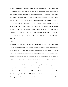cf.  $3:75$  – this category of people is granted exemptions from fighting even though they are not categorized as such by the sharia standard. If they are among those who are weak, then dissimulation and emigration are an option for them so as to avoid the harm of the jihad, which is inseparable from it. If they are unable to emigrate and dissimulation does not save them from that harm, they are martyrs if they are killed and they will be recompensed if any harm comes to them. Jihad and the mujahids bear absolutely no responsibility for this harm. Rather, the oppressive, apostate infidels bear its responsibility primarily and the secondary responsibility is partially borne by those who are harmed among those who sin by abstaining when they are able to join the mujahids. Even the Shaykh al-Islam indicated that killing and harm is more frequent for those who flee from the battle than what befalls mujahids.

## [109]

We want to also stress that it has been part of the nature of jihad since the rise of the Prophet that extremists come from the ranks who spill inviolable blood and who cause fitnas of which only God is aware. This harm does not mean that the jihad should be stopped. Also part of its nature is the rebellion of those among the ranks who turn back and that is not considered a harmful thing for whose sake we should stop the jihad. In this regard, al-Faja'a came to the Friend (may God be pleased with him) [Abu Bakr] and asked him for money and men in order to kill the apostates. He gave him money and gave him command over a group of men. He became a brigand with them, killing Muslims and apostates and taking their money. He killed some people, and (the survivors) came and gave their allegiance to Abu Bakr. Afterwards, the Friend (may God be pleased with him) burned him. That Friend (may God be pleased with him) did not call for the cessation of the jihad; rather, if some people rebel under some pretext like that, it is also necessary to fight them. Some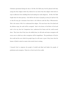Christians apostatized during the time of Ali Ibn Abi Talib (may God be pleased with him) saying that their religion which they believed in was better than this religion which did not stop its adherents from shedding blood and making the roads dangerous. Ali Ibn Abi Talib fought them for their apostasy. God still lets the hearts of people go astray [cf. Qur'an 61:5] so that He may give sustenance from them to the believers until the Day of Resurrection. This is the nature of life if we understand this religion. We must know that if the jihad and the defense stops, the earth will be corrupted. Such is the decree of the Book of God and such is the way that the Companions have understood the Sunna and the world around them. They know that if they leave the infidel alone, he will settle and major corruption will occur, next to which any other corruptions will be insignificant. The punishment of God in this world and the next which the people hope for will come to pass if they know that the banner of jihad is raised no matter what results from its raising.

I beseech God to empower the people of tawhid and jihad and hinder the people of polytheism and corruption. Praise be to God, Lord of the worlds.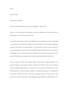Seventh Article

## Polarization and Wealth

"Surely this Qur'an guides to the way that is straightest." (Qur'an 17:9)

Praise be to God and peace and blessings be upon the Messenger of God, his family, his Companions, and those who are loyal to him.

Averting the harm and evil of those who disbelieve from the Muslims is an aim of the sharia and an important goal which the mujahid movement should strive for through any legitimate mean that will enable us to reach this goal. If we know that it means not just averting the harm of people from us, but rather transforming their harm and their power for the good of the Muslims, then the sharia aims will be realized and we will obtain more good for the people of faith than just averting the harm (which comes from those who disbelieve).

If we ask ourselves, "Why do the military leaders in the armies of original unbelief or the armies of apostasy work with the enemies of God?" and "Why do those who are obeyed among the people [tribal leaders?  $-$  see page 48]—who have power and authority by virtue of their followers—give their loyalty to regimes of unbelief and apostasy?", we will find that the answer is, briefly, that some of them have a dogmatic reason but that there are other reasons that are more important in motivating them to give allegiance to infidel regimes. On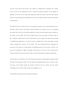account of the powers they possess, the regimes of unbelief have abundant ease, wealth, luxury and all of the temptations of life. Despite the general weakness of the dogma of infidelity in the face of the innate faith deposited within the human soul, the other aspects which we mentioned make them ignorant of the next world and content with this world and its adornments.

We dealt with some of these factors in some previous articles and we demonstrated how the deterrence which stymies the leaders and their followers also pushes them to stop helping the enemy due to the heat of battle burning like a furnace, which prompts them to clearly see the reality of the conflict. All of that compels them to join the people of truth in order to die as believers rather than lose this world and the next by dying in the ranks of the people of unbelief and oppression or, at the very least, it compels them to flee and adopt a neutral stance, awaiting the outcome of the battle. We also demonstrated that targeting the economy of the enemy is a sharia policy for putting pressure on the enemy so that he may know that continuing to fight the people of faith leads to the loss of this world and the interests which are their secret goal in reality, covered with deceptive slogans and ideology.

In this article we will discuss one of the important methods of polarizing the people toward the ranks of the people of faith. It is the method of polarizing with money in order to unite the hearts of the people among the enemies and those who are neutral. We give them something of the world in order to draw their allegiance to us.

We introduce this method with an important preface: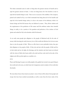The sharia commands came in order to bring about the greatest amount of benefit and to repel the greatest amount of harm. It does not bring about all of the benefits in total or repel all the harmful things in total. That is not on account of the inability of the Lawgiver, praised and exalted be He, to set forth commands that bring about all of the benefits and repel all of the harmful things; rather, it is due to the nature of the deficiency which is in human beings and this life because they are deficient by nature. Thus, divine wisdom and the requirements of the perfection of His names and His attributes makes these harmful things, in reality, to be a portion of the grandeur and perfection of the wisdom of God (praise and exalted be He) in the destinies which He decreed.

As we said, some people give allegiance to the people of falsehood only for the sake of money while knowing the truth; however, love of this world and affection for it do not cause them to join the people of faith. When we offer them is more preferable choice, they give their allegiance to the people of faith. If they join and mix with the people of faith and live in their midst and see the light, the blessings, and the miracles and their hearts are infused with the vision of faith, their hearts yield to the truth and they work only for the sake of the religion and offer up their spirits as a sacrifice to it.

## [111]

Peace and blessings be upon our noble prophet who guided (us) toward every good thing in this world and in the next, on which basis his Companions acted as leaders of the world after (his death).

We must direct those whose hearts are joined—most of them will be drawn from people and troops who have been crushed economically, as well as some from the lower ranks of the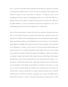army. I say that we must direct them in particular and the believers in general to that which is good and most durable in the eyes of God. Everyone is reminded of (these things) in the environs of battle, by whose events they are educated. "O believers, when you are journeying in the path of God, be discriminating, and do not say to him who offers you a greeting, Thou art not a believer,' seeking the chance goods of the present life. With God are spoils abundant. So you were aforetime; but God has been gracious to you. So be discriminating; surely God is aware of the things you do." (Qur'an 4:94)

Some of those whose hearts are united with money may apostatize afterwards and cause trials for the believers because they joined them without pure intention and were not educated to be obedient from the beginning; rather they were educated with gifts, material things, and benefits and they gave their allegiance for the sake of money. Even though this might happen in the middle of the journey on account of some convulsion, such as the death of the Messenger or a leader, or some reversal or the like, and great harmful things may result from that, it is as we stated in the preface (of this chapter): The entry of those people into the ranks of the people of faith in the (stage of) the beginning  $-$  which is the condition of weakness—brings about benefits which surpass the great harmful things which happen afterwards [as a result of their later betrayal]. Just as the rational mind and the sharia  $-$  or at least fate [i.e. universal law] and the sharia - dictate that (total) prevention of that harm and the total acquisition of the benefit are impossible, the commands of the sharia, as we said, came to repel the harmful things and minimize them and bring about the benefits and maximize them. Moreover, having all of our leaders educated with faith only is a maximal benefit; however, it will never be achieved—according to fate—because the Jahiliyya and its people will never allow us to do that. The harm of the apostasy of some gives rise to other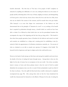benefits afterwards. The firm base of "the base of the people of faith" completes its education by repelling new difficulties of a new sort, making the believers see the nature of people and life, informing them of the ways of Satan, singling out martyrs, and distinguishing evil from good so that God may choose those whom He loves and who love Him, those who are not afraid of the censure of the censurer, and He rewards those who give thanks. (This betrayal) is an event that shapes the consciousness of the believerqwe had demonstrated that in the principle of "education by event"—to say nothing of the benefit that is acquired by polarization through money, a benefit which we would not have been able to obtain if we followed an ideal which does not suit the preordained situation that accompanies the stage of the beginning and the laws that go along with it. This benefit is that when those people apostatize, bases of freedom for the believers and control over land and countries are established as a refuge and a starting point for establishing a state [i.e. nation] of faith, the appurtenances of civilization, institutions, materials, etc. On account of what we obtained, we are able to remedy new apostasy if it happens—God forbid! We beseech God for forgiveness and vigor in religion and in this world and the next.

However, the band of truth among our firm bases and among the mujahid youth must know the details of the laws of uniting the hearts through money. Among them is that one who fights for the sake of money has no recompense in the next world. One whose secondary intent is money or booty and whose primary intent is that the word of God be exalted diminishes his recompense since one who is sound of body and plunders is paid one third of his share in advance. One who spills his blood and whose wealth is destroyed is completely recompensed [see page 49]. (Also among these rules is) that the Ansar abandoned the wealth they had procured for themselves in the Battle of Hunayn for the sake of uniting the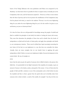hearts of the Tulaqa' [Meccans who were polytheists until Mecca was conquered by the Muslims]. Let them know that it is possible for them to acquire money eventually just as the Companions, their sons, and the Successors acquired it. However, its fitna is more intense than the fitna of poverty and we do not possess the steadfastness of the Companions (may God be pleased with them), as stated in the tradition: "Poverty is not the most frightening thing for you; rather the most frightening thing for you is for the world to be given to you and destroy you just as it destroyed them."

It is time for those who are well-grounded in knowledge among the people of tawhid and jihad to establish the principles of and clarify the details of uniting the hearts with money. They must first determine the principles of these laws and its details from the books of jurisprudence on jihad and the books of sharia policy and apply these principles and details to our contemporary situation. There must be ijtihad [new legal reasoning] concerning the new forms (of the law) we can implement in a way that does not contradict the sharia. Actually, there are many examples that we can benefit from in applying this great jurisprudence which I believe we must now implement in light of recent developments in the current battle. By way of example, we

## [112]

know that the amir can give the spoils of someone who is killed in battle to the person who killed him. Is it permissible for the High Command of the mujahids, for example, to give an amount of money to the leaders, armies, and guards of the enemy—if one of them joins the people of faith and kills a minister or one of the commanders and so forth before he joins the mujahids and flees to them—greater than the spoils (that can be lawfully) taken from someone who is slain in battle—a tenth of his wealth, for example? Can they do this even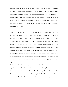though he obtains the spoils after the believers establish (a state) and when he did everything he had to do to save the believers from the evil of that commander or minister on the condition that he arrange to flee to a secure place afterwards until he can join the people of faith? I say this is only an example and there are many examples. What is required from those who are well-grounded in knowledge is to discuss the sharia aspects of developments like these so that the field commanders can begin applying some of them when planning and putting together strategies.

Likewise, I said in previous research presented to the people of tawhid and jihad that one of their goals is the redistribution of the wealth of the Muslims. It is time to clarify the aim of this phrase and elucidate its detailed laws since it will have special relevance in an important coming stage in our battle—I mean when partial establishment (of an Islamic state) takes place, by the permission of God. Moreover, it is connected with what we talked about in this article concerning the use of public money for uniting the hearts. Those who are wellgrounded in knowledge must clarify to the people, with proof, the means of justly distributing the wealth of the Muslims. First, every country in which there is wealth differs from other countries. If not for theft and robbery, our people would be the richest people. However, when there is a just distribution of the wealth of the Muslims, is the wealth of the regions collected and distributed to the Muslims or does each region retain its wealth (to be distributed locally)? Also pertaining to this issue, can the collection of the alms tax on (a region's) wealth—which of course will be abundant and diverse, by the permission of God—be distributed in the other regions which suffer poverty? Second, (they must clarify) the means of distributing the public wealth among the Muslims: Is there more priority and preference for those "people, tribes, parties, and groups" who give loyalty, assistance, and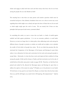shelter and engage in jihad with their souls and their money than those who do not from among the people who are only Muslim by birth?

The meaning here is that there are many precise and sensitive questions which must be researched and given a firm (Islamic) foundation from now on so that no errors may occur regarding them which might cost us dearly and open the doors of fitnas that we do not need or which might weigh upon the souls of some. We can remedy this if there are clear principles built upon proof and correct, systematic ijtihad.

In concluding this article, we want to stress that our battle is a battle of tawhid against unbelief and faith against polytheism. It is not an economic, political, or social battle. However, we must not forget that it is sharia policy when addressing weak souls among the different classes of people to promise to reclaim our wealth and our rights, even to plunder the wealth of God which evil people have taken. We do not think that promises like this motivated the Companions of the Messenger of God (peace and blessings be upon him); rather, it was a distraction for them and a motivation for the weak souls among the people to accept Islam. Afterwards, it is clear that these weak souls improved their condition by living among the people of faith and the furnace of battle, and their motivation was for the sake of tawhid before all else [the same point is made on pages 48-49]. Therefore, we find that God, praised and exalted be He, directed the Messenger (peace and blessings be upon him) to address the captives of the enemy by saying: "O Prophet, say to the prisoners in your hands: If God knows of any good in your hearts He will give you better than what has been taken from you, and He will forgive you; surely God is All-forgiving, All-compassionate." (Qur'an 8:70)